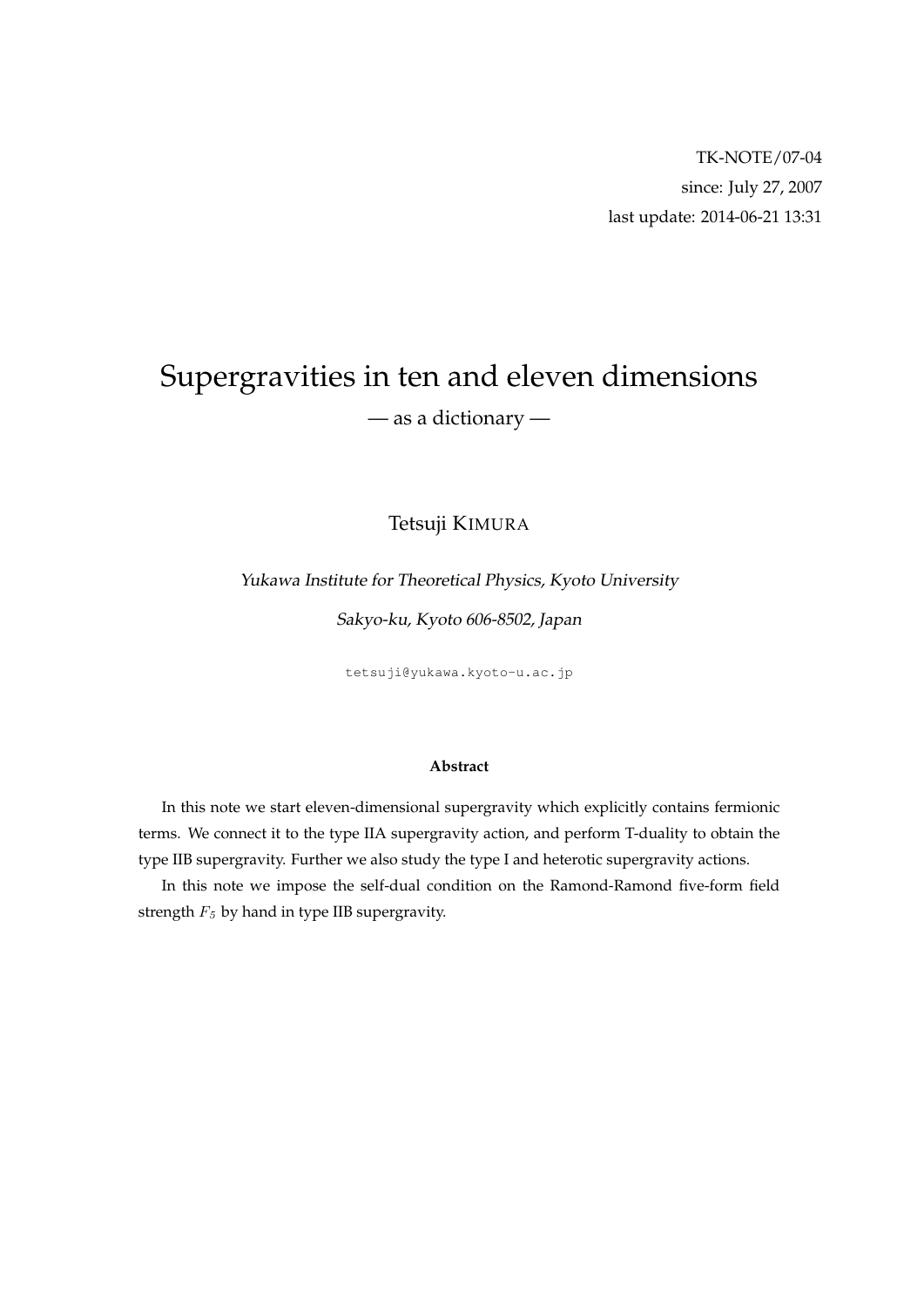# Supergravities in ten and eleven dimensions — as a dictionary —

Tetsuji KIMURA

Yukawa Institute for Theoretical Physics, Kyoto University

Sakyo-ku, Kyoto 606-8502, Japan

tetsuji@yukawa.kyoto-u.ac.jp

#### **Abstract**

In this note we start eleven-dimensional supergravity which explicitly contains fermionic terms. We connect it to the type IIA supergravity action, and perform T-duality to obtain the type IIB supergravity. Further we also study the type I and heterotic supergravity actions.

In this note we impose the self-dual condition on the Ramond-Ramond five-form field strength *F<sup>5</sup>* by hand in type IIB supergravity.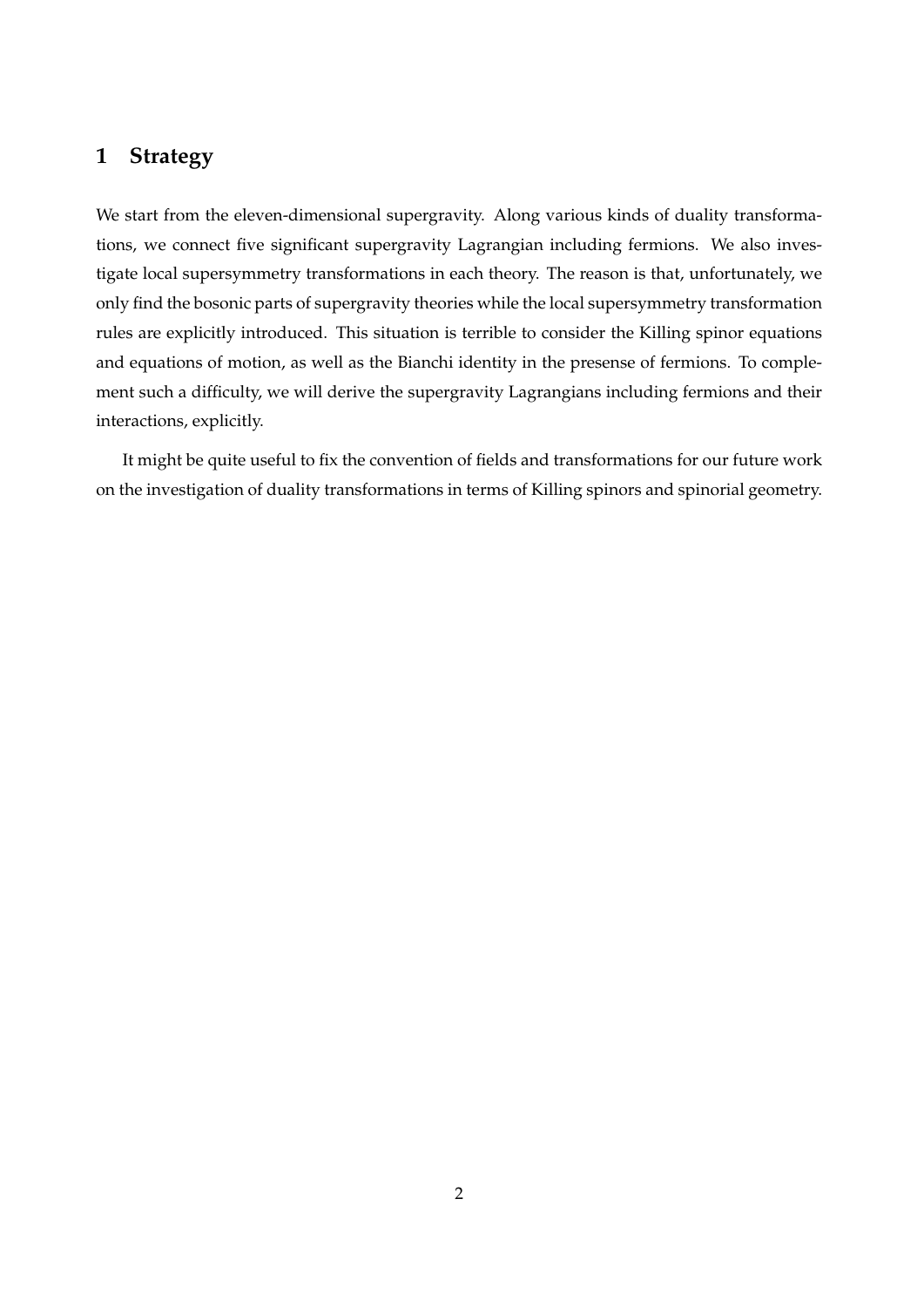# **1 Strategy**

We start from the eleven-dimensional supergravity. Along various kinds of duality transformations, we connect five significant supergravity Lagrangian including fermions. We also investigate local supersymmetry transformations in each theory. The reason is that, unfortunately, we only find the bosonic parts of supergravity theories while the local supersymmetry transformation rules are explicitly introduced. This situation is terrible to consider the Killing spinor equations and equations of motion, as well as the Bianchi identity in the presense of fermions. To complement such a difficulty, we will derive the supergravity Lagrangians including fermions and their interactions, explicitly.

It might be quite useful to fix the convention of fields and transformations for our future work on the investigation of duality transformations in terms of Killing spinors and spinorial geometry.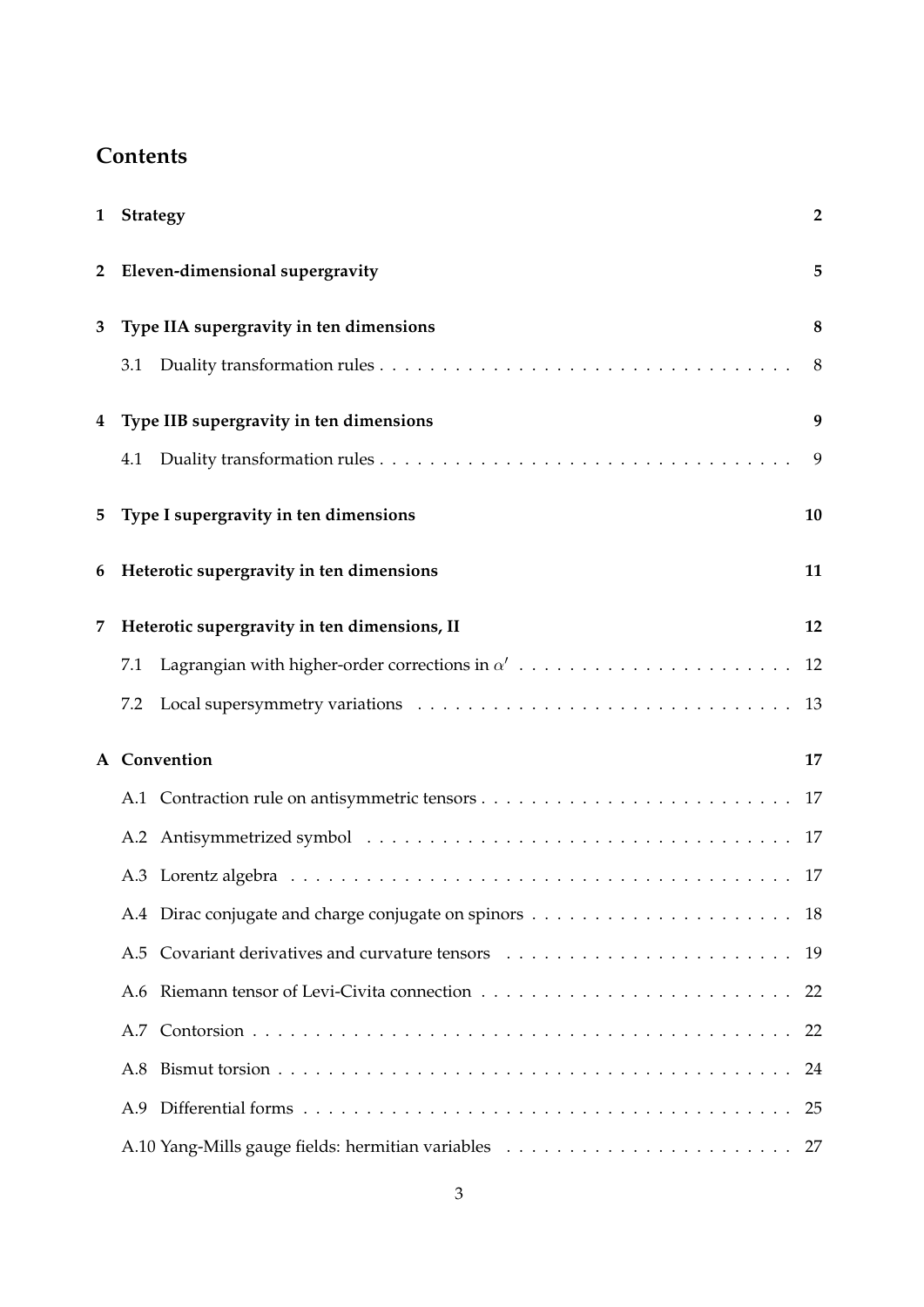# **Contents**

| $\mathbf{1}$   | Strategy                                     | $\overline{2}$ |
|----------------|----------------------------------------------|----------------|
| $\overline{2}$ | Eleven-dimensional supergravity              | 5              |
| 3              | Type IIA supergravity in ten dimensions      | $\bf 8$        |
|                | 3.1                                          | 8              |
| 4              | Type IIB supergravity in ten dimensions      | 9              |
|                | 4.1                                          | 9              |
| 5              | Type I supergravity in ten dimensions        | 10             |
| 6              | Heterotic supergravity in ten dimensions     | 11             |
| 7              | Heterotic supergravity in ten dimensions, II | 12             |
|                | 7.1                                          | 12             |
|                | 7.2                                          | 13             |
| A              | Convention                                   | 17             |
|                |                                              | 17             |
|                |                                              | 17             |
|                |                                              | 17             |
|                |                                              | 18             |
|                | A.5                                          | 19             |
|                |                                              | 22             |
|                |                                              | 22             |
|                | A.8                                          | 24             |
|                |                                              | 25             |
|                |                                              | 27             |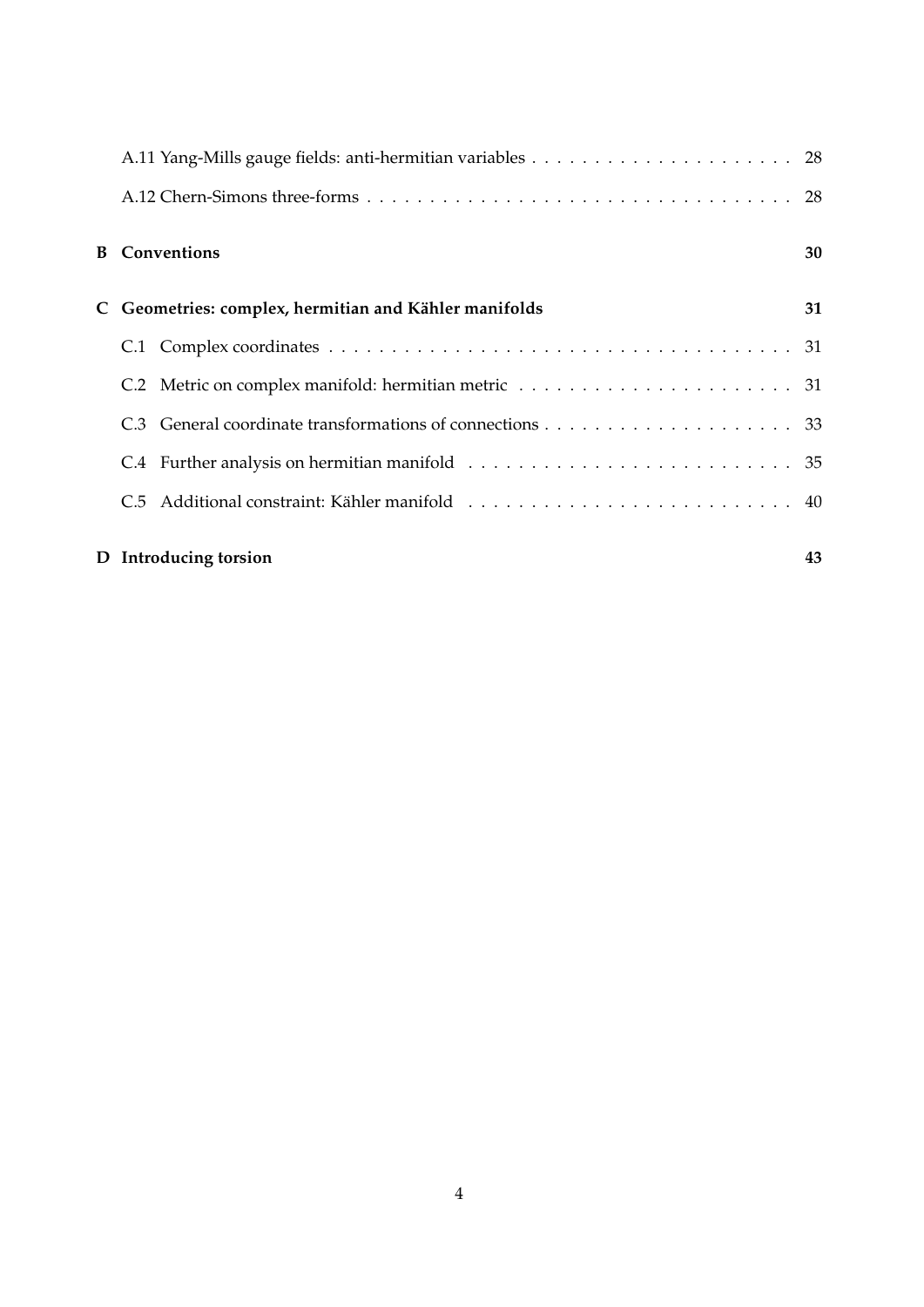| <b>B</b> Conventions                                | 30 |
|-----------------------------------------------------|----|
| Geometries: complex, hermitian and Kähler manifolds | 31 |
|                                                     |    |
|                                                     |    |
|                                                     |    |
|                                                     |    |
|                                                     |    |
|                                                     |    |

# **D Introducing torsion 43**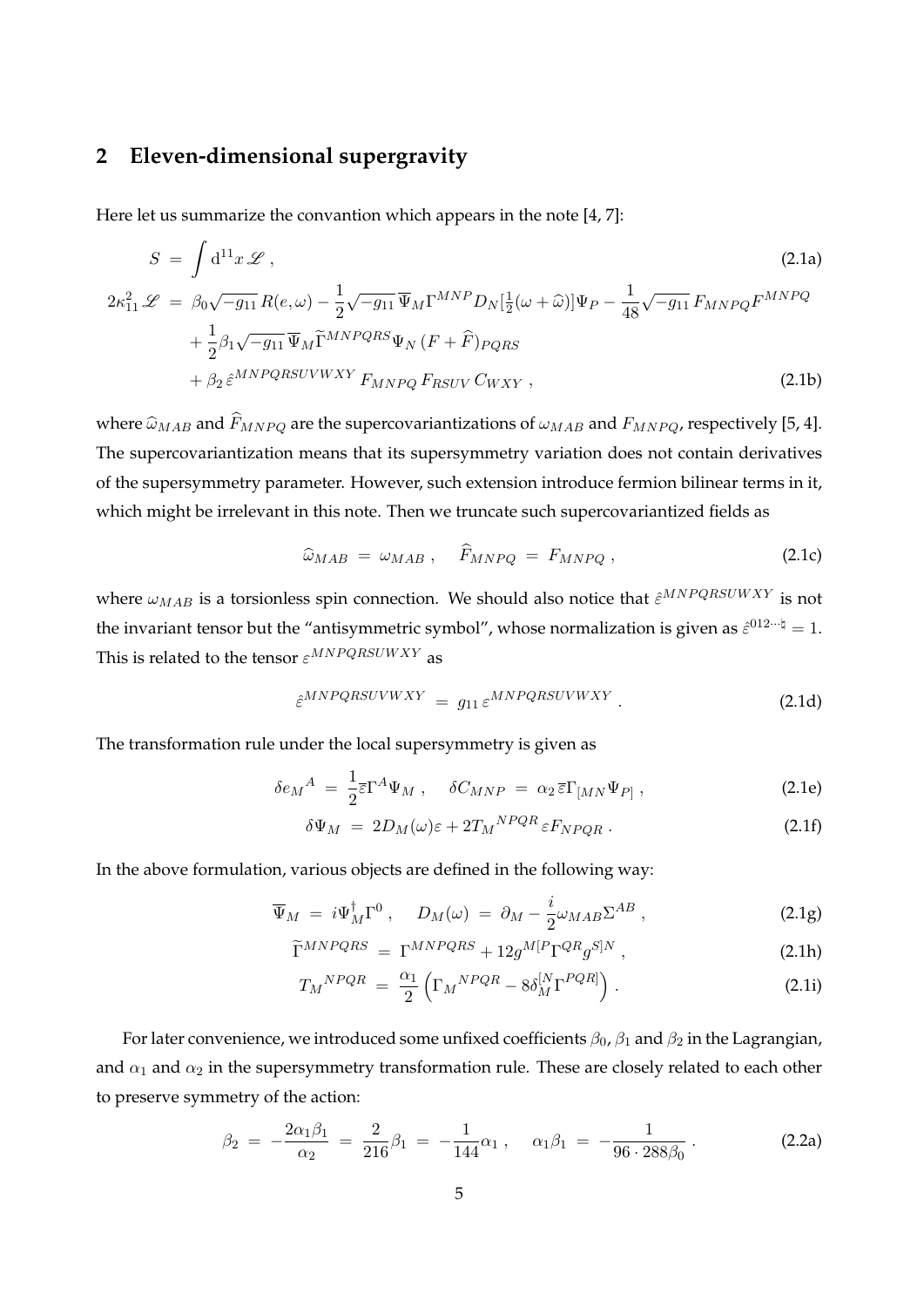# **2 Eleven-dimensional supergravity**

Here let us summarize the convantion which appears in the note [4, 7]:

$$
S = \int d^{11}x \mathcal{L} \tag{2.1a}
$$

$$
2\kappa_{11}^2 \mathcal{L} = \beta_0 \sqrt{-g_{11}} R(e,\omega) - \frac{1}{2} \sqrt{-g_{11}} \overline{\Psi}_M \Gamma^{MNP} D_N [\frac{1}{2}(\omega + \widehat{\omega})] \Psi_P - \frac{1}{48} \sqrt{-g_{11}} F_{MNPQ} F^{MNPQ} + \frac{1}{2} \beta_1 \sqrt{-g_{11}} \overline{\Psi}_M \widetilde{\Gamma}^{MNPQRS} \Psi_N (F + \widehat{F})_{PQRS} + \beta_2 \widehat{\varepsilon}^{MNPQRSUVWXY} F_{MNPQ} F_{RSUV} C_{WXY} ,
$$
(2.1b)

where  $\hat{\omega}_{MAB}$  and  $\hat{F}_{MNPQ}$  are the supercovariantizations of  $\omega_{MAB}$  and  $F_{MNPQ}$ , respectively [5, 4]. The supercovariantization means that its supersymmetry variation does not contain derivatives of the supersymmetry parameter. However, such extension introduce fermion bilinear terms in it, which might be irrelevant in this note. Then we truncate such supercovariantized fields as

$$
\widehat{\omega}_{MAB} = \omega_{MAB} , \quad \widehat{F}_{MNPQ} = F_{MNPQ} , \qquad (2.1c)
$$

where *ωMAB* is a torsionless spin connection. We should also notice that  $\hat{\varepsilon}^{MNPQRSUWXY}$  is not the invariant tensor but the "antisymmetric symbol", whose normalization is given as  $\hat{\varepsilon}^{012\cdots \natural}=1$ . This is related to the tensor  $\varepsilon^{MNPQRSUWXY}$  as

$$
\hat{\varepsilon}^{MNPQRSUVWXY} = g_{11} \varepsilon^{MNPQRSUVWXY} \,. \tag{2.1d}
$$

The transformation rule under the local supersymmetry is given as

$$
\delta e_M{}^A = \frac{1}{2} \overline{\epsilon} \Gamma^A \Psi_M \,, \quad \delta C_{MNP} = \alpha_2 \, \overline{\epsilon} \Gamma_{[MN} \Psi_{P]} \,, \tag{2.1e}
$$

$$
\delta\Psi_M = 2D_M(\omega)\varepsilon + 2T_M{}^{NPQR}\varepsilon F_{NPQR} \,. \tag{2.1f}
$$

In the above formulation, various objects are defined in the following way:

$$
\overline{\Psi}_M = i\Psi_M^{\dagger} \Gamma^0 \,, \quad D_M(\omega) = \partial_M - \frac{i}{2} \omega_{MAB} \Sigma^{AB} \,, \tag{2.1g}
$$

$$
\widetilde{\Gamma}^{MNPQRS} = \Gamma^{MNPQRS} + 12g^{M[P}\Gamma^{QR}g^{S]N} , \qquad (2.1h)
$$

$$
T_M{}^{NPQR} = \frac{\alpha_1}{2} \left( \Gamma_M{}^{NPQR} - 8\delta_M^{\left[ N \right]} \Gamma^{PQR} \right). \tag{2.11}
$$

For later convenience, we introduced some unfixed coefficients *β*0, *β*<sup>1</sup> and *β*<sup>2</sup> in the Lagrangian, and  $\alpha_1$  and  $\alpha_2$  in the supersymmetry transformation rule. These are closely related to each other to preserve symmetry of the action:

$$
\beta_2 = -\frac{2\alpha_1\beta_1}{\alpha_2} = \frac{2}{216}\beta_1 = -\frac{1}{144}\alpha_1 \,, \quad \alpha_1\beta_1 = -\frac{1}{96 \cdot 288\beta_0} \,. \tag{2.2a}
$$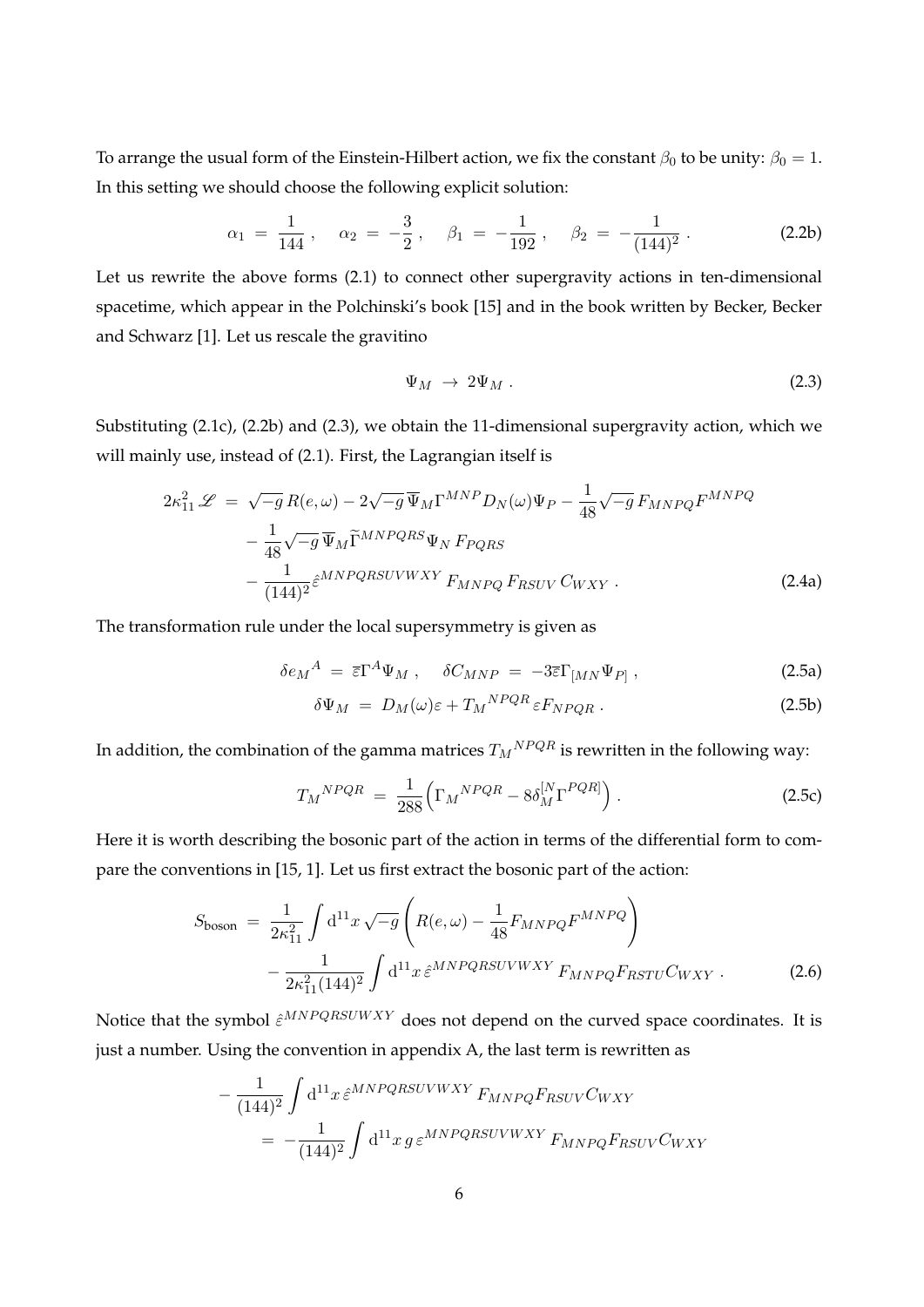To arrange the usual form of the Einstein-Hilbert action, we fix the constant  $\beta_0$  to be unity:  $\beta_0 = 1$ . In this setting we should choose the following explicit solution:

$$
\alpha_1 = \frac{1}{144} , \quad \alpha_2 = -\frac{3}{2} , \quad \beta_1 = -\frac{1}{192} , \quad \beta_2 = -\frac{1}{(144)^2} . \tag{2.2b}
$$

Let us rewrite the above forms (2.1) to connect other supergravity actions in ten-dimensional spacetime, which appear in the Polchinski's book [15] and in the book written by Becker, Becker and Schwarz [1]. Let us rescale the gravitino

$$
\Psi_M \to 2\Psi_M \tag{2.3}
$$

Substituting (2.1c), (2.2b) and (2.3), we obtain the 11-dimensional supergravity action, which we will mainly use, instead of (2.1). First, the Lagrangian itself is

$$
2\kappa_{11}^2 \mathcal{L} = \sqrt{-g} R(e,\omega) - 2\sqrt{-g} \,\overline{\Psi}_M \Gamma^{MNP} D_N(\omega) \Psi_P - \frac{1}{48} \sqrt{-g} F_{MNPQ} F^{MNPQ} - \frac{1}{48} \sqrt{-g} \,\overline{\Psi}_M \widetilde{\Gamma}^{MNPQRS} \Psi_N F_{PQRS} - \frac{1}{(144)^2} \hat{\varepsilon}^{MNPQRSUVWXY} F_{MNPQ} F_{RSUV} C_{WXY} .
$$
(2.4a)

The transformation rule under the local supersymmetry is given as

$$
\delta e_M{}^A = \overline{\varepsilon} \Gamma^A \Psi_M \,, \quad \delta C_{MNP} = -3\overline{\varepsilon} \Gamma_{[MN} \Psi_{P]} \,, \tag{2.5a}
$$

$$
\delta\Psi_M = D_M(\omega)\varepsilon + T_M{}^{NPQR}\varepsilon F_{NPQR} \,. \tag{2.5b}
$$

In addition, the combination of the gamma matrices  $T_M{}^{NPQR}$  is rewritten in the following way:

$$
T_M{}^{NPQR} = \frac{1}{288} \left( \Gamma_M{}^{NPQR} - 8\delta_M^{\left[ N \right]} \Gamma^{PQR} \right). \tag{2.5c}
$$

Here it is worth describing the bosonic part of the action in terms of the differential form to compare the conventions in [15, 1]. Let us first extract the bosonic part of the action:

$$
S_{\text{boson}} = \frac{1}{2\kappa_{11}^2} \int \mathrm{d}^{11} x \sqrt{-g} \left( R(e,\omega) - \frac{1}{48} F_{MNPQ} F^{MNPQ} \right) - \frac{1}{2\kappa_{11}^2 (144)^2} \int \mathrm{d}^{11} x \, \hat{\varepsilon}^{MNPQRSUVWXY} F_{MNPQ} F_{RSTU} C_{WXY} .
$$
 (2.6)

Notice that the symbol  $\hat{\varepsilon}^{MNPQRSUWXY}$  does not depend on the curved space coordinates. It is just a number. Using the convention in appendix A, the last term is rewritten as

$$
-\frac{1}{(144)^2} \int d^{11}x \,\hat{\varepsilon}^{MNPQRSUVWXY} F_{MNPQ} F_{RSUV} C_{WXY}
$$

$$
= -\frac{1}{(144)^2} \int d^{11}x \,g \,\varepsilon^{MNPQRSUVWXY} F_{MNPQ} F_{RSUV} C_{WXY}
$$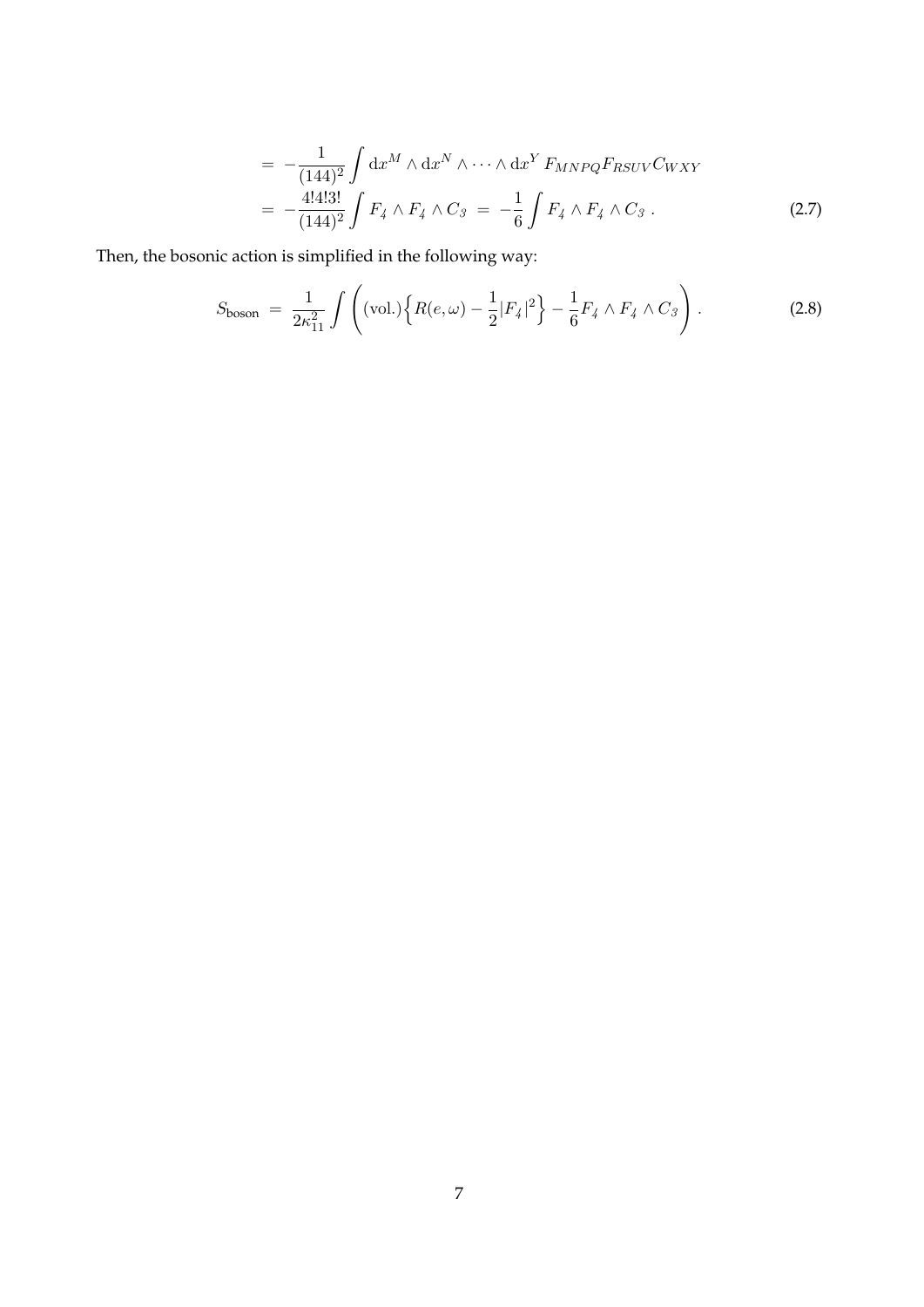$$
= -\frac{1}{(144)^2} \int dx^M \wedge dx^N \wedge \cdots \wedge dx^Y F_{MNPQ} F_{RSUV} C_{WXY}
$$
  

$$
= -\frac{4!4!3!}{(144)^2} \int F_4 \wedge F_4 \wedge C_3 = -\frac{1}{6} \int F_4 \wedge F_4 \wedge C_3 . \tag{2.7}
$$

Then, the bosonic action is simplified in the following way:

$$
S_{\text{boson}} = \frac{1}{2\kappa_{11}^2} \int \left( (\text{vol.}) \left\{ R(e,\omega) - \frac{1}{2} |F_4|^2 \right\} - \frac{1}{6} F_4 \wedge F_4 \wedge C_3 \right). \tag{2.8}
$$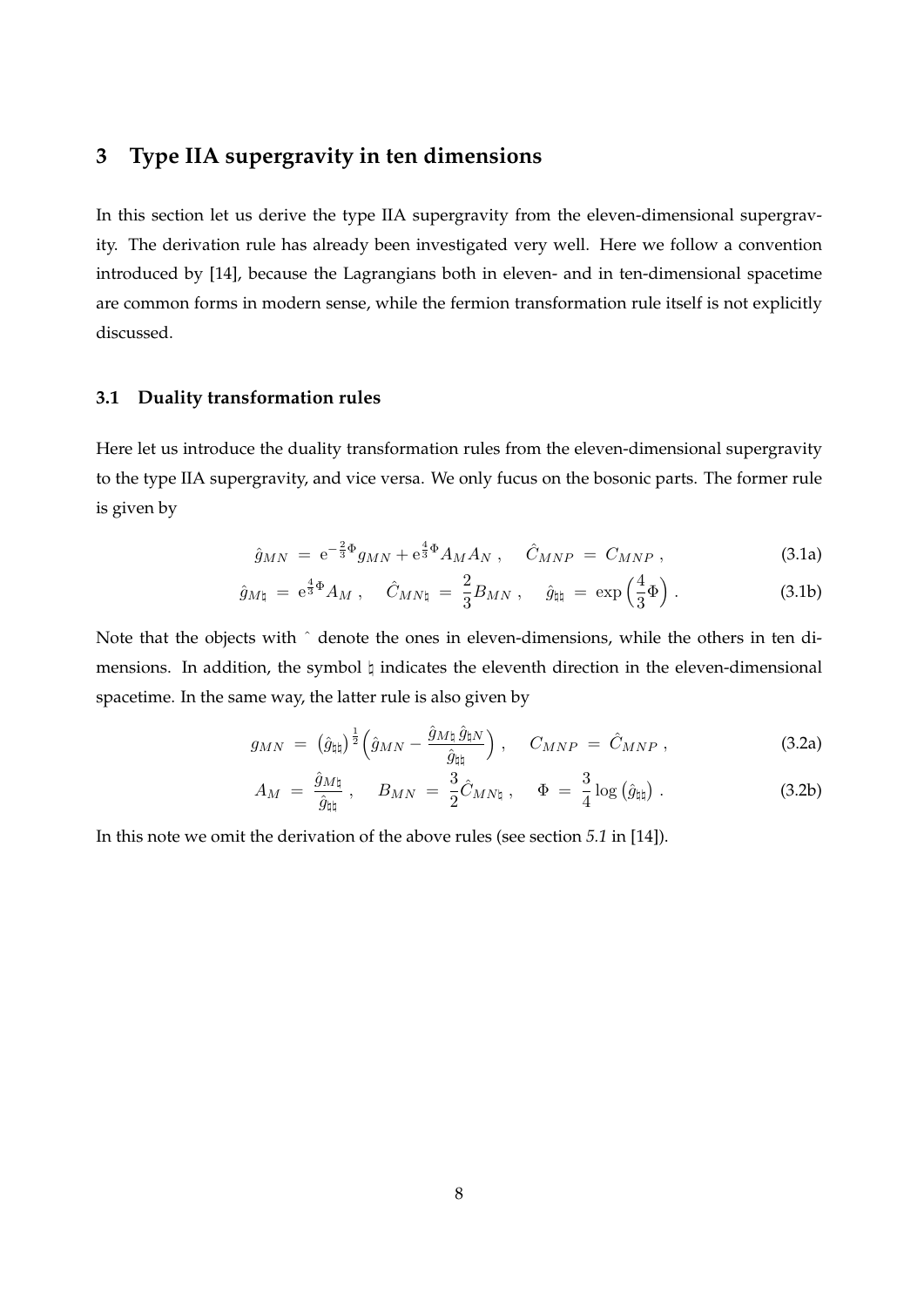# **3 Type IIA supergravity in ten dimensions**

In this section let us derive the type IIA supergravity from the eleven-dimensional supergravity. The derivation rule has already been investigated very well. Here we follow a convention introduced by [14], because the Lagrangians both in eleven- and in ten-dimensional spacetime are common forms in modern sense, while the fermion transformation rule itself is not explicitly discussed.

#### **3.1 Duality transformation rules**

Here let us introduce the duality transformation rules from the eleven-dimensional supergravity to the type IIA supergravity, and vice versa. We only fucus on the bosonic parts. The former rule is given by

$$
\hat{g}_{MN} = e^{-\frac{2}{3}\Phi}g_{MN} + e^{\frac{4}{3}\Phi}A_M A_N \ , \quad \hat{C}_{MNP} = C_{MNP} \ , \tag{3.1a}
$$

$$
\hat{g}_{M\natural} = e^{\frac{4}{3}\Phi} A_M , \quad \hat{C}_{MN\natural} = \frac{2}{3} B_{MN} , \quad \hat{g}_{\natural\natural} = \exp\left(\frac{4}{3}\Phi\right). \tag{3.1b}
$$

Note that the objects with ˆ denote the ones in eleven-dimensions, while the others in ten dimensions. In addition, the symbol *♮* indicates the eleventh direction in the eleven-dimensional spacetime. In the same way, the latter rule is also given by

$$
g_{MN} = \left(\hat{g}_{\natural \natural}\right)^{\frac{1}{2}} \left(\hat{g}_{MN} - \frac{\hat{g}_{M \natural} \,\hat{g}_{\natural N}}{\hat{g}_{\natural \natural}}\right), \quad C_{MNP} = \hat{C}_{MNP} \,, \tag{3.2a}
$$

$$
A_M = \frac{\hat{g}_{M\natural}}{\hat{g}_{\natural}} , \quad B_{MN} = \frac{3}{2} \hat{C}_{MN\natural} , \quad \Phi = \frac{3}{4} \log \left( \hat{g}_{\natural} \right) . \tag{3.2b}
$$

In this note we omit the derivation of the above rules (see section *5.1* in [14]).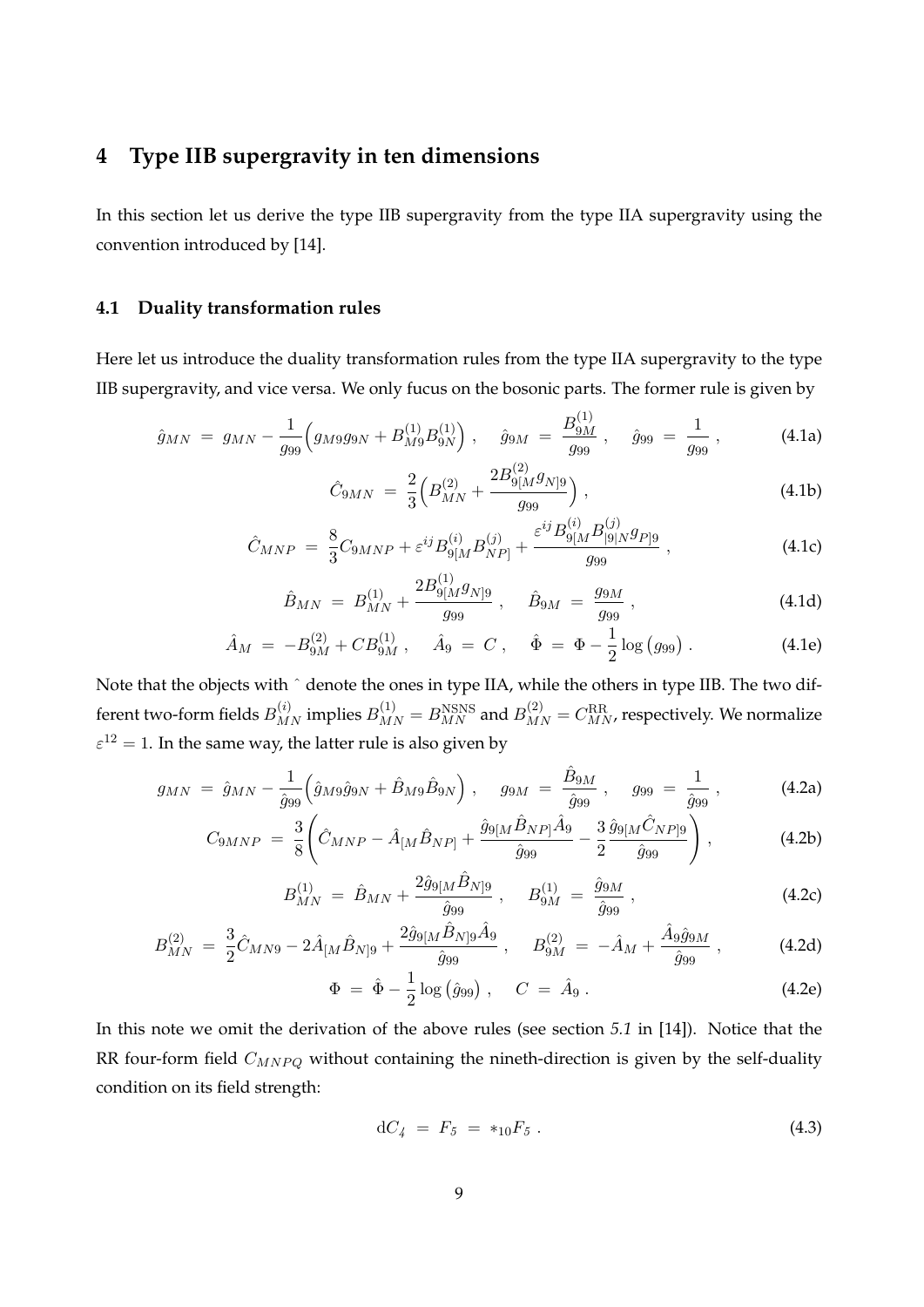# **4 Type IIB supergravity in ten dimensions**

In this section let us derive the type IIB supergravity from the type IIA supergravity using the convention introduced by [14].

#### **4.1 Duality transformation rules**

Here let us introduce the duality transformation rules from the type IIA supergravity to the type IIB supergravity, and vice versa. We only fucus on the bosonic parts. The former rule is given by

$$
\hat{g}_{MN} = g_{MN} - \frac{1}{g_{99}} \Big( g_{M9} g_{9N} + B_{M9}^{(1)} B_{9N}^{(1)} \Big) , \quad \hat{g}_{9M} = \frac{B_{9M}^{(1)}}{g_{99}} , \quad \hat{g}_{99} = \frac{1}{g_{99}} , \quad (4.1a)
$$

$$
\hat{C}_{9MN} = \frac{2}{3} \Big( B_{MN}^{(2)} + \frac{2B_{9[M}^{(2)}g_{N]9}}{g_{99}} \Big) , \qquad (4.1b)
$$

$$
\hat{C}_{MNP} = \frac{8}{3} C_{9MNP} + \varepsilon^{ij} B_{9[M}^{(i)} B_{NP]}^{(j)} + \frac{\varepsilon^{ij} B_{9[M}^{(i)} B_{|9|N}^{(j)} g_{P]9}}{g_{99}},
$$
\n(4.1c)

$$
\hat{B}_{MN} = B_{MN}^{(1)} + \frac{2B_{9[M}^{(1)}g_{N]9}}{g_{99}} , \quad \hat{B}_{9M} = \frac{g_{9M}}{g_{99}} , \qquad (4.1d)
$$

$$
\hat{A}_M = -B_{9M}^{(2)} + CB_{9M}^{(1)}, \quad \hat{A}_9 = C , \quad \hat{\Phi} = \Phi - \frac{1}{2} \log (g_{99}) . \tag{4.1e}
$$

Note that the objects with  $\hat{ }$  denote the ones in type IIA, while the others in type IIB. The two different two-form fields  $B^{(i)}_{MN}$  implies  $B^{(1)}_{MN} = B^{NSNS}_{MN}$  and  $B^{(2)}_{MN} = C^{RR}_{MN}$ , respectively. We normalize  $\varepsilon^{12} = 1$ . In the same way, the latter rule is also given by

$$
g_{MN} = \hat{g}_{MN} - \frac{1}{\hat{g}_{99}} \left( \hat{g}_{M9} \hat{g}_{9N} + \hat{B}_{M9} \hat{B}_{9N} \right), \quad g_{9M} = \frac{\hat{B}_{9M}}{\hat{g}_{99}} , \quad g_{99} = \frac{1}{\hat{g}_{99}} , \quad (4.2a)
$$

$$
C_{9MNP} = \frac{3}{8} \left( \hat{C}_{MNP} - \hat{A}_{[M} \hat{B}_{NP]} + \frac{\hat{g}_{9[M} \hat{B}_{NP]} \hat{A}_9}{\hat{g}_{99}} - \frac{3}{2} \frac{\hat{g}_{9[M} \hat{C}_{NP]9}}{\hat{g}_{99}} \right), \tag{4.2b}
$$

$$
B_{MN}^{(1)} = \hat{B}_{MN} + \frac{2\hat{g}_{9[M}\hat{B}_{N]9}}{\hat{g}_{99}} , \quad B_{9M}^{(1)} = \frac{\hat{g}_{9M}}{\hat{g}_{99}} , \qquad (4.2c)
$$

$$
B_{MN}^{(2)} = \frac{3}{2}\hat{C}_{MNS} - 2\hat{A}_{[M}\hat{B}_{N]9} + \frac{2\hat{g}_{9[M}\hat{B}_{N]9}\hat{A}_{9}}{\hat{g}_{99}} , \quad B_{9M}^{(2)} = -\hat{A}_{M} + \frac{\hat{A}_{9}\hat{g}_{9M}}{\hat{g}_{99}} ,
$$
 (4.2d)

$$
\Phi = \hat{\Phi} - \frac{1}{2} \log (\hat{g}_{99}), \quad C = \hat{A}_9. \tag{4.2e}
$$

In this note we omit the derivation of the above rules (see section *5.1* in [14]). Notice that the RR four-form field  $C_{MNPQ}$  without containing the nineth-direction is given by the self-duality condition on its field strength:

$$
dC_4 = F_5 = *_{10}F_5. \t\t(4.3)
$$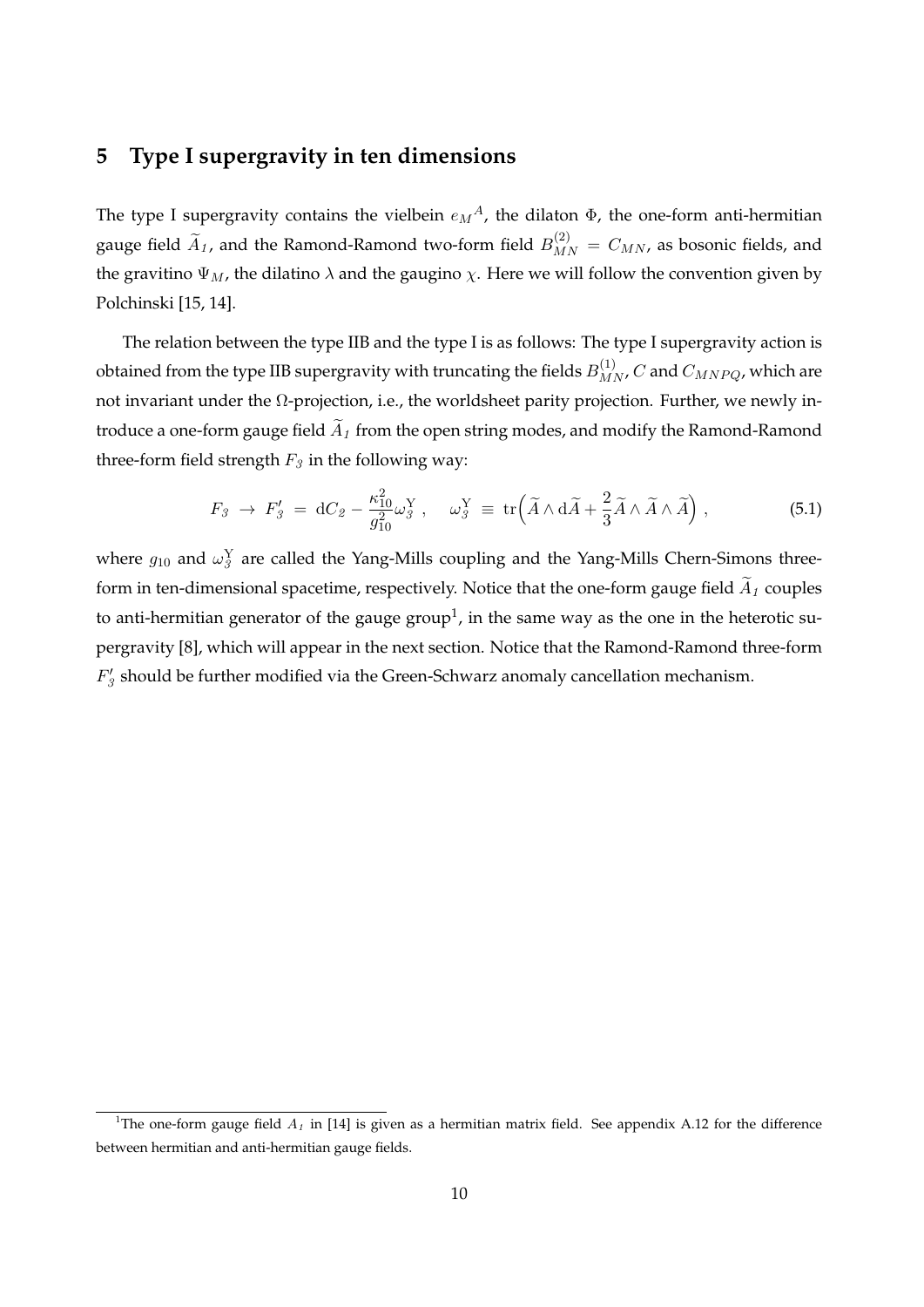# **5 Type I supergravity in ten dimensions**

The type I supergravity contains the vielbein  $e_M{}^A$ , the dilaton  $\Phi$ , the one-form anti-hermitian gauge field  $\widetilde{A}_1$ , and the Ramond-Ramond two-form field  $B_{MN}^{(2)} = C_{MN}$ , as bosonic fields, and the gravitino  $\Psi_M$ , the dilatino  $\lambda$  and the gaugino  $\chi$ . Here we will follow the convention given by Polchinski [15, 14].

The relation between the type IIB and the type I is as follows: The type I supergravity action is obtained from the type IIB supergravity with truncating the fields  $B^{(1)}_{MN}$ ,  $C$  and  $C_{MNPQ}$ , which are not invariant under the Ω-projection, i.e., the worldsheet parity projection. Further, we newly introduce a one-form gauge field  $\widetilde{A}_1$  from the open string modes, and modify the Ramond-Ramond three-form field strength  $F_3$  in the following way:

$$
F_3 \to F_3' = dC_2 - \frac{\kappa_{10}^2}{g_{10}^2} \omega_3^Y , \quad \omega_3^Y \equiv \text{tr} \left( \widetilde{A} \wedge d\widetilde{A} + \frac{2}{3} \widetilde{A} \wedge \widetilde{A} \wedge \widetilde{A} \right) , \tag{5.1}
$$

where  $g_{10}$  and  $\omega_3^{\text{Y}}$  are called the Yang-Mills coupling and the Yang-Mills Chern-Simons threeform in ten-dimensional spacetime, respectively. Notice that the one-form gauge field  $\widetilde{A}_1$  couples to anti-hermitian generator of the gauge group<sup>1</sup>, in the same way as the one in the heterotic supergravity [8], which will appear in the next section. Notice that the Ramond-Ramond three-form  $F'_{\beta}$  should be further modified via the Green-Schwarz anomaly cancellation mechanism.

<sup>&</sup>lt;sup>1</sup>The one-form gauge field  $A_I$  in [14] is given as a hermitian matrix field. See appendix A.12 for the difference between hermitian and anti-hermitian gauge fields.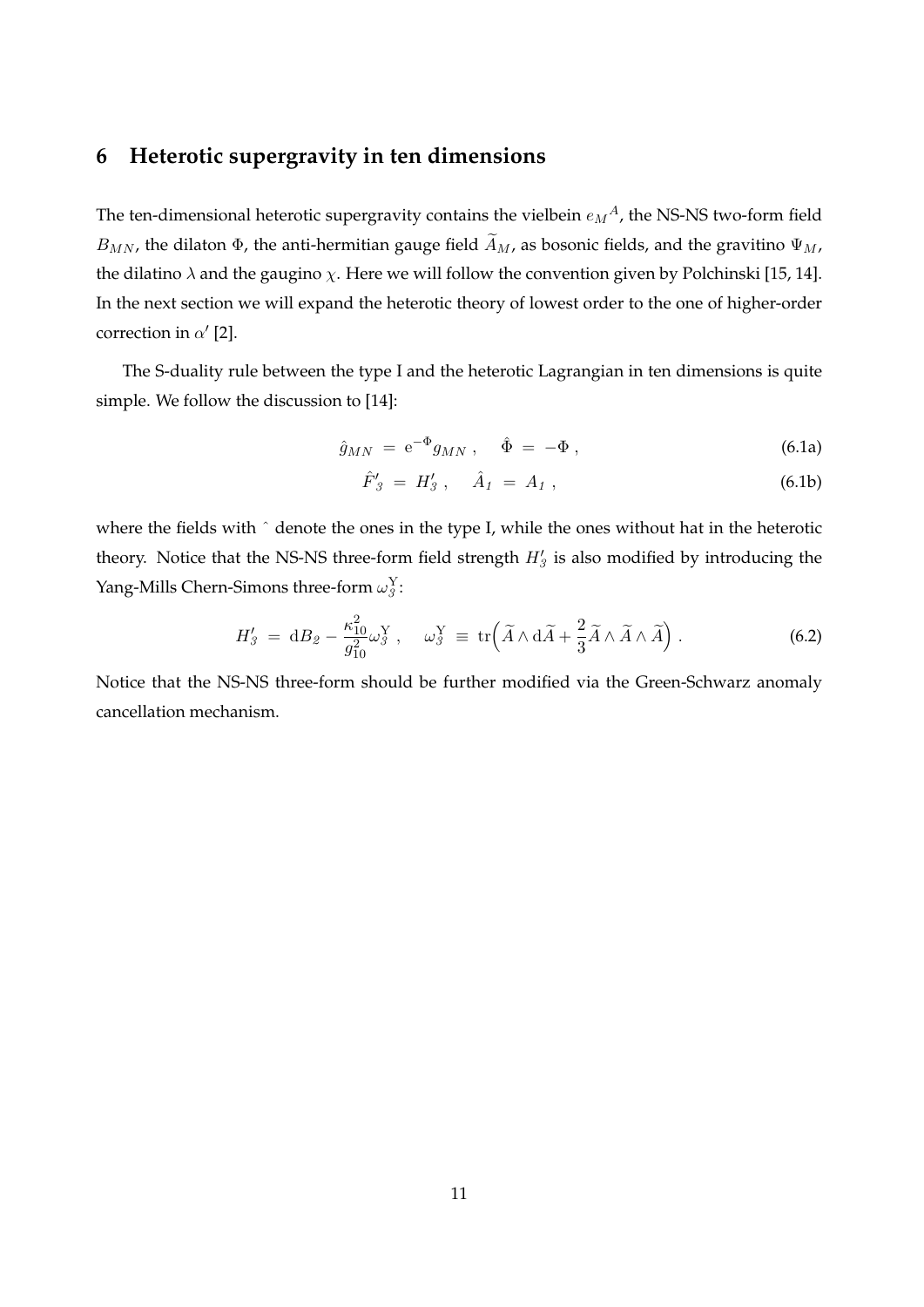# **6 Heterotic supergravity in ten dimensions**

The ten-dimensional heterotic supergravity contains the vielbein  $e_M{}^A$ , the NS-NS two-form field  $B_{MN}$ , the dilaton  $\Phi$ , the anti-hermitian gauge field  $\widetilde{A}_M$ , as bosonic fields, and the gravitino  $\Psi_M$ , the dilatino  $\lambda$  and the gaugino  $\chi$ . Here we will follow the convention given by Polchinski [15, 14]. In the next section we will expand the heterotic theory of lowest order to the one of higher-order correction in *α ′* [2].

The S-duality rule between the type I and the heterotic Lagrangian in ten dimensions is quite simple. We follow the discussion to [14]:

$$
\hat{g}_{MN} = e^{-\Phi} g_{MN} , \quad \hat{\Phi} = -\Phi , \qquad (6.1a)
$$

$$
\hat{F}'_3 = H'_3 \,, \quad \hat{A}_1 = A_1 \,, \tag{6.1b}
$$

where the fields with  $\hat{ }$  denote the ones in the type I, while the ones without hat in the heterotic theory. Notice that the NS-NS three-form field strength  $H'_{3}$  is also modified by introducing the Yang-Mills Chern-Simons three-form  $\omega_j^Y$ :

$$
H'_{\beta} = dB_{\beta} - \frac{\kappa_{10}^2}{g_{10}^2} \omega_{\beta}^Y, \quad \omega_{\beta}^Y \equiv \text{tr}\Big(\widetilde{A} \wedge d\widetilde{A} + \frac{2}{3}\widetilde{A} \wedge \widetilde{A} \wedge \widetilde{A}\Big).
$$
 (6.2)

Notice that the NS-NS three-form should be further modified via the Green-Schwarz anomaly cancellation mechanism.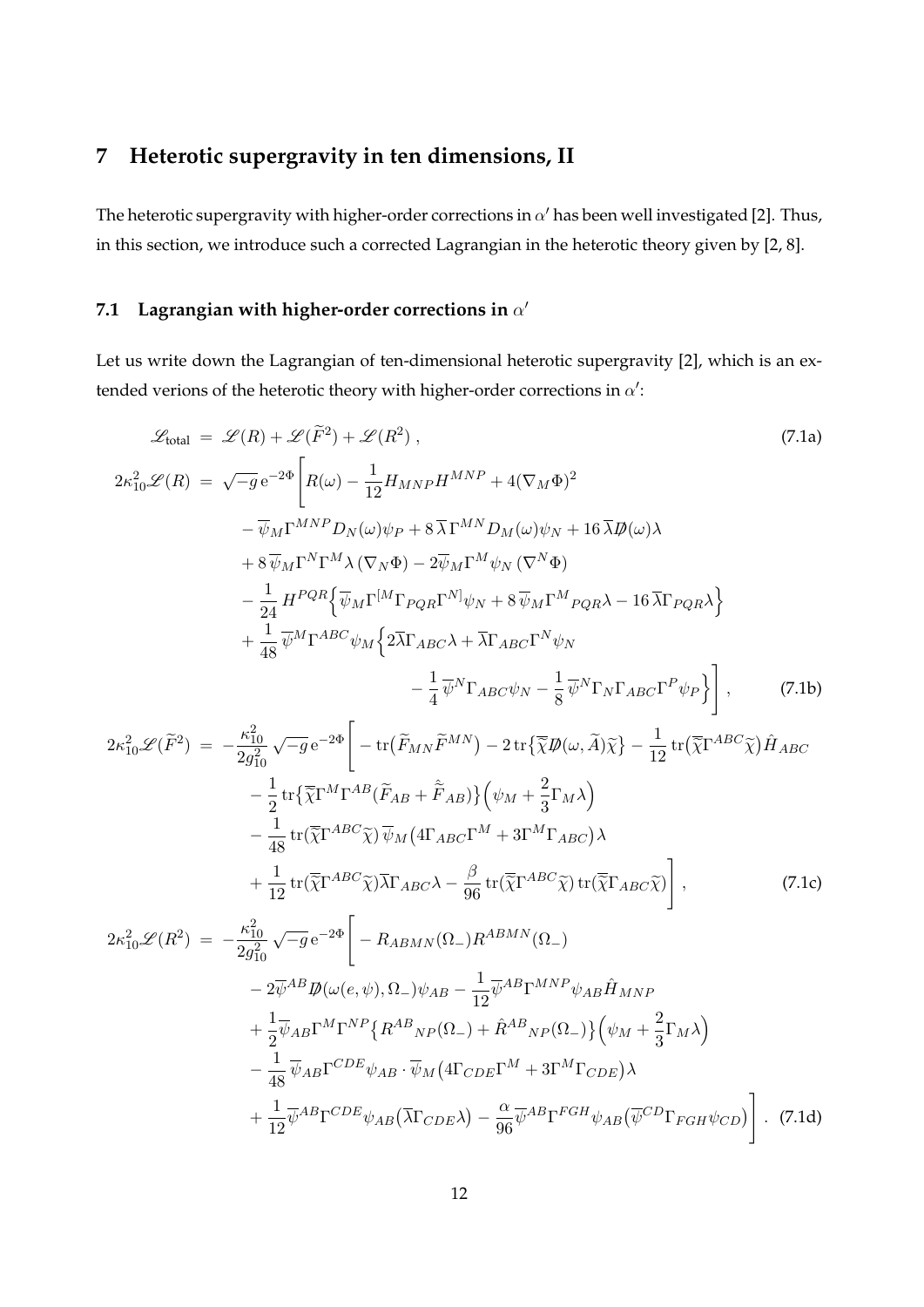# **7 Heterotic supergravity in ten dimensions, II**

The heterotic supergravity with higher-order corrections in  $\alpha'$  has been well investigated [2]. Thus, in this section, we introduce such a corrected Lagrangian in the heterotic theory given by [2, 8].

#### **7.1 Lagrangian with higher-order corrections in** *α ′*

Let us write down the Lagrangian of ten-dimensional heterotic supergravity [2], which is an extended verions of the heterotic theory with higher-order corrections in *α ′* :

$$
\mathcal{L}_{total} = \mathcal{L}(R) + \mathcal{L}(\tilde{F}^{2}) + \mathcal{L}(R^{2}),
$$
\n
$$
2\kappa_{10}^{2}\mathcal{L}(R) = \sqrt{-g}e^{-2\Phi}\left[R(\omega) - \frac{1}{12}H_{MNP}H^{MNP} + 4(\nabla_{M}\Phi)^{2}\right]
$$
\n
$$
- \overline{\psi}_{M}\Gamma^{MNP}D_{N}(\omega)\psi_{P} + 8\overline{\lambda}\Gamma^{MNP}M(\omega)\psi_{N} + 16\overline{\lambda}\mathcal{D}(\omega)\lambda
$$
\n
$$
+ 8\overline{\psi}_{M}\Gamma^{N}\Gamma^{M}\lambda(\nabla_{N}\Phi) - 2\overline{\psi}_{M}\Gamma^{M}\psi_{N}(\nabla^{N}\Phi)
$$
\n
$$
- \frac{1}{24}H^{PQR}\left\{\overline{\psi}_{M}\Gamma^{[M}\Gamma_{PQR}\Gamma^{N]}\psi_{N} + 8\overline{\psi}_{M}\Gamma^{M}P_{QR}\lambda - 16\overline{\lambda}\Gamma_{PQR}\lambda\right\}
$$
\n
$$
+ \frac{1}{48}\overline{\psi}^{M}\Gamma^{ABC}\psi_{M}\left\{2\overline{\lambda}\Gamma_{ABC}\lambda + \overline{\lambda}\Gamma_{ABC}\Gamma^{N}\psi_{N}\right.
$$
\n
$$
- \frac{1}{4}\overline{\psi}^{N}\Gamma_{ABC}\psi_{N} - \frac{1}{8}\overline{\psi}^{N}\Gamma_{N}\Gamma_{ABC}\Gamma^{P}\psi_{P}\right], \qquad (7.1b)
$$
\n
$$
2\kappa_{10}^{2}\mathcal{L}(\tilde{F}^{2}) = -\frac{\kappa_{10}^{2}}{2g_{10}^{2}}\sqrt{-g}e^{-2\Phi}\left[-\text{tr}(\tilde{F}_{MN}\tilde{F}^{MN}) - 2\text{tr}\left\{\overline{\chi}\mathcal{D}(\omega,\tilde{A})\tilde{\chi}\right\} - \frac{1}{12}\text{tr}(\overline{\chi}\Gamma^{ABC}\tilde{\chi})\tilde{H}_{ABC}\right.
$$
\n
$$
- \frac{1}{2}\text{tr}\left\{\overline{\chi}\Gamma^{ABC}\tilde{\chi}\right\}\overline{\psi}_{M}\left(4\Gamma_{ABC}\Gamma^{M} + 3\Gamma^{M}\Gamma_{ABC}\right)\lambda
$$
\n
$$
+ \
$$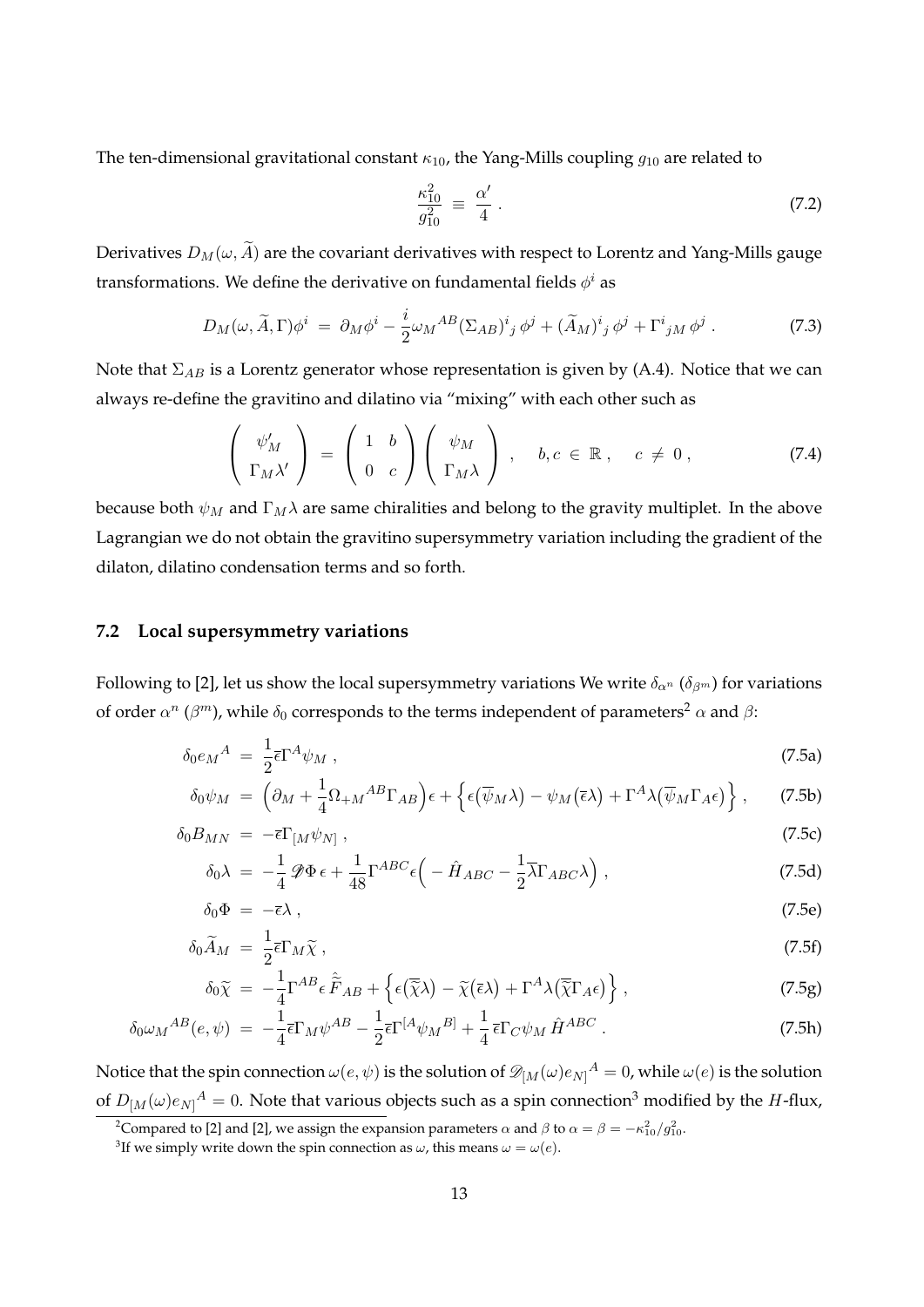The ten-dimensional gravitational constant *κ*10, the Yang-Mills coupling *g*<sup>10</sup> are related to

$$
\frac{\kappa_{10}^2}{g_{10}^2} \equiv \frac{\alpha'}{4} \,. \tag{7.2}
$$

Derivatives  $D_M(\omega, \widetilde{A})$  are the covariant derivatives with respect to Lorentz and Yang-Mills gauge transformations. We define the derivative on fundamental fields  $\phi^i$  as

$$
D_M(\omega, \widetilde{A}, \Gamma) \phi^i = \partial_M \phi^i - \frac{i}{2} \omega_M{}^{AB} (\Sigma_{AB})^i{}_j \phi^j + (\widetilde{A}_M)^i{}_j \phi^j + \Gamma^i{}_{jM} \phi^j \,. \tag{7.3}
$$

Note that Σ*AB* is a Lorentz generator whose representation is given by (A.4). Notice that we can always re-define the gravitino and dilatino via "mixing" with each other such as

$$
\begin{pmatrix}\n\psi'_M \\
\Gamma_M \lambda'\n\end{pmatrix} = \begin{pmatrix}\n1 & b \\
0 & c\n\end{pmatrix} \begin{pmatrix}\n\psi_M \\
\Gamma_M \lambda\n\end{pmatrix}, \quad b, c \in \mathbb{R}, \quad c \neq 0,
$$
\n(7.4)

because both  $\psi_M$  and  $\Gamma_M \lambda$  are same chiralities and belong to the gravity multiplet. In the above Lagrangian we do not obtain the gravitino supersymmetry variation including the gradient of the dilaton, dilatino condensation terms and so forth.

#### **7.2 Local supersymmetry variations**

Following to [2], let us show the local supersymmetry variations We write  $\delta_{\alpha^n}$  ( $\delta_{\beta^m}$ ) for variations of order  $\alpha^n$  ( $\beta^m$ ), while  $\delta_0$  corresponds to the terms independent of parameters<sup>2</sup>  $\alpha$  and  $\beta$ :

$$
\delta_0 e_M{}^A = \frac{1}{2} \bar{\epsilon} \Gamma^A \psi_M \,, \tag{7.5a}
$$

$$
\delta_0 \psi_M = \left( \partial_M + \frac{1}{4} \Omega_{+M}{}^{AB} \Gamma_{AB} \right) \epsilon + \left\{ \epsilon (\overline{\psi}_M \lambda) - \psi_M (\overline{\epsilon} \lambda) + \Gamma^A \lambda (\overline{\psi}_M \Gamma_A \epsilon) \right\}, \tag{7.5b}
$$

$$
\delta_0 B_{MN} = -\bar{\epsilon} \Gamma_{[M} \psi_{N]}, \qquad (7.5c)
$$

$$
\delta_0 \lambda = -\frac{1}{4} \mathcal{D} \Phi \epsilon + \frac{1}{48} \Gamma^{ABC} \epsilon \left( -\hat{H}_{ABC} - \frac{1}{2} \overline{\lambda} \Gamma_{ABC} \lambda \right), \qquad (7.5d)
$$

$$
\delta_0 \Phi = -\bar{\epsilon}\lambda \,, \tag{7.5e}
$$

$$
\delta_0 \widetilde{A}_M = \frac{1}{2} \overline{\epsilon} \Gamma_M \widetilde{\chi} \,, \tag{7.5f}
$$

$$
\delta_0 \widetilde{\chi} = -\frac{1}{4} \Gamma^{AB} \epsilon \widetilde{\widetilde{F}}_{AB} + \left\{ \epsilon (\overline{\widetilde{\chi}} \lambda) - \widetilde{\chi} (\overline{\epsilon} \lambda) + \Gamma^A \lambda (\overline{\widetilde{\chi}} \Gamma_{A} \epsilon) \right\},
$$
\n(7.5g)

$$
\delta_0 \omega_M{}^{AB}(e,\psi) = -\frac{1}{4} \bar{\epsilon} \Gamma_M \psi^{AB} - \frac{1}{2} \bar{\epsilon} \Gamma^{[A} \psi_M{}^{B]} + \frac{1}{4} \bar{\epsilon} \Gamma_C \psi_M \,\hat{H}^{ABC} \,. \tag{7.5h}
$$

Notice that the spin connection  $\omega(e,\psi)$  is the solution of  $\mathscr{D}_{[M}(\omega)e_{N]}{}^{A}=0$ , while  $\omega(e)$  is the solution of  $D_{[M}(\omega)e_{N]}^A = 0$ . Note that various objects such as a spin connection<sup>3</sup> modified by the *H*-flux,

<sup>&</sup>lt;sup>2</sup> Compared to [2] and [2], we assign the expansion parameters *α* and *β* to  $\alpha = \beta = -\kappa_{10}^2/g_{10}^2$ .

<sup>&</sup>lt;sup>3</sup>If we simply write down the spin connection as  $\omega$ , this means  $\omega = \omega(e)$ .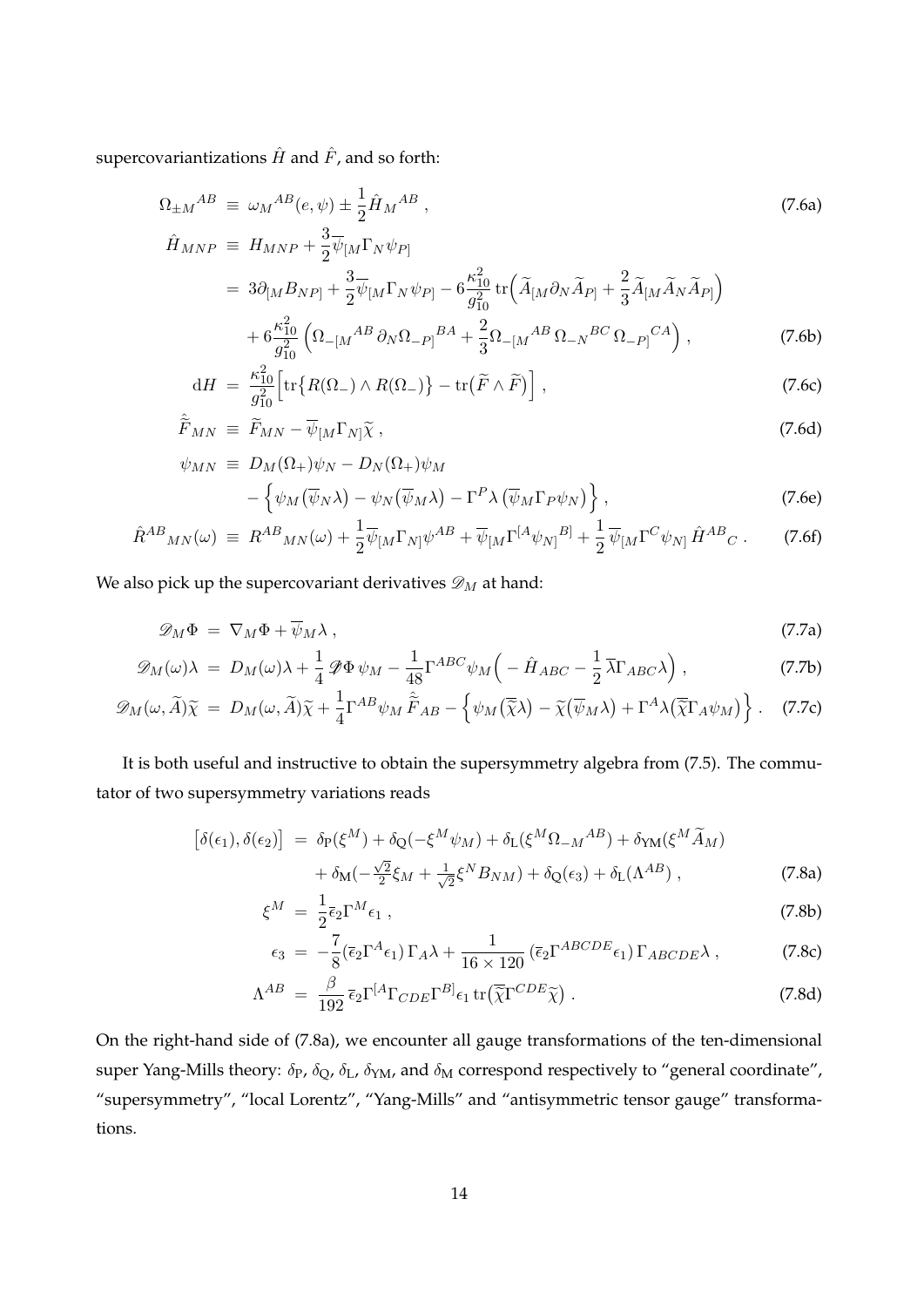supercovariantizations  $\hat{H}$  and  $\hat{F}$  , and so forth:

$$
\Omega_{\pm M}{}^{AB} \equiv \omega_M{}^{AB}(e,\psi) \pm \frac{1}{2}\hat{H}_M{}^{AB} ,
$$
\n
$$
\hat{H}_{MNP} \equiv H_{MNP} + \frac{3}{2}\overline{\psi}_{[M}\Gamma_N\psi_{P]}
$$
\n(7.6a)

$$
= 3\partial_{[M}B_{NP]} + \frac{3}{2}\overline{\psi}_{[M}\Gamma_N\psi_{P]} - 6\frac{\kappa_{10}^2}{g_{10}^2}\text{tr}\left(\widetilde{A}_{[M}\partial_N\widetilde{A}_{P]} + \frac{2}{3}\widetilde{A}_{[M}\widetilde{A}_N\widetilde{A}_{P]}\right) + 6\frac{\kappa_{10}^2}{g_{10}^2}\left(\Omega_{-[M}^{AB}\partial_N\Omega_{-P]}^{BA} + \frac{2}{3}\Omega_{-[M}^{AB}\Omega_{-N}^{BC}\Omega_{-P]}^{CA}\right),
$$
(7.6b)

$$
dH = \frac{\kappa_{10}^2}{g_{10}^2} \Big[ tr \big\{ R(\Omega_-) \wedge R(\Omega_-) \big\} - tr \big( \widetilde{F} \wedge \widetilde{F} \big) \Big] , \tag{7.6c}
$$

$$
\hat{\widetilde{F}}_{MN} \equiv \widetilde{F}_{MN} - \overline{\psi}_{[M} \Gamma_{N]} \widetilde{\chi} \,, \tag{7.6d}
$$

$$
\psi_{MN} \equiv D_M(\Omega_+) \psi_N - D_N(\Omega_+) \psi_M - \left\{ \psi_M(\overline{\psi}_N \lambda) - \psi_N(\overline{\psi}_M \lambda) - \Gamma^P \lambda (\overline{\psi}_M \Gamma_P \psi_N) \right\},
$$
(7.6e)

$$
\hat{R}^{AB}{}_{MN}(\omega) \equiv R^{AB}{}_{MN}(\omega) + \frac{1}{2}\overline{\psi}_{[M}\Gamma_{N]}\psi^{AB} + \overline{\psi}_{[M}\Gamma^{[A}\psi_{N]}{}^{B]} + \frac{1}{2}\overline{\psi}_{[M}\Gamma^{C}\psi_{N]}\hat{H}^{AB}{}_{C} \,. \tag{7.6f}
$$

We also pick up the supercovariant derivatives  $\mathscr{D}_M$  at hand:

$$
\mathscr{D}_M\Phi = \nabla_M\Phi + \overline{\psi}_M\lambda , \qquad (7.7a)
$$

$$
\mathscr{D}_M(\omega)\lambda = D_M(\omega)\lambda + \frac{1}{4}\mathscr{D}\Phi\,\psi_M - \frac{1}{48}\Gamma^{ABC}\psi_M\left(-\hat{H}_{ABC} - \frac{1}{2}\overline{\lambda}\Gamma_{ABC}\lambda\right),\tag{7.7b}
$$

$$
\mathscr{D}_M(\omega,\widetilde{A})\widetilde{\chi} = D_M(\omega,\widetilde{A})\widetilde{\chi} + \frac{1}{4}\Gamma^{AB}\psi_M\widetilde{F}_{AB} - \left\{\psi_M(\widetilde{\chi}\lambda) - \widetilde{\chi}(\overline{\psi}_M\lambda) + \Gamma^A\lambda(\widetilde{\chi}\Gamma_A\psi_M)\right\}.
$$
 (7.7c)

It is both useful and instructive to obtain the supersymmetry algebra from (7.5). The commutator of two supersymmetry variations reads

$$
\begin{aligned}\n\left[\delta(\epsilon_1), \delta(\epsilon_2)\right] &= \delta_{\text{P}}(\xi^M) + \delta_{\text{Q}}(-\xi^M \psi_M) + \delta_{\text{L}}(\xi^M \Omega_{-M}{}^{AB}) + \delta_{\text{YM}}(\xi^M \widetilde{A}_M) \\
&\quad + \delta_{\text{M}}(-\frac{\sqrt{2}}{2}\xi_M + \frac{1}{\sqrt{2}}\xi^N B_{NM}) + \delta_{\text{Q}}(\epsilon_3) + \delta_{\text{L}}(\Lambda^{AB})\,,\n\end{aligned} \tag{7.8a}
$$

$$
\xi^M = \frac{1}{2} \bar{\epsilon}_2 \Gamma^M \epsilon_1 \,, \tag{7.8b}
$$

$$
\epsilon_3 = -\frac{7}{8} (\bar{\epsilon}_2 \Gamma^A \epsilon_1) \Gamma_A \lambda + \frac{1}{16 \times 120} (\bar{\epsilon}_2 \Gamma^{ABCDE} \epsilon_1) \Gamma_{ABCDE} \lambda , \qquad (7.8c)
$$

$$
\Lambda^{AB} = \frac{\beta}{192} \bar{\epsilon}_2 \Gamma^{[A} \Gamma_{CDE} \Gamma^{B]} \epsilon_1 \operatorname{tr} (\overline{\tilde{\chi}} \Gamma^{CDE} \widetilde{\chi}) . \tag{7.8d}
$$

On the right-hand side of (7.8a), we encounter all gauge transformations of the ten-dimensional super Yang-Mills theory:  $\delta_P$ ,  $\delta_Q$ ,  $\delta_L$ ,  $\delta_{YM}$ , and  $\delta_M$  correspond respectively to "general coordinate", "supersymmetry", "local Lorentz", "Yang-Mills" and "antisymmetric tensor gauge" transformations.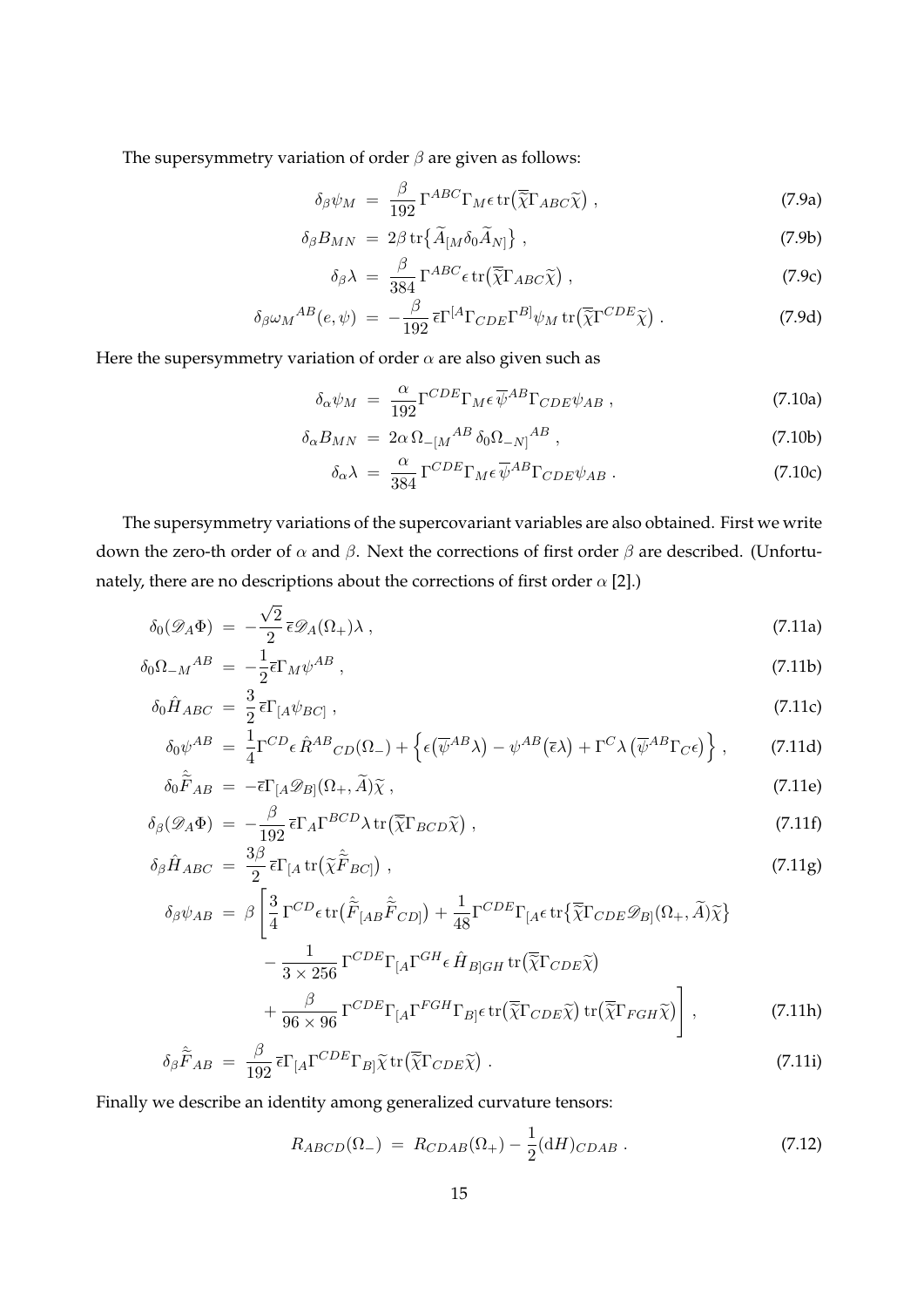The supersymmetry variation of order *β* are given as follows:

$$
\delta_{\beta}\psi_M = \frac{\beta}{192} \Gamma^{ABC} \Gamma_M \epsilon \operatorname{tr}(\overline{\tilde{\chi}} \Gamma_{ABC} \tilde{\chi}) , \qquad (7.9a)
$$

$$
\delta_{\beta} B_{MN} = 2\beta \operatorname{tr} \{ \widetilde{A}_{[M} \delta_0 \widetilde{A}_{N]} \}, \qquad (7.9b)
$$

$$
\delta_{\beta}\lambda = \frac{\beta}{384} \Gamma^{ABC} \epsilon \operatorname{tr}(\overline{\tilde{\chi}} \Gamma_{ABC} \tilde{\chi}), \qquad (7.9c)
$$

$$
\delta_{\beta}\omega_{M}^{AB}(e,\psi) = -\frac{\beta}{192}\bar{\epsilon}\Gamma^{[A}\Gamma_{CDE}\Gamma^{B]}\psi_{M}\,\text{tr}\big(\overline{\tilde{\chi}}\Gamma^{CDE}\widetilde{\chi}\big) \,. \tag{7.9d}
$$

Here the supersymmetry variation of order  $\alpha$  are also given such as

$$
\delta_{\alpha}\psi_M = \frac{\alpha}{192} \Gamma^{CDE} \Gamma_M \epsilon \overline{\psi}^{AB} \Gamma_{CDE} \psi_{AB} , \qquad (7.10a)
$$

$$
\delta_{\alpha} B_{MN} = 2\alpha \,\Omega_{-[M}{}^{AB} \,\delta_0 \Omega_{-N]}{}^{AB} \,, \tag{7.10b}
$$

$$
\delta_{\alpha}\lambda = \frac{\alpha}{384} \Gamma^{CDE} \Gamma_M \epsilon \overline{\psi}^{AB} \Gamma_{CDE} \psi_{AB} . \tag{7.10c}
$$

The supersymmetry variations of the supercovariant variables are also obtained. First we write down the zero-th order of *α* and *β*. Next the corrections of first order *β* are described. (Unfortunately, there are no descriptions about the corrections of first order *α* [2].)

$$
\delta_0(\mathscr{D}_A \Phi) = -\frac{\sqrt{2}}{2} \bar{\epsilon} \mathscr{D}_A(\Omega_+) \lambda , \qquad (7.11a)
$$

$$
\delta_0 \Omega_{-M}{}^{AB} = -\frac{1}{2} \bar{\epsilon} \Gamma_M \psi^{AB} \,, \tag{7.11b}
$$

$$
\delta_0 \hat{H}_{ABC} = \frac{3}{2} \bar{\epsilon} \Gamma_{[A} \psi_{BC]}, \qquad (7.11c)
$$

$$
\delta_0 \psi^{AB} = \frac{1}{4} \Gamma^{CD} \epsilon \hat{R}^{AB}{}_{CD}(\Omega_-) + \left\{ \epsilon (\overline{\psi}^{AB} \lambda) - \psi^{AB} (\overline{\epsilon} \lambda) + \Gamma^C \lambda (\overline{\psi}^{AB} \Gamma_C \epsilon) \right\}, \tag{7.11d}
$$

$$
\delta_0 \hat{\tilde{F}}_{AB} = -\bar{\epsilon} \Gamma_{[A} \mathscr{D}_{B]}(\Omega_+, \tilde{A}) \tilde{\chi} \,, \tag{7.11e}
$$

$$
\delta_{\beta}(\mathscr{D}_A \Phi) = -\frac{\beta}{192} \bar{\epsilon} \Gamma_A \Gamma^{BCD} \lambda \operatorname{tr}(\overline{\tilde{\chi}} \Gamma_{BCD} \tilde{\chi}), \tag{7.11f}
$$
\n
$$
\delta_{\beta} \hat{\tau} = \frac{3\beta}{2} \Gamma_{AC} (\tilde{\tau} \tilde{\tau}) \tag{7.11g}
$$

$$
\delta_{\beta}\hat{H}_{ABC} = \frac{3\beta}{2} \bar{\epsilon} \Gamma_{[A} \text{tr}(\tilde{\chi}\hat{\tilde{F}}_{BC}]) , \qquad (7.11g)
$$

$$
\delta_{\beta}\psi_{AB} = \beta \left[ \frac{3}{4} \Gamma^{CD} \epsilon \operatorname{tr}(\tilde{\tilde{F}}_{[AB}\tilde{\tilde{F}}_{CD]}) + \frac{1}{48} \Gamma^{CDE} \Gamma_{[A} \epsilon \operatorname{tr} \{ \overline{\tilde{\chi}} \Gamma_{CDE} \mathscr{D}_{B]}(\Omega_{+}, \tilde{A}) \tilde{\chi} \} - \frac{1}{3 \times 256} \Gamma^{CDE} \Gamma_{[A} \Gamma^{GH} \epsilon \hat{H}_{B]GH} \operatorname{tr}(\overline{\tilde{\chi}} \Gamma_{CDE} \tilde{\chi}) + \frac{\beta}{96 \times 96} \Gamma^{CDE} \Gamma_{[A} \Gamma^{FGH} \Gamma_{B]} \epsilon \operatorname{tr}(\overline{\tilde{\chi}} \Gamma_{CDE} \tilde{\chi}) \operatorname{tr}(\overline{\tilde{\chi}} \Gamma_{FGH} \tilde{\chi}) \right], \tag{7.11h}
$$

$$
\delta_{\beta}\hat{\tilde{F}}_{AB} = \frac{\beta}{192} \bar{\epsilon} \Gamma_{[A} \Gamma^{CDE} \Gamma_{B]} \tilde{\chi} \operatorname{tr} (\overline{\tilde{\chi}} \Gamma_{CDE} \tilde{\chi}) . \tag{7.11}
$$

Finally we describe an identity among generalized curvature tensors:

$$
R_{ABCD}(\Omega_{-}) = R_{CDAB}(\Omega_{+}) - \frac{1}{2} (dH)_{CDAB}. \qquad (7.12)
$$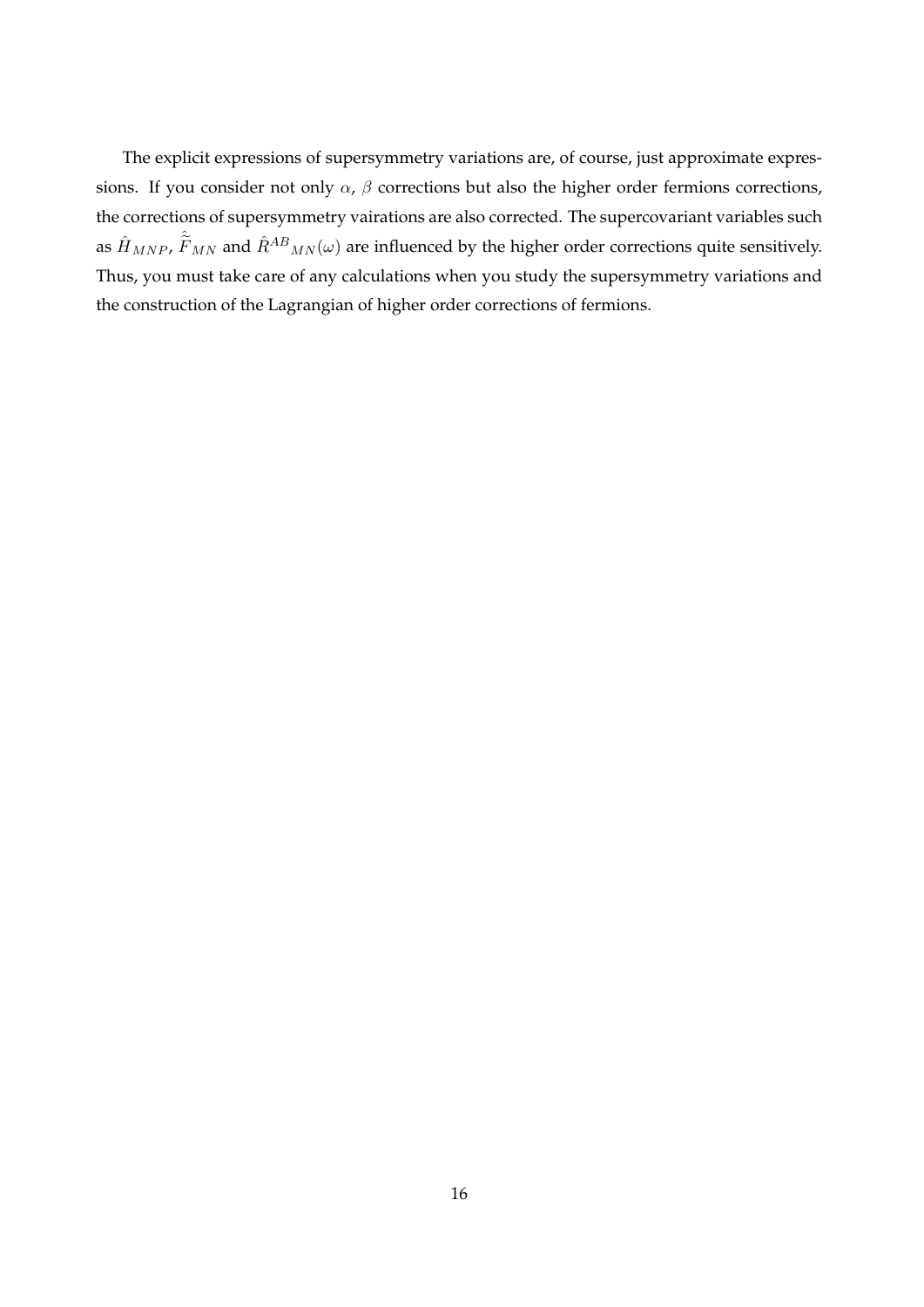The explicit expressions of supersymmetry variations are, of course, just approximate expressions. If you consider not only  $\alpha$ ,  $\beta$  corrections but also the higher order fermions corrections, the corrections of supersymmetry vairations are also corrected. The supercovariant variables such as  $\hat{H}_{MNP}$ ,  $\hat{\tilde{F}}_{MN}$  and  $\hat{R}^{AB}{}_{MN}(\omega)$  are influenced by the higher order corrections quite sensitively. Thus, you must take care of any calculations when you study the supersymmetry variations and the construction of the Lagrangian of higher order corrections of fermions.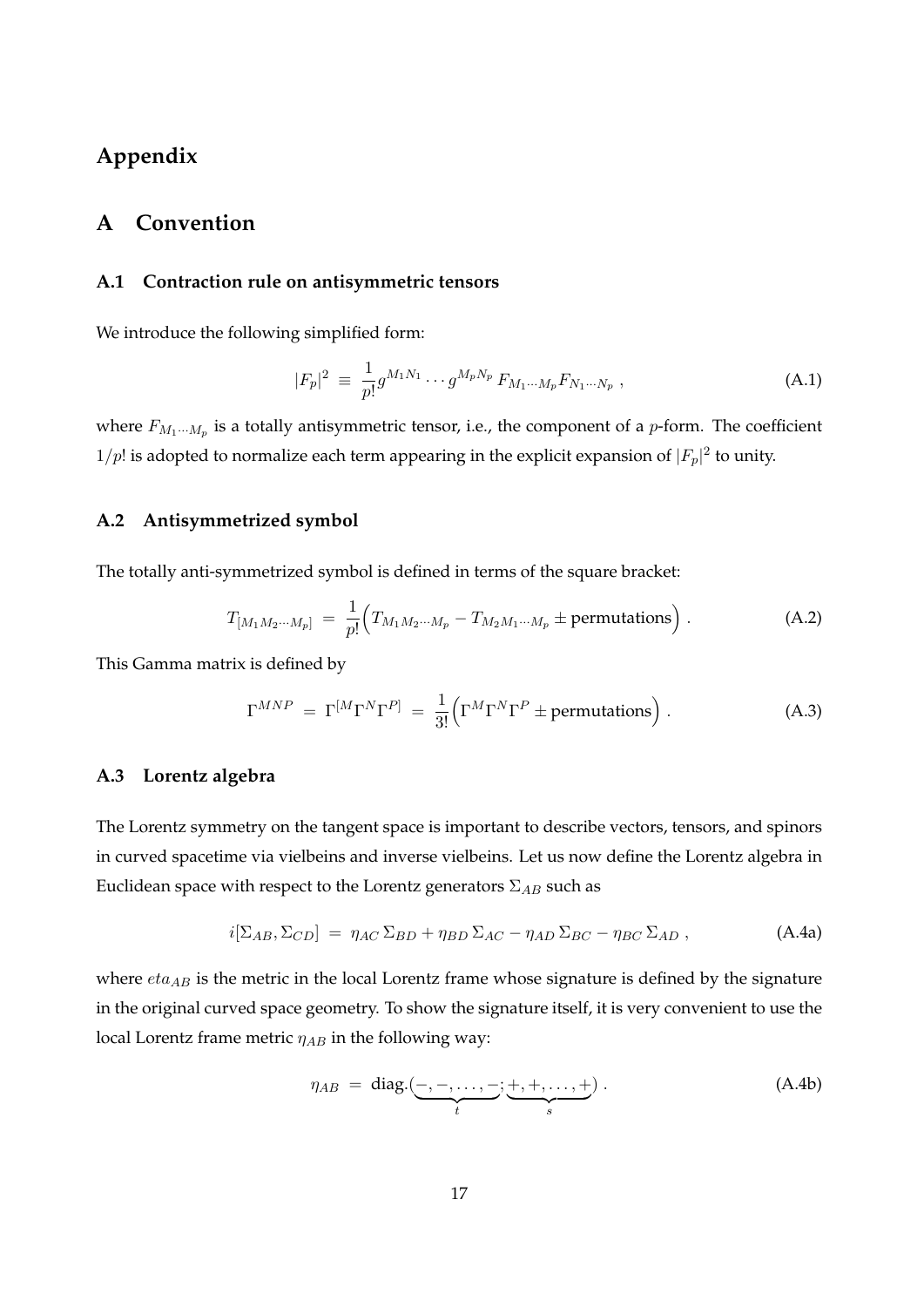# **Appendix**

## **A Convention**

#### **A.1 Contraction rule on antisymmetric tensors**

We introduce the following simplified form:

$$
|F_p|^2 \equiv \frac{1}{p!} g^{M_1 N_1} \cdots g^{M_p N_p} F_{M_1 \cdots M_p} F_{N_1 \cdots N_p} , \qquad (A.1)
$$

where  $F_{M_1\cdots M_p}$  is a totally antisymmetric tensor, i.e., the component of a *p*-form. The coefficient  $1/p!$  is adopted to normalize each term appearing in the explicit expansion of  $|F_p|^2$  to unity.

### **A.2 Antisymmetrized symbol**

The totally anti-symmetrized symbol is defined in terms of the square bracket:

$$
T_{[M_1M_2\cdots M_p]} = \frac{1}{p!} \Big( T_{M_1M_2\cdots M_p} - T_{M_2M_1\cdots M_p} \pm \text{permutations} \Big) . \tag{A.2}
$$

This Gamma matrix is defined by

$$
\Gamma^{MNP} = \Gamma^{[M}\Gamma^{N}\Gamma^{P]} = \frac{1}{3!} \Big(\Gamma^{M}\Gamma^{N}\Gamma^{P} \pm \text{permutations}\Big) . \tag{A.3}
$$

## **A.3 Lorentz algebra**

The Lorentz symmetry on the tangent space is important to describe vectors, tensors, and spinors in curved spacetime via vielbeins and inverse vielbeins. Let us now define the Lorentz algebra in Euclidean space with respect to the Lorentz generators Σ*AB* such as

$$
i[\Sigma_{AB}, \Sigma_{CD}] = \eta_{AC} \Sigma_{BD} + \eta_{BD} \Sigma_{AC} - \eta_{AD} \Sigma_{BC} - \eta_{BC} \Sigma_{AD} , \qquad (A.4a)
$$

where  $eta_{AB}$  is the metric in the local Lorentz frame whose signature is defined by the signature in the original curved space geometry. To show the signature itself, it is very convenient to use the local Lorentz frame metric *ηAB* in the following way:

$$
\eta_{AB} = \text{diag.}(\underbrace{-,-,\dots,-}_{t};\underbrace{+,+,\dots,+}_{s}). \tag{A.4b}
$$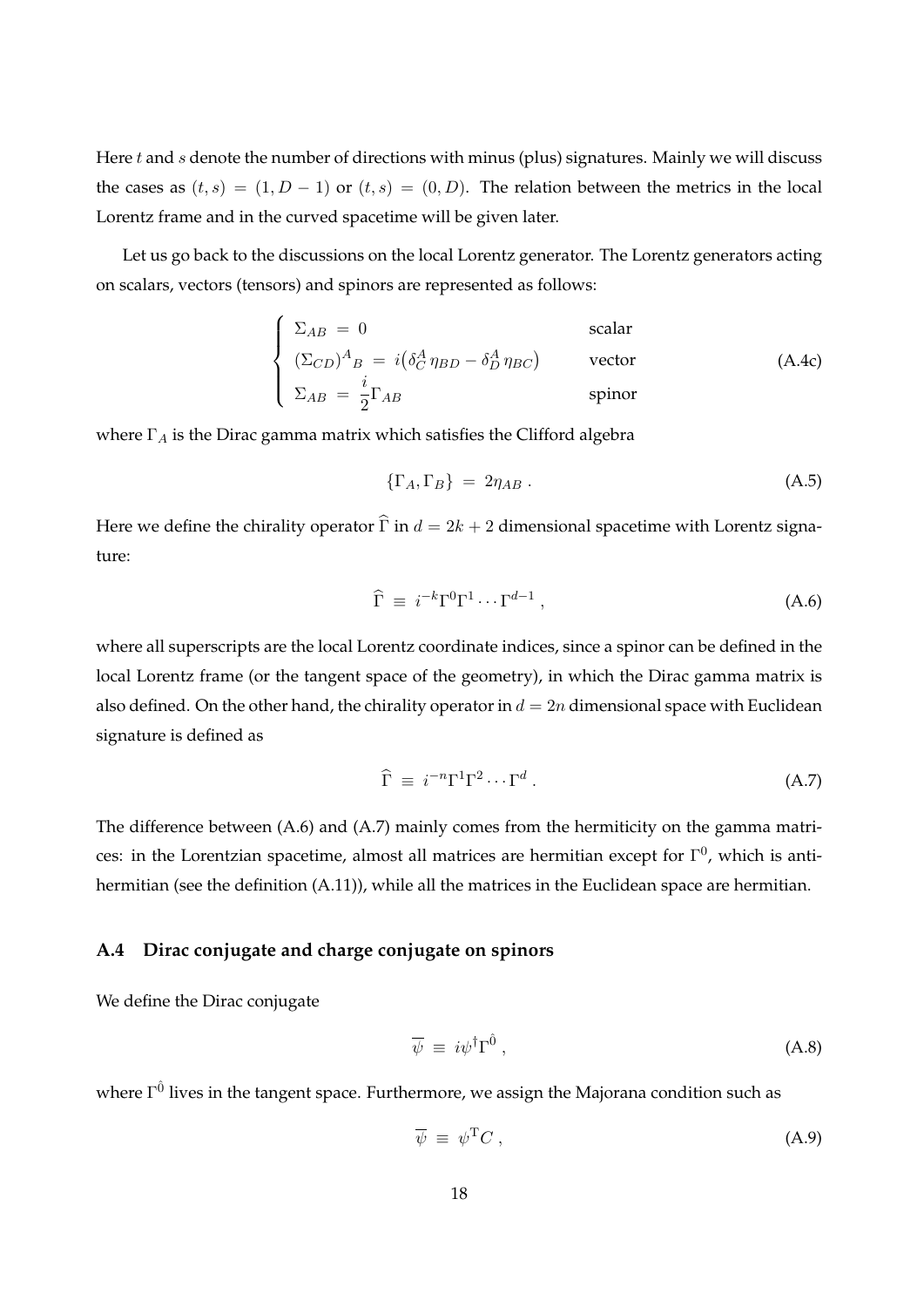Here *t* and *s* denote the number of directions with minus (plus) signatures. Mainly we will discuss the cases as  $(t, s) = (1, D - 1)$  or  $(t, s) = (0, D)$ . The relation between the metrics in the local Lorentz frame and in the curved spacetime will be given later.

Let us go back to the discussions on the local Lorentz generator. The Lorentz generators acting on scalars, vectors (tensors) and spinors are represented as follows:

$$
\begin{cases}\n\Sigma_{AB} = 0 & scalar \\
(\Sigma_{CD})^{A}{}_{B} = i(\delta_{C}^{A} \eta_{BD} - \delta_{D}^{A} \eta_{BC}) & vector \\
\Sigma_{AB} = \frac{i}{2} \Gamma_{AB} & spinor\n\end{cases}
$$
\n(A.4c)

where Γ*<sup>A</sup>* is the Dirac gamma matrix which satisfies the Clifford algebra

$$
\{\Gamma_A, \Gamma_B\} = 2\eta_{AB} \tag{A.5}
$$

Here we define the chirality operator  $\hat{\Gamma}$  in  $d = 2k + 2$  dimensional spacetime with Lorentz signature:

$$
\widehat{\Gamma} \equiv i^{-k} \Gamma^0 \Gamma^1 \cdots \Gamma^{d-1} \,, \tag{A.6}
$$

where all superscripts are the local Lorentz coordinate indices, since a spinor can be defined in the local Lorentz frame (or the tangent space of the geometry), in which the Dirac gamma matrix is also defined. On the other hand, the chirality operator in  $d = 2n$  dimensional space with Euclidean signature is defined as

$$
\widehat{\Gamma} \equiv i^{-n} \Gamma^1 \Gamma^2 \cdots \Gamma^d \,. \tag{A.7}
$$

The difference between (A.6) and (A.7) mainly comes from the hermiticity on the gamma matrices: in the Lorentzian spacetime, almost all matrices are hermitian except for  $\Gamma^0$ , which is antihermitian (see the definition (A.11)), while all the matrices in the Euclidean space are hermitian.

#### **A.4 Dirac conjugate and charge conjugate on spinors**

We define the Dirac conjugate

$$
\overline{\psi} \equiv i\psi^{\dagger} \Gamma^{\hat{0}} \,, \tag{A.8}
$$

where  $\Gamma^{\hat{0}}$  lives in the tangent space. Furthermore, we assign the Majorana condition such as

$$
\overline{\psi} \equiv \psi^{\mathrm{T}} C \,, \tag{A.9}
$$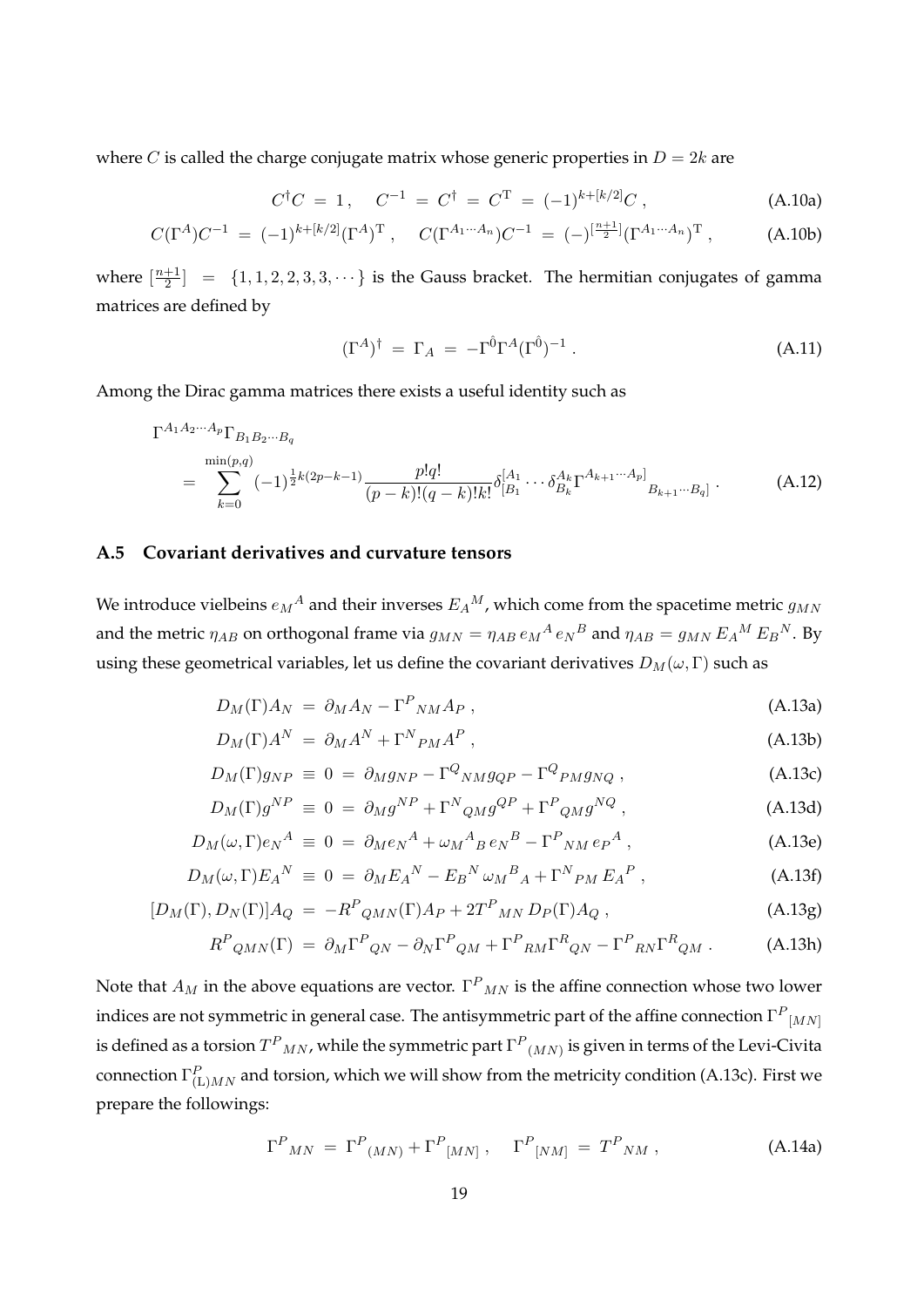where *C* is called the charge conjugate matrix whose generic properties in  $D = 2k$  are

$$
C^{\dagger}C = 1, \quad C^{-1} = C^{\dagger} = C^{T} = (-1)^{k + [k/2]}C, \tag{A.10a}
$$

$$
C(\Gamma^A)C^{-1} = (-1)^{k+[k/2]}(\Gamma^A)^{\mathrm{T}}, \quad C(\Gamma^{A_1\cdots A_n})C^{-1} = (-)^{[\frac{n+1}{2}]}(\Gamma^{A_1\cdots A_n})^{\mathrm{T}}, \quad (A.10b)
$$

where  $\left[\frac{n+1}{2}\right]$  $\left[\frac{+1}{2}\right]$  = {1, 1, 2, 2, 3, 3,  $\cdots$ } is the Gauss bracket. The hermitian conjugates of gamma matrices are defined by

$$
(\Gamma^A)^\dagger = \Gamma_A = -\Gamma^{\hat{0}} \Gamma^A (\Gamma^{\hat{0}})^{-1} . \tag{A.11}
$$

Among the Dirac gamma matrices there exists a useful identity such as

$$
\Gamma^{A_1 A_2 \cdots A_p} \Gamma_{B_1 B_2 \cdots B_q}
$$
\n
$$
= \sum_{k=0}^{\min(p,q)} (-1)^{\frac{1}{2}k(2p-k-1)} \frac{p!q!}{(p-k)!(q-k)!k!} \delta^{[A_1}_{[B_1} \cdots \delta^{A_k}_{B_k} \Gamma^{A_{k+1} \cdots A_p]}_{B_{k+1} \cdots B_q]}.
$$
\n(A.12)

#### **A.5 Covariant derivatives and curvature tensors**

We introduce vielbeins  $e_M{}^A$  and their inverses  $E_A{}^M$ , which come from the spacetime metric  $g_{MN}$ and the metric  $\eta_{AB}$  on orthogonal frame via  $g_{MN} = \eta_{AB} e_M{}^A e_N{}^B$  and  $\eta_{AB} = g_{MN} E_A{}^M E_B{}^N$ . By using these geometrical variables, let us define the covariant derivatives  $D_M(\omega, \Gamma)$  such as

$$
D_M(\Gamma)A_N = \partial_M A_N - \Gamma^P_{NM} A_P , \qquad (A.13a)
$$

$$
D_M(\Gamma)A^N = \partial_M A^N + \Gamma^N P_M A^P , \qquad (A.13b)
$$

$$
D_M(\Gamma)g_{NP} \equiv 0 = \partial_M g_{NP} - \Gamma^Q{}_{NM} g_{QP} - \Gamma^Q{}_{PM} g_{NQ} \,, \tag{A.13c}
$$

$$
D_M(\Gamma)g^{NP} \equiv 0 = \partial_M g^{NP} + \Gamma^N q_M g^{QP} + \Gamma^P q_M g^{NQ} , \qquad (A.13d)
$$

$$
D_M(\omega,\Gamma)e_N^A \equiv 0 = \partial_M e_N^A + \omega_M{}^A{}_B e_N{}^B - \Gamma^P{}_{NM} e_P{}^A , \qquad (A.13e)
$$

$$
D_M(\omega,\Gamma)E_A{}^N \equiv 0 = \partial_M E_A{}^N - E_B{}^N \omega_M{}^B{}_A + \Gamma^N{}_{PM} E_A{}^P \,, \tag{A.13f}
$$

$$
[D_M(\Gamma), D_N(\Gamma)]A_Q = -R^P_{QMN}(\Gamma)A_P + 2T^P_{MN} D_P(\Gamma)A_Q, \qquad (A.13g)
$$

$$
R^{P}{}_{QMN}(\Gamma) = \partial_{M}\Gamma^{P}{}_{QN} - \partial_{N}\Gamma^{P}{}_{QM} + \Gamma^{P}{}_{RM}\Gamma^{R}{}_{QN} - \Gamma^{P}{}_{RN}\Gamma^{R}{}_{QM} . \tag{A.13h}
$$

Note that  $A_M$  in the above equations are vector.  $\Gamma^P{}_{MN}$  is the affine connection whose two lower indices are not symmetric in general case. The antisymmetric part of the affine connection  $\Gamma^P_{\ |M N|}$ is defined as a torsion  $T^P{}_{MN}$ , while the symmetric part  $\Gamma^P{}_{(MN)}$  is given in terms of the Levi-Civita connection  $\Gamma_{(L)MN}^P$  and torsion, which we will show from the metricity condition (A.13c). First we prepare the followings:

$$
\Gamma^{P}{}_{MN} = \Gamma^{P}{}_{(MN)} + \Gamma^{P}{}_{[MN]}, \quad \Gamma^{P}{}_{[NM]} = T^{P}{}_{NM}, \qquad (A.14a)
$$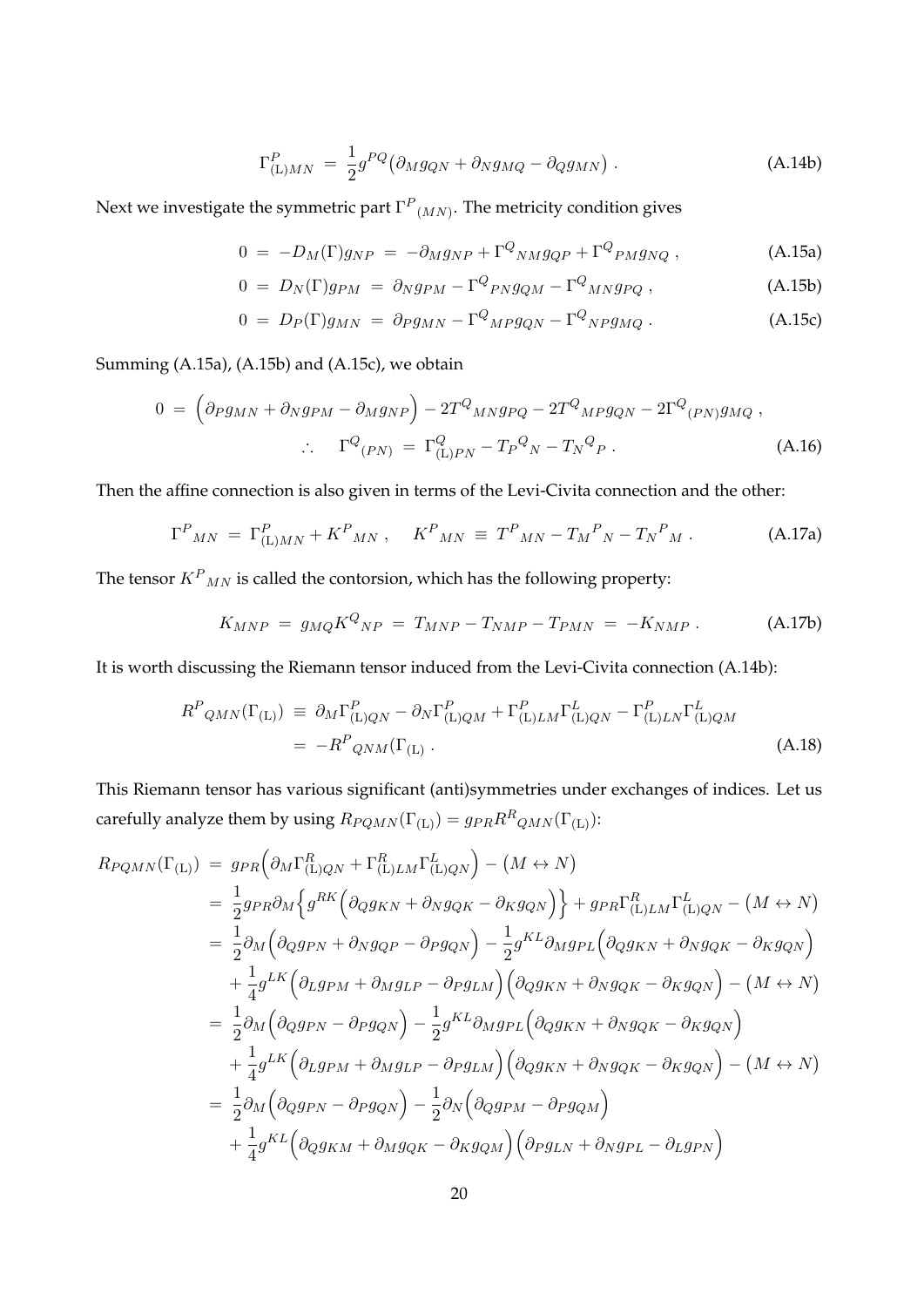$$
\Gamma_{(L)MN}^P = \frac{1}{2} g^{PQ} \left( \partial_M g_{QN} + \partial_N g_{MQ} - \partial_Q g_{MN} \right). \tag{A.14b}
$$

Next we investigate the symmetric part  $\Gamma^P\mathstrut_{(MN)}$ . The metricity condition gives

$$
0 = -D_M(\Gamma)g_{NP} = -\partial_M g_{NP} + \Gamma^Q{}_{NM} g_{QP} + \Gamma^Q{}_{PM} g_{NQ} , \qquad (A.15a)
$$

$$
0 = D_N(\Gamma)g_{PM} = \partial_N g_{PM} - \Gamma^Q{}_{PN} g_{QM} - \Gamma^Q{}_{M N} g_{PQ} , \qquad (A.15b)
$$

$$
0 = D_P(\Gamma)g_{MN} = \partial_P g_{MN} - \Gamma^Q{}_{MP}g_{QN} - \Gamma^Q{}_{NP}g_{MQ} \,. \tag{A.15c}
$$

Summing (A.15a), (A.15b) and (A.15c), we obtain

$$
0 = \left(\partial_P g_{MN} + \partial_N g_{PM} - \partial_M g_{NP}\right) - 2T^Q_{~M N} g_{PQ} - 2T^Q_{~M P} g_{QN} - 2\Gamma^Q_{~(PN)} g_{MQ} ,
$$
  

$$
\therefore \quad \Gamma^Q_{~(PN)} = \Gamma^Q_{(\text{L})PN} - T_P^Q_{~N} - T_N^Q_{~P} .
$$
 (A.16)

Then the affine connection is also given in terms of the Levi-Civita connection and the other:

$$
\Gamma^{P}{}_{MN} = \Gamma^{P}_{(L)MN} + K^{P}{}_{MN} , \quad K^{P}{}_{MN} \equiv T^{P}{}_{MN} - T_{M}{}^{P}{}_{N} - T_{N}{}^{P}{}_{M} . \tag{A.17a}
$$

The tensor  $K^P{}_{MN}$  is called the contorsion, which has the following property:

$$
K_{MNP} = g_{MQ} K^{Q}{}_{NP} = T_{MNP} - T_{NMP} - T_{PMN} = -K_{NMP} . \tag{A.17b}
$$

It is worth discussing the Riemann tensor induced from the Levi-Civita connection (A.14b):

$$
R^{P}{}_{QMN}(\Gamma_{\text{(L)}}) \equiv \partial_{M}\Gamma^{P}_{\text{(L)}QN} - \partial_{N}\Gamma^{P}_{\text{(L)}QM} + \Gamma^{P}_{\text{(L)}LM}\Gamma^{L}_{\text{(L)}QN} - \Gamma^{P}_{\text{(L)}LN}\Gamma^{L}_{\text{(L)}QM}
$$
\n
$$
= -R^{P}{}_{QNM}(\Gamma_{\text{(L)}}).
$$
\n(A.18)

This Riemann tensor has various significant (anti)symmetries under exchanges of indices. Let us carefully analyze them by using  $R_{PQMN}(\Gamma_{(L)}) = g_{PR}R^R_{QMN}(\Gamma_{(L)})$ :

$$
R_{PQMN}(\Gamma_{(L)}) = g_{PR} \left( \partial_M \Gamma_{(L)QN}^R + \Gamma_{(L)LM}^R \Gamma_{(L)QN}^L \right) - (M \leftrightarrow N)
$$
  
\n
$$
= \frac{1}{2} g_{PR} \partial_M \left\{ g^{RK} \left( \partial_Q g_{KN} + \partial_N g_{QK} - \partial_K g_{QN} \right) \right\} + g_{PR} \Gamma_{(L)LM}^R \Gamma_{(L)QN}^L - (M \leftrightarrow N)
$$
  
\n
$$
= \frac{1}{2} \partial_M \left( \partial_Q g_{PN} + \partial_N g_{QP} - \partial_P g_{QN} \right) - \frac{1}{2} g^{KL} \partial_M g_{PL} \left( \partial_Q g_{KN} + \partial_N g_{QK} - \partial_K g_{QN} \right)
$$
  
\n
$$
+ \frac{1}{4} g^{LK} \left( \partial_L g_{PM} + \partial_M g_{LP} - \partial_P g_{LM} \right) \left( \partial_Q g_{KN} + \partial_N g_{QK} - \partial_K g_{QN} \right) - (M \leftrightarrow N)
$$
  
\n
$$
= \frac{1}{2} \partial_M \left( \partial_Q g_{PN} - \partial_P g_{QN} \right) - \frac{1}{2} g^{KL} \partial_M g_{PL} \left( \partial_Q g_{KN} + \partial_N g_{QK} - \partial_K g_{QN} \right)
$$
  
\n
$$
+ \frac{1}{4} g^{LK} \left( \partial_L g_{PM} + \partial_M g_{LP} - \partial_P g_{LM} \right) \left( \partial_Q g_{KN} + \partial_N g_{QK} - \partial_K g_{QN} \right) - (M \leftrightarrow N)
$$
  
\n
$$
= \frac{1}{2} \partial_M \left( \partial_Q g_{PN} - \partial_P g_{QN} \right) - \frac{1}{2} \partial_N \left( \partial_Q g_{PM} - \partial_P g_{QM} \right)
$$
  
\n
$$
+ \frac{1}{4} g^{KL} \left( \partial_Q g_{KM} + \partial_M g_{QK} - \partial_K g_{QM} \right) \left( \partial_P g_{LN} + \partial_N g_{PL} - \partial_L g_{PN} \right)
$$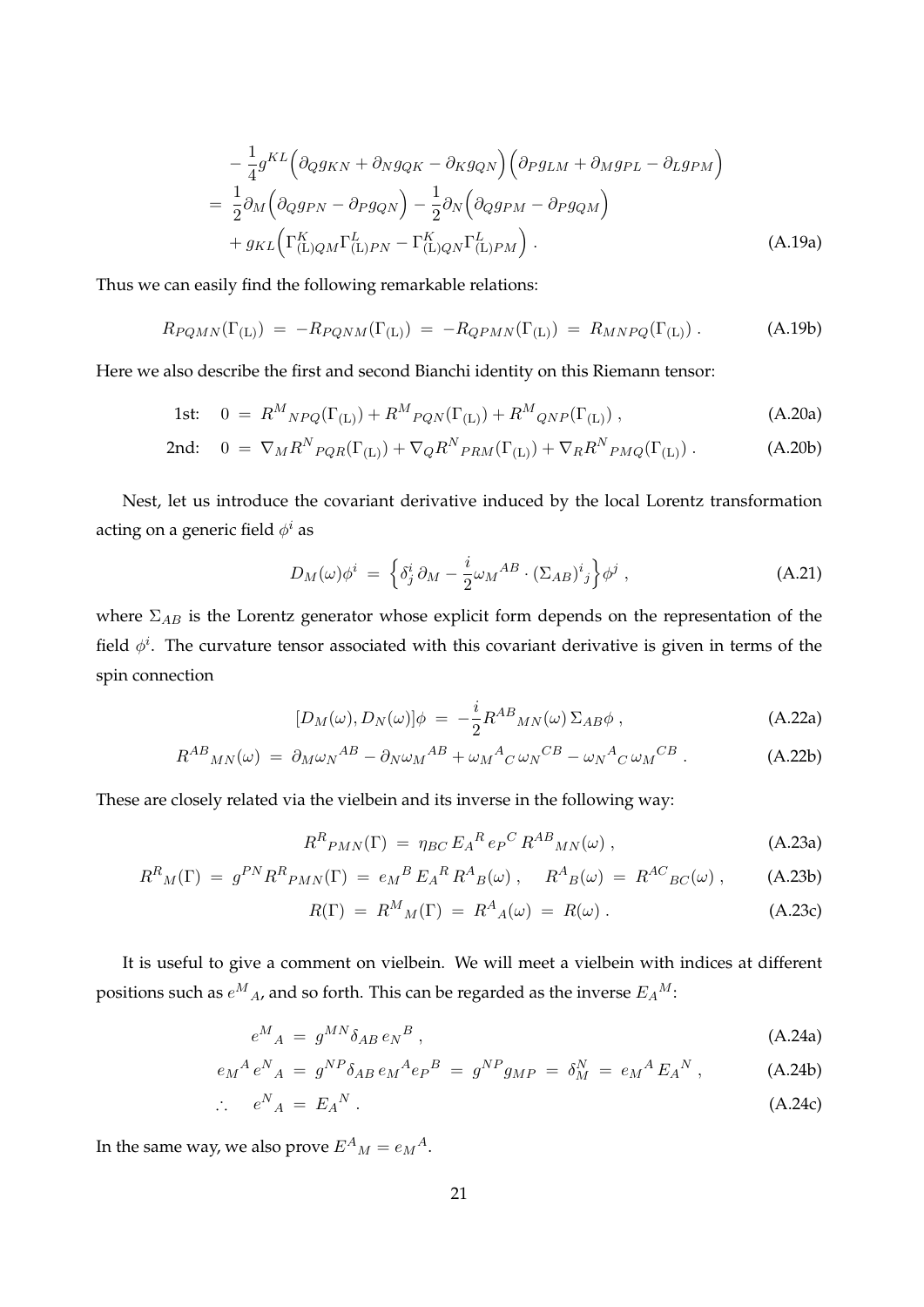$$
-\frac{1}{4}g^{KL}\left(\partial_{Q}g_{KN} + \partial_{N}g_{QK} - \partial_{K}g_{QN}\right)\left(\partial_{P}g_{LM} + \partial_{M}g_{PL} - \partial_{L}g_{PM}\right)
$$
  
=\frac{1}{2}\partial\_{M}\left(\partial\_{Q}g\_{PN} - \partial\_{P}g\_{QN}\right) - \frac{1}{2}\partial\_{N}\left(\partial\_{Q}g\_{PM} - \partial\_{P}g\_{QM}\right)  
+ g\_{KL}\left(\Gamma\_{(L)QM}^{K}\Gamma\_{(L)PN}^{L} - \Gamma\_{(L)QN}^{K}\Gamma\_{(L)PM}^{L}\right). (A.19a)

Thus we can easily find the following remarkable relations:

$$
R_{PQMN}(\Gamma_{(L)}) = -R_{PQNM}(\Gamma_{(L)}) = -R_{QPMN}(\Gamma_{(L)}) = R_{MNPQ}(\Gamma_{(L)})
$$
 (A.19b)

Here we also describe the first and second Bianchi identity on this Riemann tensor:

1st: 
$$
0 = R^{M}_{NPQ}(\Gamma_{(L)}) + R^{M}_{PQN}(\Gamma_{(L)}) + R^{M}_{QNP}(\Gamma_{(L)}) ,
$$
 (A.20a)

$$
\text{2nd:} \quad 0 = \nabla_M R^N_{PQR}(\Gamma_{(L)}) + \nabla_Q R^N_{PRM}(\Gamma_{(L)}) + \nabla_R R^N_{PMQ}(\Gamma_{(L)}) \,. \tag{A.20b}
$$

Nest, let us introduce the covariant derivative induced by the local Lorentz transformation acting on a generic field  $\phi^i$  as

$$
D_M(\omega)\phi^i = \left\{\delta^i_j \partial_M - \frac{i}{2}\omega_M{}^{AB} \cdot (\Sigma_{AB})^i{}_j\right\}\phi^j , \qquad (A.21)
$$

where Σ*AB* is the Lorentz generator whose explicit form depends on the representation of the field  $\phi^i$ . The curvature tensor associated with this covariant derivative is given in terms of the spin connection

$$
[D_M(\omega), D_N(\omega)]\phi = -\frac{i}{2}R^{AB}{}_{MN}(\omega)\,\Sigma_{AB}\phi\,,\tag{A.22a}
$$

$$
R^{AB}{}_{MN}(\omega) = \partial_M \omega_N{}^{AB} - \partial_N \omega_M{}^{AB} + \omega_M{}^A{}_C \omega_N{}^{CB} - \omega_N{}^A{}_C \omega_M{}^{CB} \,. \tag{A.22b}
$$

These are closely related via the vielbein and its inverse in the following way:

$$
R^{R}P_{MN}(\Gamma) = \eta_{BC} E_{A}{}^{R} e_{P}{}^{C} R^{AB}{}_{MN}(\omega) , \qquad (A.23a)
$$

$$
R^{R}{}_{M}(\Gamma) = g^{PN} R^{R}{}_{PMN}(\Gamma) = e_{M}{}^{B} E_{A}{}^{R} R^{A}{}_{B}(\omega) , \quad R^{A}{}_{B}(\omega) = R^{AC}{}_{BC}(\omega) , \quad (A.23b)
$$

$$
R(\Gamma) = R^M{}_M(\Gamma) = R^A{}_A(\omega) = R(\omega) . \tag{A.23c}
$$

It is useful to give a comment on vielbein. We will meet a vielbein with indices at different positions such as  $e^M{}_A$ , and so forth. This can be regarded as the inverse  $E_A{}^M$ :

$$
e^M{}_A = g^{MN}\delta_{AB}e_N{}^B\,,\tag{A.24a}
$$

$$
e_M{}^A e^N{}_A = g^{NP} \delta_{AB} e_M{}^A e_P{}^B = g^{NP} g_{MP} = \delta_M^N = e_M{}^A E_A{}^N , \qquad (A.24b)
$$

$$
\therefore \quad e^N{}_A = E_A{}^N \,. \tag{A.24c}
$$

In the same way, we also prove  $E^A{}_M = e_M{}^A$ .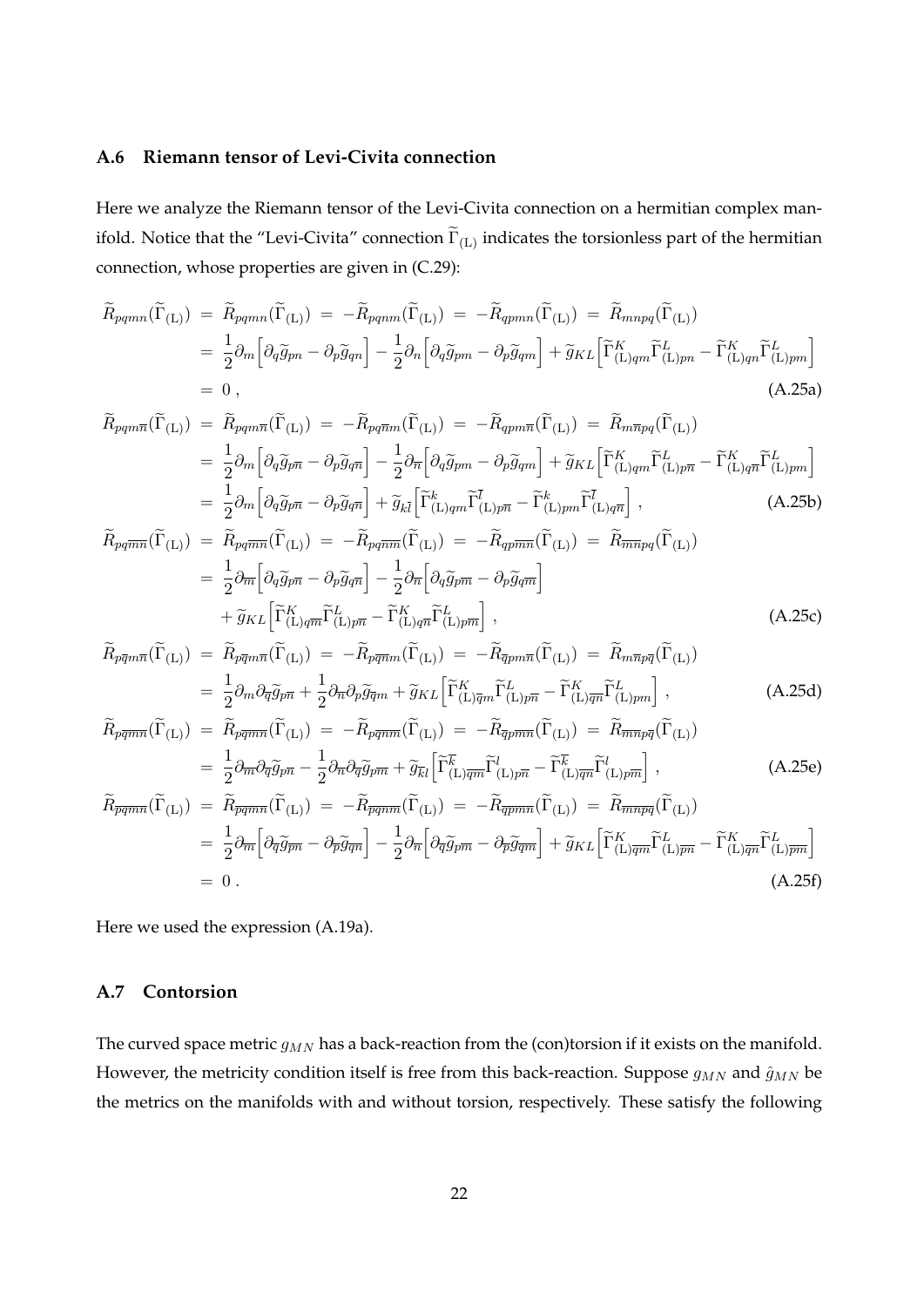#### **A.6 Riemann tensor of Levi-Civita connection**

Here we analyze the Riemann tensor of the Levi-Civita connection on a hermitian complex manifold. Notice that the "Levi-Civita" connection  $\Gamma_{\rm (L)}$  indicates the torsionless part of the hermitian connection, whose properties are given in (C.29):

$$
\widetilde{R}_{pqmn}(\widetilde{\Gamma}_{(L)}) = \widetilde{R}_{pqmn}(\widetilde{\Gamma}_{(L)}) = -\widetilde{R}_{pqnm}(\widetilde{\Gamma}_{(L)}) = -\widetilde{R}_{qpmn}(\widetilde{\Gamma}_{(L)}) = \widetilde{R}_{mnpq}(\widetilde{\Gamma}_{(L)})
$$
\n
$$
= \frac{1}{2}\partial_m \left[ \partial_q \widetilde{g}_{pn} - \partial_p \widetilde{g}_{qn} \right] - \frac{1}{2}\partial_n \left[ \partial_q \widetilde{g}_{pm} - \partial_p \widetilde{g}_{qm} \right] + \widetilde{g}_{KL} \left[ \widetilde{\Gamma}_{(L)qm}^K \widetilde{\Gamma}_{(L)pn}^L - \widetilde{\Gamma}_{(L)qn}^K \widetilde{\Gamma}_{(L)pm}^L \right]
$$
\n
$$
= 0 , \tag{A.25a}
$$

$$
\widetilde{R}_{pq\bar{m}\bar{n}}(\widetilde{\Gamma}_{(L)}) = \widetilde{R}_{pq\bar{m}\bar{n}}(\widetilde{\Gamma}_{(L)}) = -\widetilde{R}_{pq\bar{m}\bar{m}}(\widetilde{\Gamma}_{(L)}) = -\widetilde{R}_{q\bar{p}\bar{m}\bar{n}}(\widetilde{\Gamma}_{(L)}) = \widetilde{R}_{m\bar{n}pq}(\widetilde{\Gamma}_{(L)})
$$
\n
$$
= \frac{1}{2}\partial_m \left[ \partial_q \widetilde{g}_{p\bar{n}} - \partial_p \widetilde{g}_{q\bar{n}} \right] - \frac{1}{2}\partial_{\bar{n}} \left[ \partial_q \widetilde{g}_{p\bar{m}} - \partial_p \widetilde{g}_{q\bar{m}} \right] + \widetilde{g}_{KL} \left[ \widetilde{\Gamma}_{(L)qm}^K \widetilde{\Gamma}_{(L)p\bar{n}}^L - \widetilde{\Gamma}_{(L)q\bar{n}}^K \widetilde{\Gamma}_{(L)pm}^L \right]
$$
\n
$$
= \frac{1}{2}\partial_m \left[ \partial_q \widetilde{g}_{p\bar{n}} - \partial_p \widetilde{g}_{q\bar{n}} \right] + \widetilde{g}_{k\bar{l}} \left[ \widetilde{\Gamma}_{(L)qm}^k \widetilde{\Gamma}_{(L)p\bar{n}}^{\bar{l}} - \widetilde{\Gamma}_{(L)pm}^k \widetilde{\Gamma}_{(L)q\bar{n}}^{\bar{l}} \right], \qquad (A.25b)
$$
\n
$$
\widetilde{\Gamma}_{(L)}(\widetilde{g}_{\bar{m}}) = \widetilde{\Gamma}_{(L)}(\widetilde{g}_{\bar{m}}) = \widetilde{\Gamma}_{(L)}(\widetilde{g}_{\bar{m}}) = \widetilde{\Gamma}_{(L)}(\widetilde{g}_{\bar{m}}) = \widetilde{\Gamma}_{(L)}(\widetilde{g}_{\bar{m}}) = \widetilde{\Gamma}_{(L)}(\widetilde{g}_{\bar{m}}) = \widetilde{\Gamma}_{(L)}(\widetilde{g}_{\bar{m}}) = \widetilde{\Gamma}_{(L)}(\widetilde{g}_{\bar{m}}) = \widetilde{\Gamma}_{(L)}(\widetilde{g}_{\bar{m}}) = \widetilde{\Gamma}_{(L)}(\widetilde{g}_{\bar{m}}) = \widetilde{\Gamma}_{(L)}(\widetilde{g}_{\bar{m}}) = \widetilde{\Gamma}_{(
$$

$$
\widetilde{R}_{pq\overline{m}\overline{n}}(\widetilde{\Gamma}_{(\mathrm{L})}) = \widetilde{R}_{pq\overline{m}\overline{n}}(\widetilde{\Gamma}_{(\mathrm{L})}) = -\widetilde{R}_{pq\overline{m}\overline{m}}(\widetilde{\Gamma}_{(\mathrm{L})}) = -\widetilde{R}_{qp\overline{m}\overline{n}}(\widetilde{\Gamma}_{(\mathrm{L})}) = \widetilde{R}_{\overline{m}\overline{n}pq}(\widetilde{\Gamma}_{(\mathrm{L})})
$$
\n
$$
= \frac{1}{2}\partial_{\overline{m}}\left[\partial_{q}\widetilde{g}_{p\overline{n}} - \partial_{p}\widetilde{g}_{q\overline{n}}\right] - \frac{1}{2}\partial_{\overline{n}}\left[\partial_{q}\widetilde{g}_{p\overline{m}} - \partial_{p}\widetilde{g}_{q\overline{m}}\right]
$$
\n
$$
+ \widetilde{g}_{KL}\left[\widetilde{\Gamma}_{(\mathrm{L})q\overline{m}}^{K}\widetilde{\Gamma}_{(\mathrm{L})p\overline{n}}^{L} - \widetilde{\Gamma}_{(\mathrm{L})q\overline{n}}^{K}\widetilde{\Gamma}_{(\mathrm{L})p\overline{m}}^{L}\right],
$$
\n(A.25c)

$$
\widetilde{R}_{p\overline{q}m\overline{n}}(\widetilde{\Gamma}_{(L)}) = \widetilde{R}_{p\overline{q}m\overline{n}}(\widetilde{\Gamma}_{(L)}) = -\widetilde{R}_{p\overline{q}\overline{n}m}(\widetilde{\Gamma}_{(L)}) = -\widetilde{R}_{\overline{q}pm\overline{n}}(\widetilde{\Gamma}_{(L)}) = \widetilde{R}_{m\overline{n}p\overline{q}}(\widetilde{\Gamma}_{(L)})
$$
\n
$$
= \frac{1}{2}\partial_m\partial_{\overline{q}}\widetilde{g}_{p\overline{n}} + \frac{1}{2}\partial_{\overline{n}}\partial_p\widetilde{g}_{\overline{q}m} + \widetilde{g}_{KL}\Big[\widetilde{\Gamma}_{(L)\overline{q}m}^K\widetilde{\Gamma}_{(L)p\overline{n}}^L - \widetilde{\Gamma}_{(L)\overline{q}m}^K\widetilde{\Gamma}_{(L)pm}^L\Big],
$$
\n(A.25d)

$$
\widetilde{R}_{pq\overline{m}\overline{n}}(\widetilde{\Gamma}_{(L)}) = \widetilde{R}_{pq\overline{m}\overline{n}}(\widetilde{\Gamma}_{(L)}) = -\widetilde{R}_{pq\overline{m}\overline{m}}(\widetilde{\Gamma}_{(L)}) = -\widetilde{R}_{\overline{q}p\overline{m}\overline{n}}(\widetilde{\Gamma}_{(L)}) = \widetilde{R}_{\overline{m}\overline{n}p\overline{q}}(\widetilde{\Gamma}_{(L)})
$$
\n
$$
= \frac{1}{2} \partial_{\overline{m}} \partial_{\overline{q}} \widetilde{g}_{p\overline{n}} - \frac{1}{2} \partial_{\overline{n}} \partial_{\overline{q}} \widetilde{g}_{p\overline{m}} + \widetilde{g}_{\overline{k}l} \left[ \widetilde{\Gamma}_{(L)\overline{q}\overline{m}}^{\overline{k}} \widetilde{\Gamma}_{(L)p\overline{n}}^l - \widetilde{\Gamma}_{(L)\overline{q}\overline{n}}^{\overline{k}} \widetilde{\Gamma}_{(L)p\overline{m}}^l \right],
$$
\n(A.25e)\n
$$
\widetilde{R}_{\overline{pq}\overline{m}\overline{n}}(\widetilde{\Gamma}_{(L)}) = \widetilde{R}_{\overline{pq}\overline{m}\overline{n}}(\widetilde{\Gamma}_{(L)}) = -\widetilde{R}_{\overline{q}\overline{p}\overline{m}\overline{n}}(\widetilde{\Gamma}_{(L)}) = \widetilde{R}_{\overline{m}\overline{n}p\overline{q}}(\widetilde{\Gamma}_{(L)})
$$

$$
= \frac{1}{2} \partial_{\overline{m}} \left[ \partial_{\overline{q}} \widetilde{g}_{\overline{p} \overline{n}} - \partial_{\overline{p}} \widetilde{g}_{\overline{q} \overline{n}} \right] - \frac{1}{2} \partial_{\overline{n}} \left[ \partial_{\overline{q}} \widetilde{g}_{\overline{p} \overline{n}} - \partial_{\overline{p}} \widetilde{g}_{\overline{q} \overline{m}} \right] + \widetilde{g}_{KL} \left[ \widetilde{\Gamma}_{(L)\overline{q} \overline{n}}^{K} \widetilde{\Gamma}_{(L)\overline{p} \overline{n}}^{L} - \widetilde{\Gamma}_{(L)\overline{p} \overline{n}}^{K} \widetilde{\Gamma}_{(L)\overline{p} \overline{n}}^{L} \right]
$$
  
= 0. (A.25f)

Here we used the expression (A.19a).

### **A.7 Contorsion**

The curved space metric  $g_{MN}$  has a back-reaction from the (con)torsion if it exists on the manifold. However, the metricity condition itself is free from this back-reaction. Suppose  $g_{MN}$  and  $\hat{g}_{MN}$  be the metrics on the manifolds with and without torsion, respectively. These satisfy the following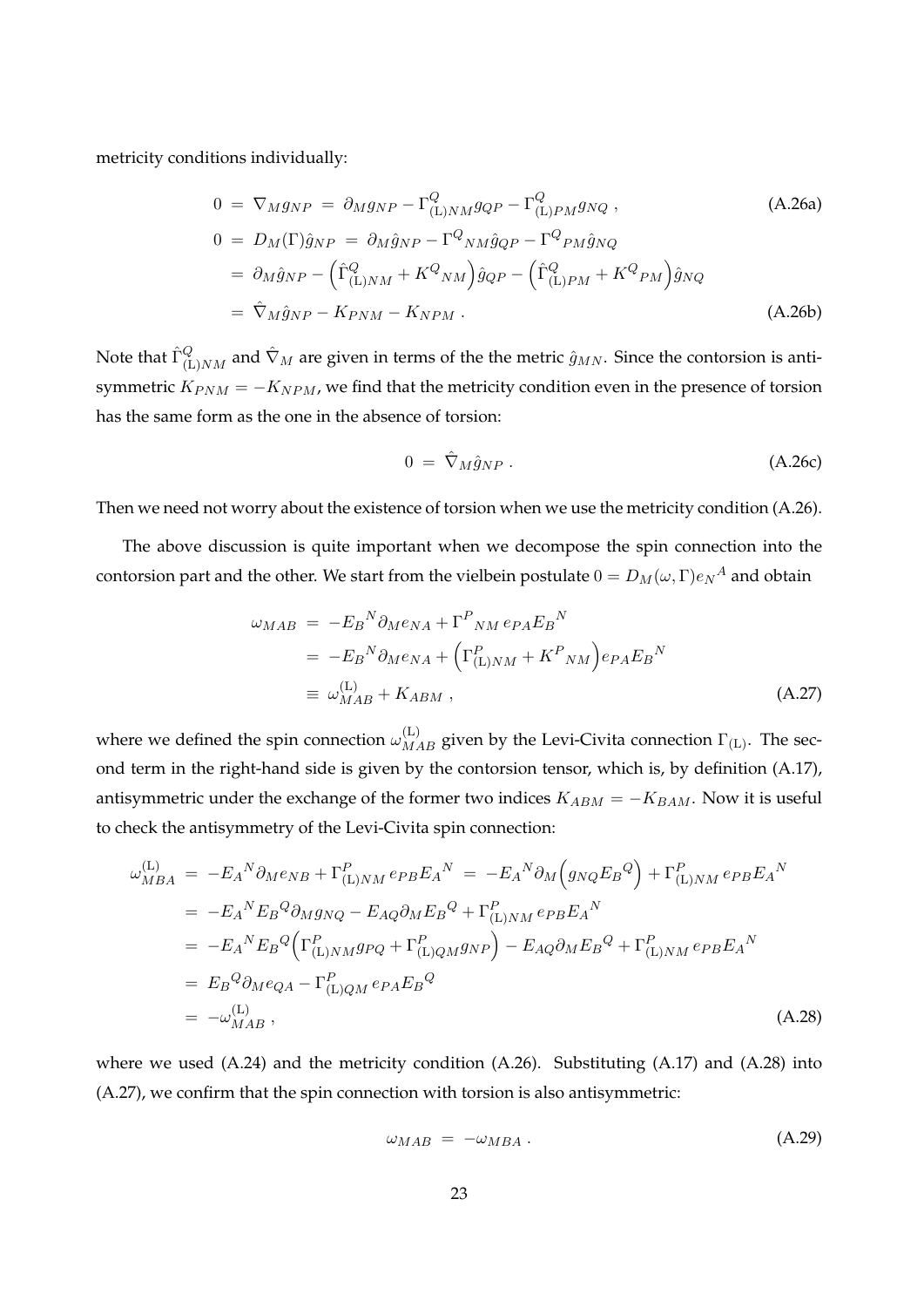metricity conditions individually:

$$
0 = \nabla_M g_{NP} = \partial_M g_{NP} - \Gamma^Q_{(\text{L})NM} g_{QP} - \Gamma^Q_{(\text{L})PM} g_{NQ} ,
$$
\n
$$
0 = D_M(\Gamma) \hat{g}_{NP} = \partial_M \hat{g}_{NP} - \Gamma^Q_{NM} \hat{g}_{QP} - \Gamma^Q_{PM} \hat{g}_{NQ}
$$
\n
$$
= \partial_M \hat{g}_{NP} - \left( \hat{\Gamma}^Q_{(\text{L})NM} + K^Q_{NM} \right) \hat{g}_{QP} - \left( \hat{\Gamma}^Q_{(\text{L})PM} + K^Q_{PM} \right) \hat{g}_{NQ}
$$
\n
$$
= \hat{\nabla}_M \hat{g}_{NP} - K_{PNM} - K_{NPM} .
$$
\n(A.26b)

Note that  $\hat{\Gamma}_{(\text{L})NM}^Q$  and  $\hat{\nabla}_M$  are given in terms of the the metric  $\hat{g}_{MN}$ . Since the contorsion is antisymmetric  $K_{PNM} = -K_{NPM}$ , we find that the metricity condition even in the presence of torsion has the same form as the one in the absence of torsion:

$$
0 = \hat{\nabla}_M \hat{g}_{NP} \,. \tag{A.26c}
$$

Then we need not worry about the existence of torsion when we use the metricity condition (A.26).

The above discussion is quite important when we decompose the spin connection into the contorsion part and the other. We start from the vielbein postulate  $0 = D_M(\omega, \Gamma) e_N{}^A$  and obtain

$$
\omega_{MAB} = -E_B{}^N \partial_M e_{NA} + \Gamma^P{}_{NM} e_{PA} E_B{}^N
$$
  
= 
$$
-E_B{}^N \partial_M e_{NA} + \left( \Gamma^P_{(\text{L})NM} + K^P{}_{NM} \right) e_{PA} E_B{}^N
$$
  

$$
\equiv \omega^{(\text{L})}_{MAB} + K_{ABM} , \qquad (A.27)
$$

where we defined the spin connection  $\omega_{MAB}^{(\mathrm{L})}$  given by the Levi-Civita connection  $\Gamma_{(\mathrm{L})}$ . The second term in the right-hand side is given by the contorsion tensor, which is, by definition (A.17), antisymmetric under the exchange of the former two indices  $K_{ABM} = -K_{BAM}$ . Now it is useful to check the antisymmetry of the Levi-Civita spin connection:

$$
\omega_{MBA}^{(L)} = -E_A{}^N \partial_M e_{NB} + \Gamma_{(L)NM}^P e_{PB} E_A{}^N = -E_A{}^N \partial_M \left( g_{NQ} E_B{}^Q \right) + \Gamma_{(L)NM}^P e_{PB} E_A{}^N
$$
  
\n
$$
= -E_A{}^N E_B{}^Q \partial_M g_{NQ} - E_{AQ} \partial_M E_B{}^Q + \Gamma_{(L)NM}^P e_{PB} E_A{}^N
$$
  
\n
$$
= -E_A{}^N E_B{}^Q \left( \Gamma_{(L)NM}^P g_{PQ} + \Gamma_{(L)QM}^P g_{NP} \right) - E_{AQ} \partial_M E_B{}^Q + \Gamma_{(L)NM}^P e_{PB} E_A{}^N
$$
  
\n
$$
= E_B{}^Q \partial_M e_{QA} - \Gamma_{(L)QM}^P e_{PA} E_B{}^Q
$$
  
\n
$$
= -\omega_{MAB}^{(L)}, \qquad (A.28)
$$

where we used  $(A.24)$  and the metricity condition  $(A.26)$ . Substituting  $(A.17)$  and  $(A.28)$  into (A.27), we confirm that the spin connection with torsion is also antisymmetric:

$$
\omega_{MAB} = -\omega_{MBA} \,. \tag{A.29}
$$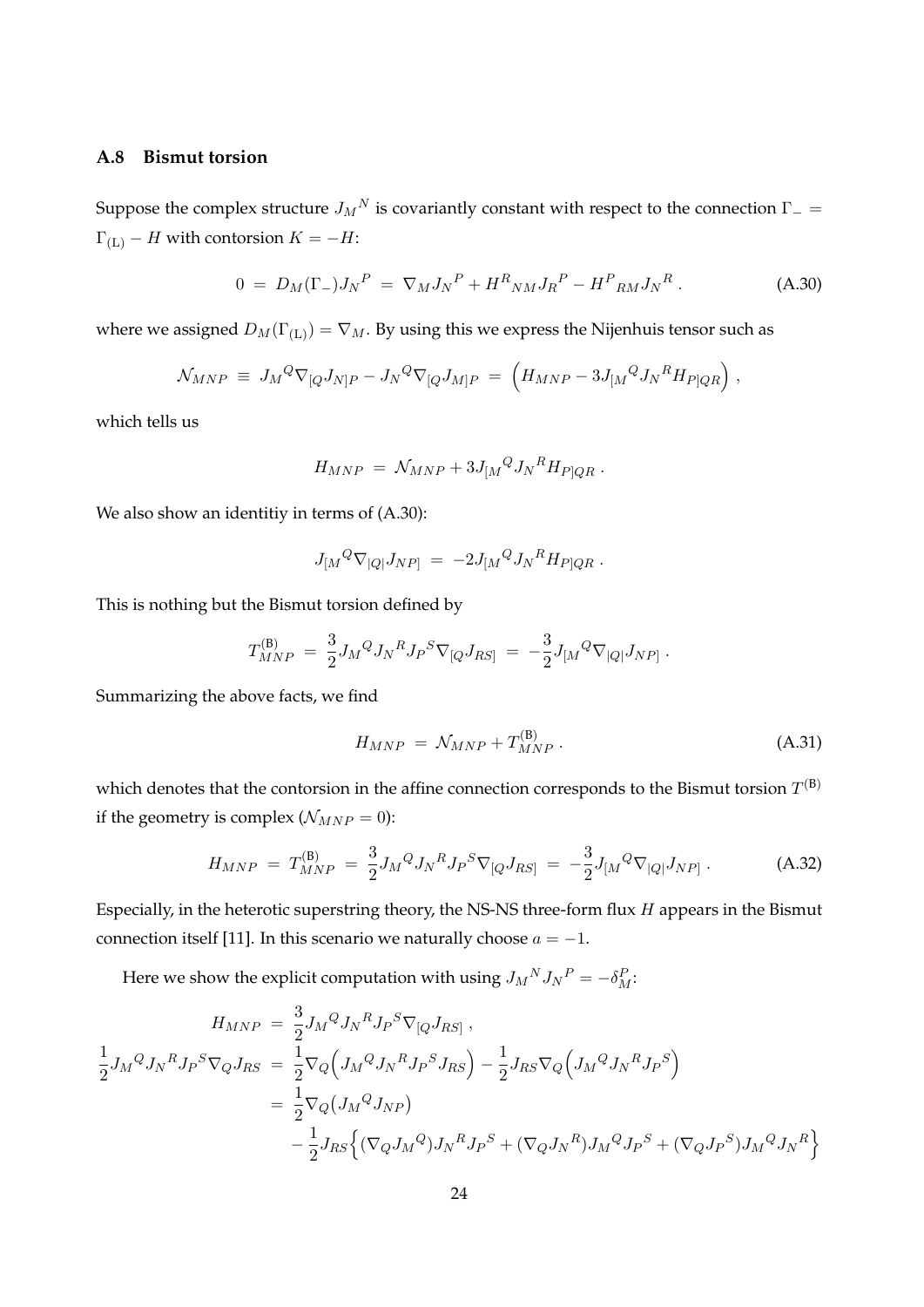#### **A.8 Bismut torsion**

Suppose the complex structure  $J_M{}^N$  is covariantly constant with respect to the connection  $\Gamma_-=$  $\Gamma$ <sub>(L)</sub>  $-$  *H* with contorsion  $K = -H$ :

$$
0 = D_M(\Gamma_-)J_N{}^P = \nabla_M J_N{}^P + H^R{}_{NM} J_R{}^P - H^P{}_{RM} J_N{}^R. \tag{A.30}
$$

where we assigned  $D_M(\Gamma_{(\mathrm{L})}) = \nabla_M$ . By using this we express the Nijenhuis tensor such as

$$
\mathcal{N}_{MNP} \equiv J_M{}^Q \nabla_{[Q} J_{N]P} - J_N{}^Q \nabla_{[Q} J_{M]P} = \left( H_{MNP} - 3J_{[M}{}^Q J_N{}^R H_{P]QR} \right),
$$

which tells us

$$
H_{MNP} = \mathcal{N}_{MNP} + 3J_{[M}{}^Q J_N{}^R H_{P|QR} .
$$

We also show an identitiy in terms of  $(A.30)$ :

$$
J_{[M}{}^Q \nabla_{[Q]} J_{NP]} = -2 J_{[M}{}^Q J_N{}^R H_{P]QR} .
$$

This is nothing but the Bismut torsion defined by

$$
T^{(\mathsf{B})}_{MNP} \;=\; \frac{3}{2} J_M{}^Q J_N{}^R J_P{}^S \nabla_{[Q} J_{RS]} \;=\; -\frac{3}{2} J_{[M}{}^Q \nabla_{[Q]} J_{NP]}\;.
$$

Summarizing the above facts, we find

$$
H_{MNP} = \mathcal{N}_{MNP} + T_{MNP}^{(B)} \,. \tag{A.31}
$$

which denotes that the contorsion in the affine connection corresponds to the Bismut torsion  $T^{(\mathtt{B})}$ if the geometry is complex ( $N_{MNP} = 0$ ):

$$
H_{MNP} = T_{MNP}^{(B)} = \frac{3}{2} J_M^Q J_N^R J_P^S \nabla_{[Q} J_{RS]} = -\frac{3}{2} J_{[M}^Q \nabla_{[Q]} J_{NP]} \,. \tag{A.32}
$$

Especially, in the heterotic superstring theory, the NS-NS three-form flux *H* appears in the Bismut connection itself [11]. In this scenario we naturally choose  $a = -1$ .

Here we show the explicit computation with using  $J_M{}^N J_N{}^P = -\delta_M^P$ :

$$
H_{MNP} = \frac{3}{2} J_M^Q J_N^R J_P^S \nabla_{[Q} J_{RS]},
$$
  
\n
$$
\frac{1}{2} J_M^Q J_N^R J_P^S \nabla_Q J_{RS} = \frac{1}{2} \nabla_Q \Big( J_M^Q J_N^R J_P^S J_{RS} \Big) - \frac{1}{2} J_{RS} \nabla_Q \Big( J_M^Q J_N^R J_P^S \Big)
$$
  
\n
$$
= \frac{1}{2} \nabla_Q \Big( J_M^Q J_{NP} \Big)
$$
  
\n
$$
- \frac{1}{2} J_{RS} \Big\{ (\nabla_Q J_M^Q) J_N^R J_P^S + (\nabla_Q J_N^R) J_M^Q J_P^S + (\nabla_Q J_P^S) J_M^Q J_N^R \Big\}
$$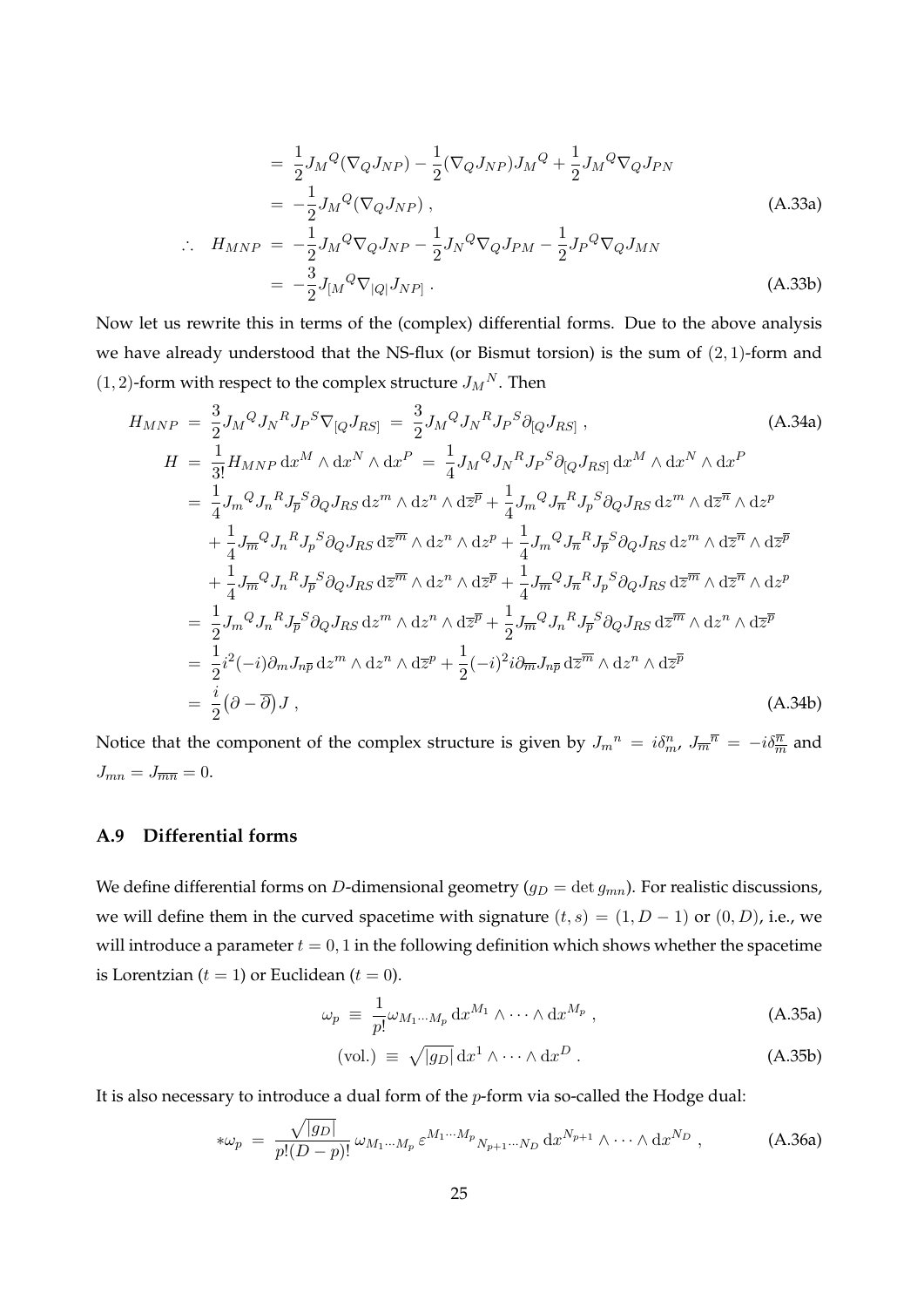$$
= \frac{1}{2} J_M^Q (\nabla_Q J_{NP}) - \frac{1}{2} (\nabla_Q J_{NP}) J_M^Q + \frac{1}{2} J_M^Q \nabla_Q J_{PN}
$$
  
= 
$$
-\frac{1}{2} J_M^Q (\nabla_Q J_{NP}) ,
$$
 (A.33a)

$$
\therefore H_{MNP} = -\frac{1}{2} J_M{}^Q \nabla_Q J_{NP} - \frac{1}{2} J_N{}^Q \nabla_Q J_{PM} - \frac{1}{2} J_P{}^Q \nabla_Q J_{MN}
$$
  
= 
$$
-\frac{3}{2} J_{[M}{}^Q \nabla_{[Q]} J_{NP]} .
$$
 (A.33b)

Now let us rewrite this in terms of the (complex) differential forms. Due to the above analysis we have already understood that the NS-flux (or Bismut torsion) is the sum of (2*,* 1)-form and  $(1, 2)$ -form with respect to the complex structure  $J_M^N$ . Then

$$
H_{MNP} = \frac{3}{2} J_M^Q J_N^R J_P^S \nabla_{[Q} J_{RS]} = \frac{3}{2} J_M^Q J_N^R J_P^S \partial_{[Q} J_{RS]},
$$
\n
$$
H = \frac{1}{3!} H_{MNP} \, dx^M \wedge dx^N \wedge dx^P = \frac{1}{4} J_M^Q J_N^R J_P^S \partial_{[Q} J_{RS]} \, dx^M \wedge dx^N \wedge dx^P
$$
\n
$$
= \frac{1}{4} J_m^Q J_n^R J_p^S \partial_Q J_{RS} \, dx^m \wedge dz^n \wedge d\overline{z}^{\overline{p}} + \frac{1}{4} J_m^Q J_{\overline{n}}^R J_p^S \partial_Q J_{RS} \, dz^m \wedge d\overline{z}^{\overline{n}} \wedge dz^p
$$
\n
$$
+ \frac{1}{4} J_{\overline{m}}^Q J_n^R J_p^S \partial_Q J_{RS} \, d\overline{z}^{\overline{m}} \wedge dz^n \wedge dz^p + \frac{1}{4} J_m^Q J_n^R J_p^S \partial_Q J_{RS} \, dz^m \wedge d\overline{z}^{\overline{n}} \wedge d\overline{z}^{\overline{n}}
$$
\n
$$
+ \frac{1}{4} J_{\overline{m}}^Q J_n^R J_p^S \partial_Q J_{RS} \, d\overline{z}^{\overline{m}} \wedge dz^n \wedge d\overline{z}^{\overline{p}} + \frac{1}{4} J_{\overline{m}}^Q J_n^R J_p^S \partial_Q J_{RS} \, d\overline{z}^{\overline{m}} \wedge d\overline{z}^{\overline{n}} \wedge d\overline{z}^{\overline{p}}
$$
\n
$$
= \frac{1}{2} J_m^Q J_n^R J_p^S \partial_Q J_{RS} \, dz^m \wedge d\overline{z}^p + \frac{1}{2} J_{\overline{m}}^Q J_n^R J_p^S \partial_Q J_{RS} \, d\overline{z}^{\overline{m}} \wedge d\overline{z}^n \wedge d\overline{z}^{\overline{p}}
$$
\n
$$
= \frac{1}{2} i^2 (-i) \partial_m J_{n\overline{p}} \, d\overline{z}^m \wedge d\overline
$$

Notice that the component of the complex structure is given by  $J_m{}^n = i\delta_m^n$ ,  $J_m^{\overline{n}} = -i\delta_{\overline{m}}^{\overline{n}}$  and  $J_{mn} = J_{\overline{mn}} = 0.$ 

## **A.9 Differential forms**

We define differential forms on *D*-dimensional geometry ( $g_D = \det g_{mn}$ ). For realistic discussions, we will define them in the curved spacetime with signature  $(t, s) = (1, D - 1)$  or  $(0, D)$ , i.e., we will introduce a parameter  $t = 0, 1$  in the following definition which shows whether the spacetime is Lorentzian  $(t = 1)$  or Euclidean  $(t = 0)$ .

$$
\omega_p \equiv \frac{1}{p!} \omega_{M_1 \cdots M_p} \, dx^{M_1} \wedge \cdots \wedge dx^{M_p} \,, \tag{A.35a}
$$

$$
\text{(vol.)} \equiv \sqrt{|g_D|} \, \mathrm{d}x^1 \wedge \cdots \wedge \mathrm{d}x^D \,. \tag{A.35b}
$$

It is also necessary to introduce a dual form of the *p*-form via so-called the Hodge dual:

$$
*\omega_p = \frac{\sqrt{|g_D|}}{p!(D-p)!} \omega_{M_1\cdots M_p} \varepsilon^{M_1\cdots M_p} N_{p+1\cdots N_D} \, dx^{N_{p+1}} \wedge \cdots \wedge dx^{N_D} , \qquad (A.36a)
$$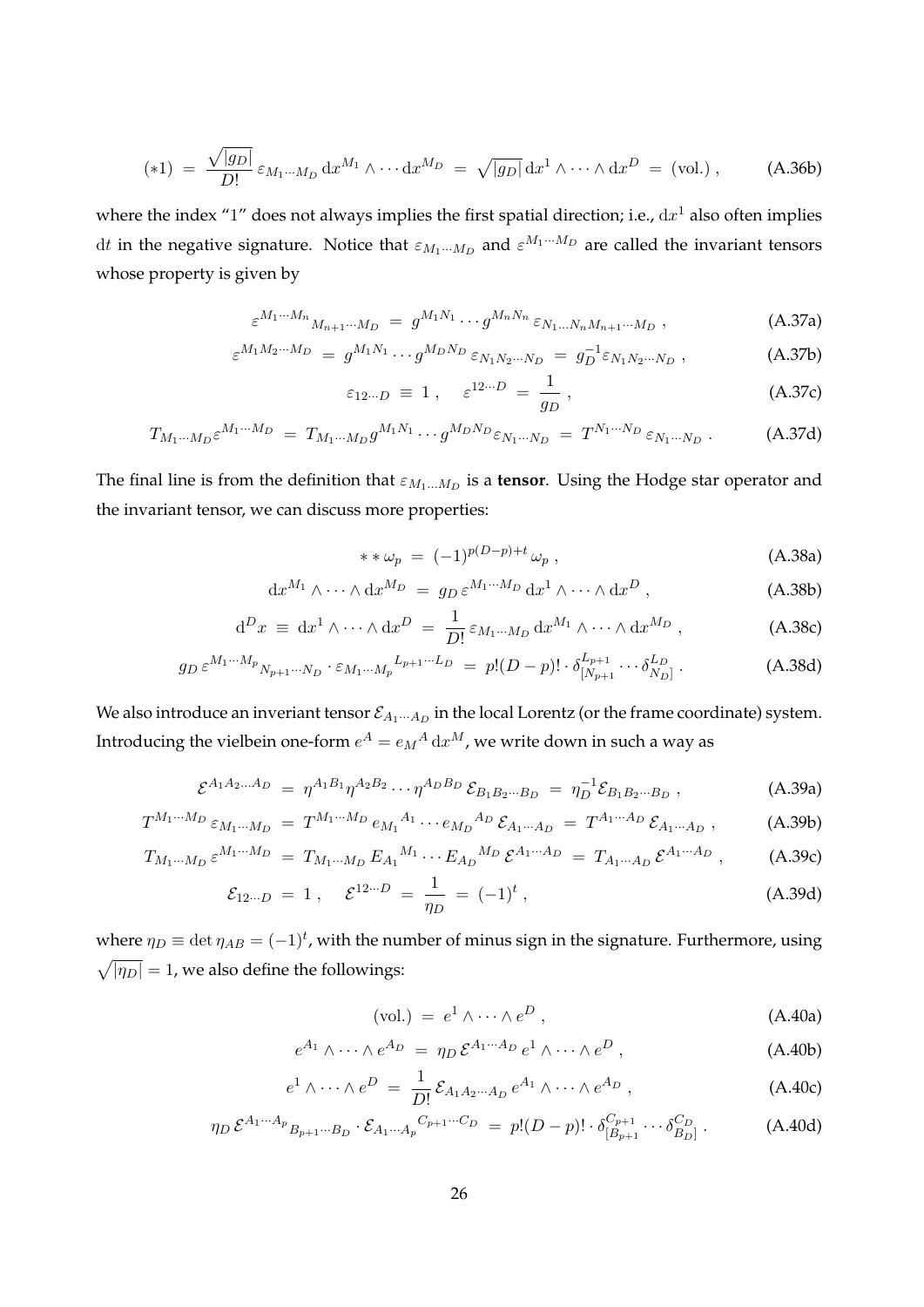$$
(*)1 = \frac{\sqrt{|g_D|}}{D!} \varepsilon_{M_1\cdots M_D} dx^{M_1} \wedge \cdots dx^{M_D} = \sqrt{|g_D|} dx^1 \wedge \cdots \wedge dx^D = (vol.) , \qquad (A.36b)
$$

where the index "1" does not always implies the first spatial direction; i.e., d*x* <sup>1</sup> also often implies d*t* in the negative signature. Notice that  $\varepsilon_{M_1\cdots M_D}$  and  $\varepsilon^{M_1\cdots M_D}$  are called the invariant tensors whose property is given by

$$
\varepsilon^{M_1\cdots M_n}{}_{M_{n+1}\cdots M_D} \ = \ g^{M_1N_1}\cdots g^{M_nN_n} \, \varepsilon_{N_1\ldots N_nM_{n+1}\cdots M_D} \ , \tag{A.37a}
$$

$$
\varepsilon^{M_1 M_2 \cdots M_D} = g^{M_1 N_1} \cdots g^{M_D N_D} \varepsilon_{N_1 N_2 \cdots N_D} = g_D^{-1} \varepsilon_{N_1 N_2 \cdots N_D} , \qquad (A.37b)
$$

$$
\varepsilon_{12\cdots D} \equiv 1 \,, \quad \varepsilon^{12\cdots D} = \frac{1}{g_D} \,, \tag{A.37c}
$$

$$
T_{M_1\cdots M_D} \varepsilon^{M_1\cdots M_D} = T_{M_1\cdots M_D} g^{M_1 N_1} \cdots g^{M_D N_D} \varepsilon_{N_1\cdots N_D} = T^{N_1\cdots N_D} \varepsilon_{N_1\cdots N_D} . \tag{A.37d}
$$

The final line is from the definition that  $\varepsilon_{M_1...M_D}$  is a **tensor**. Using the Hodge star operator and the invariant tensor, we can discuss more properties:

$$
**\omega_p = (-1)^{p(D-p)+t}\omega_p ,\qquad (A.38a)
$$

$$
\mathrm{d}x^{M_1} \wedge \cdots \wedge \mathrm{d}x^{M_D} = g_D \,\varepsilon^{M_1 \cdots M_D} \,\mathrm{d}x^1 \wedge \cdots \wedge \mathrm{d}x^D \,,\tag{A.38b}
$$

$$
d^{D}x \equiv dx^{1} \wedge \cdots \wedge dx^{D} = \frac{1}{D!} \varepsilon_{M_{1}\cdots M_{D}} dx^{M_{1}} \wedge \cdots \wedge dx^{M_{D}} , \qquad (A.38c)
$$

$$
g_D \, \varepsilon^{M_1 \cdots M_p} N_{p+1} \cdots N_D \cdot \varepsilon_{M_1 \cdots M_p}^{L_{p+1} \cdots L_D} \ = \ p! (D-p)! \cdot \delta_{[N_{p+1}}^{L_{p+1}} \cdots \delta_{N_D]}^{L_D} \ . \tag{A.38d}
$$

We also introduce an inveriant tensor  $\mathcal{E}_{A_1\cdots A_D}$  in the local Lorentz (or the frame coordinate) system. Introducing the vielbein one-form  $e^A = e_M{}^A\, \mathrm{d} x^M$ , we write down in such a way as

$$
\mathcal{E}^{A_1 A_2 ... A_D} = \eta^{A_1 B_1} \eta^{A_2 B_2} \cdots \eta^{A_D B_D} \mathcal{E}_{B_1 B_2 ... B_D} = \eta_D^{-1} \mathcal{E}_{B_1 B_2 ... B_D} , \qquad (A.39a)
$$

$$
T^{M_1\cdots M_D} \varepsilon_{M_1\cdots M_D} = T^{M_1\cdots M_D} e_{M_1}{}^{A_1} \cdots e_{M_D}{}^{A_D} \mathcal{E}_{A_1\cdots A_D} = T^{A_1\cdots A_D} \mathcal{E}_{A_1\cdots A_D} , \qquad (A.39b)
$$

$$
T_{M_1\cdots M_D} \,\varepsilon^{M_1\cdots M_D} = T_{M_1\cdots M_D} \, E_{A_1}{}^{M_1} \cdots E_{A_D}{}^{M_D} \, \varepsilon^{A_1\cdots A_D} = T_{A_1\cdots A_D} \, \varepsilon^{A_1\cdots A_D} \,, \tag{A.39c}
$$

$$
\mathcal{E}_{12\cdots D} = 1 \,, \quad \mathcal{E}^{12\cdots D} = \frac{1}{\eta_D} = (-1)^t \,, \tag{A.39d}
$$

where  $\eta_D \equiv \det \eta_{AB} = (-1)^t$ , with the number of minus sign in the signature. Furthermore, using  $\sqrt{|\eta_D|} = 1$ , we also define the followings:

$$
(vol.) = e1 \wedge \cdots \wedge eD, \qquad (A.40a)
$$

$$
e^{A_1} \wedge \cdots \wedge e^{A_D} = \eta_D \mathcal{E}^{A_1 \cdots A_D} e^1 \wedge \cdots \wedge e^D , \qquad (A.40b)
$$

$$
e^1 \wedge \cdots \wedge e^D = \frac{1}{D!} \mathcal{E}_{A_1 A_2 \cdots A_D} e^{A_1} \wedge \cdots \wedge e^{A_D}, \qquad (A.40c)
$$

$$
\eta_D \,\mathcal{E}^{A_1\cdots A_p} B_{p+1\cdots B_D} \cdot \mathcal{E}_{A_1\cdots A_p}{}^{C_{p+1}\cdots C_D} \ = \ p!(D-p)! \cdot \delta_{[B_{p+1}}^{C_{p+1}} \cdots \delta_{B_D]}^{C_D} \ . \tag{A.40d}
$$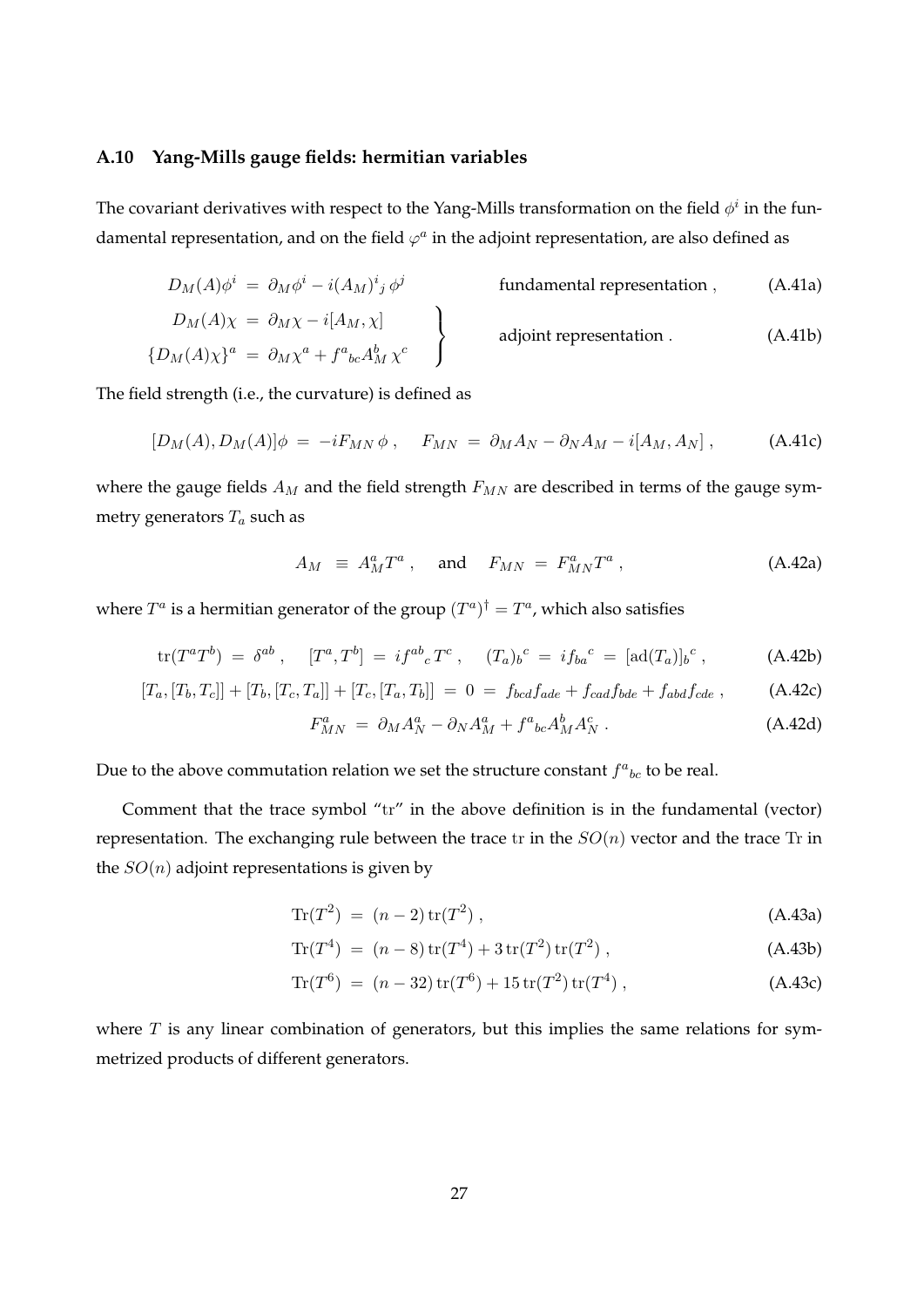#### **A.10 Yang-Mills gauge fields: hermitian variables**

The covariant derivatives with respect to the Yang-Mills transformation on the field  $\phi^i$  in the fundamental representation, and on the field  $\varphi^a$  in the adjoint representation, are also defined as

$$
D_M(A)\phi^i = \partial_M \phi^i - i(A_M)^i{}_j \phi^j
$$
 fundamental representation , (A.41a)

$$
D_M(A)\chi = \partial_M \chi - i[A_M, \chi]
$$
  
\n
$$
\left\{D_M(A)\chi\right\}^a = \partial_M \chi^a + f^a{}_{bc} A_M^b \chi^c
$$
   
\nadjoint representation. (A.41b)

The field strength (i.e., the curvature) is defined as

$$
[D_M(A), D_M(A)]\phi = -iF_{MN}\phi, \quad F_{MN} = \partial_M A_N - \partial_N A_M - i[A_M, A_N], \quad (A.41c)
$$

where the gauge fields *A<sup>M</sup>* and the field strength *FMN* are described in terms of the gauge symmetry generators *T<sup>a</sup>* such as

$$
A_M \equiv A_M^a T^a \,, \quad \text{and} \quad F_{MN} = F_{MN}^a T^a \,, \tag{A.42a}
$$

where  $T^a$  is a hermitian generator of the group  $(T^a)^\dagger = T^a$ , which also satisfies

$$
\text{tr}(T^a T^b) = \delta^{ab} , \quad [T^a, T^b] = i f^{ab}{}_c T^c , \quad (T_a)_b{}^c = i f_{ba}{}^c = [\text{ad}(T_a)]_b{}^c , \quad (A.42b)
$$

$$
[T_a, [T_b, T_c]] + [T_b, [T_c, T_a]] + [T_c, [T_a, T_b]] = 0 = f_{bcd}f_{ade} + f_{cad}f_{bde} + f_{abd}f_{cde} , \qquad (A.42c)
$$

$$
F_{MN}^a = \partial_M A_N^a - \partial_N A_M^a + f^a{}_{bc} A_M^b A_N^c \,. \tag{A.42d}
$$

Due to the above commutation relation we set the structure constant  $f^a{}_{bc}$  to be real.

Comment that the trace symbol "tr" in the above definition is in the fundamental (vector) representation. The exchanging rule between the trace tr in the *SO*(*n*) vector and the trace Tr in the *SO*(*n*) adjoint representations is given by

$$
\text{Tr}(T^2) \ = \ (n-2) \, \text{tr}(T^2) \ , \tag{A.43a}
$$

$$
\text{Tr}(T^4) = (n-8)\,\text{tr}(T^4) + 3\,\text{tr}(T^2)\,\text{tr}(T^2) \,,\tag{A.43b}
$$

$$
\text{Tr}(T^6) = (n-32)\,\text{tr}(T^6) + 15\,\text{tr}(T^2)\,\text{tr}(T^4) \,,\tag{A.43c}
$$

where *T* is any linear combination of generators, but this implies the same relations for symmetrized products of different generators.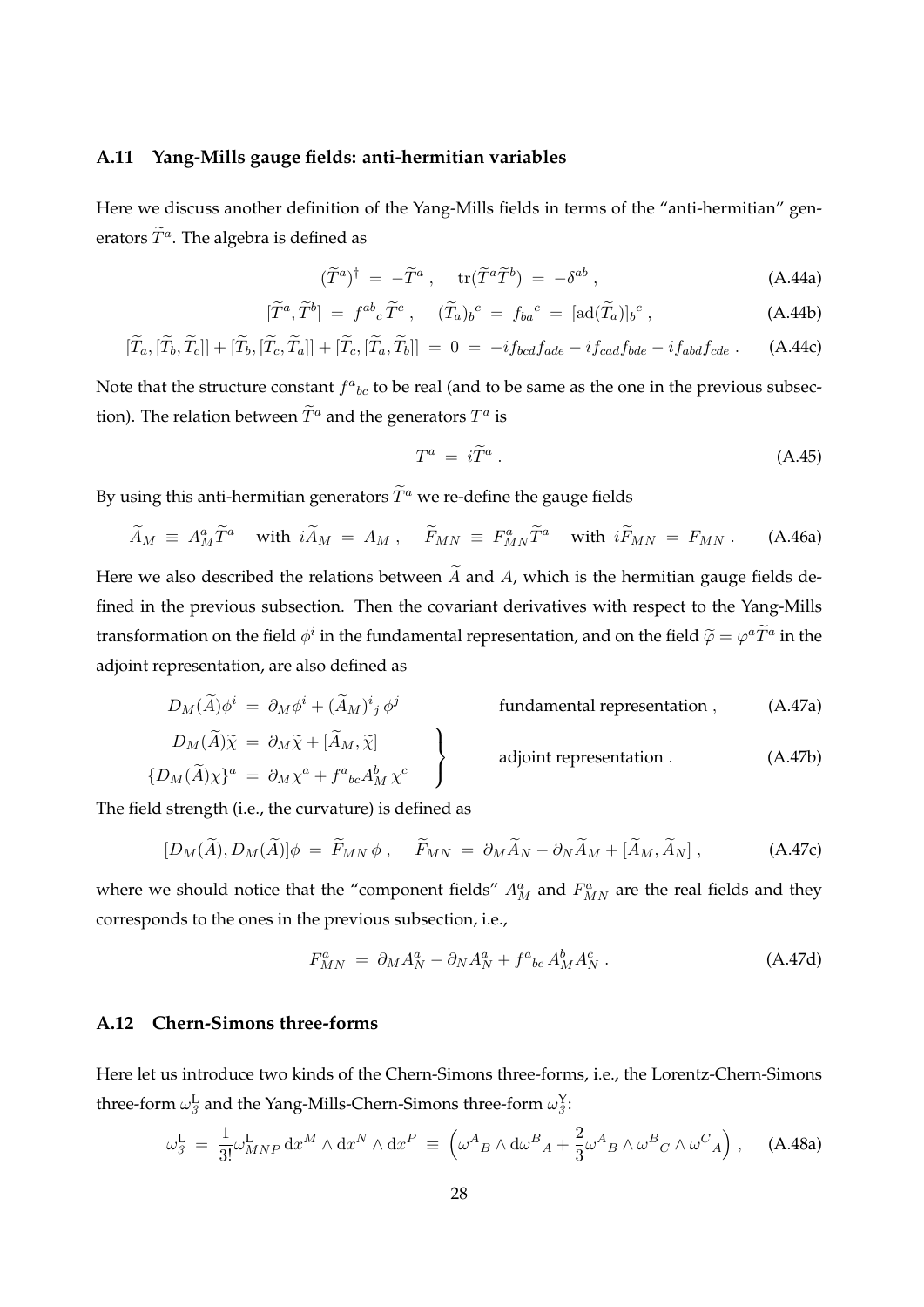#### **A.11 Yang-Mills gauge fields: anti-hermitian variables**

Here we discuss another definition of the Yang-Mills fields in terms of the "anti-hermitian" generators  $\widetilde{T}^a$ . The algebra is defined as

$$
(\widetilde{T}^a)^{\dagger} = -\widetilde{T}^a \ , \quad \operatorname{tr}(\widetilde{T}^a \widetilde{T}^b) = -\delta^{ab} \ , \tag{A.44a}
$$

$$
[\widetilde{T}^a, \widetilde{T}^b] = f^{ab}{}_{c} \widetilde{T}^c \,, \quad (\widetilde{T}_a)_{b}{}^c = f_{ba}{}^c = [\text{ad}(\widetilde{T}_a)]_{b}{}^c \,, \tag{A.44b}
$$

$$
[\widetilde{T}_a, [\widetilde{T}_b, \widetilde{T}_c]] + [\widetilde{T}_b, [\widetilde{T}_c, \widetilde{T}_a]] + [\widetilde{T}_c, [\widetilde{T}_a, \widetilde{T}_b]] = 0 = -if_{bcd} f_{ade} - if_{cad} f_{bde} - if_{abd} f_{cde}.
$$
 (A.44c)

Note that the structure constant  $f^a{}_{bc}$  to be real (and to be same as the one in the previous subsection). The relation between  $\widetilde{T}^a$  and the generators  $T^a$  is

$$
T^a = i\widetilde{T}^a \,. \tag{A.45}
$$

By using this anti-hermitian generators  $\widetilde{T}^a$  we re-define the gauge fields

$$
\widetilde{A}_M \equiv A_M^a \widetilde{T}^a \quad \text{with } i \widetilde{A}_M = A_M \ , \quad \widetilde{F}_{MN} \equiv F_{MN}^a \widetilde{T}^a \quad \text{with } i \widetilde{F}_{MN} = F_{MN} \ . \tag{A.46a}
$$

Here we also described the relations between  $\widetilde{A}$  and  $A$ , which is the hermitian gauge fields defined in the previous subsection. Then the covariant derivatives with respect to the Yang-Mills transformation on the field  $\phi^i$  in the fundamental representation, and on the field  $\widetilde{\varphi} = \varphi^a \widetilde{T}^a$  in the adjoint representation, are also defined as

$$
D_M(\widetilde{A})\phi^i = \partial_M \phi^i + (\widetilde{A}_M)^i{}_j \phi^j
$$
 fundamental representation , (A.47a)

$$
D_M(\widetilde{A})\widetilde{\chi} = \partial_M \widetilde{\chi} + [\widetilde{A}_M, \widetilde{\chi}]
$$
  
\n
$$
\left\{ D_M(\widetilde{A})\chi \right\}^a = \partial_M \chi^a + f^a{}_{bc} A_M^b \chi^c
$$
   
\nadjoint representation. (A.47b)

The field strength (i.e., the curvature) is defined as

$$
[D_M(\widetilde{A}), D_M(\widetilde{A})]\phi = \widetilde{F}_{MN}\phi \,, \quad \widetilde{F}_{MN} = \partial_M \widetilde{A}_N - \partial_N \widetilde{A}_M + [\widetilde{A}_M, \widetilde{A}_N] \,, \tag{A.47c}
$$

where we should notice that the "component fields"  $A_M^a$  and  $F_{MN}^a$  are the real fields and they corresponds to the ones in the previous subsection, i.e.,

$$
F_{MN}^a = \partial_M A_N^a - \partial_N A_N^a + f^a{}_{bc} A_M^b A_N^c \,. \tag{A.47d}
$$

#### **A.12 Chern-Simons three-forms**

Here let us introduce two kinds of the Chern-Simons three-forms, i.e., the Lorentz-Chern-Simons three-form  $\omega_{\beta}^{\rm L}$  and the Yang-Mills-Chern-Simons three-form  $\omega_{\beta}^{\rm Y}$ :

$$
\omega_{\beta}^{\mathcal{L}} = \frac{1}{3!} \omega_{MNP}^{\mathcal{L}} \, dx^M \wedge dx^N \wedge dx^P \equiv \left( \omega^A{}_B \wedge d\omega^B{}_A + \frac{2}{3} \omega^A{}_B \wedge \omega^B{}_C \wedge \omega^C{}_A \right), \quad \text{(A.48a)}
$$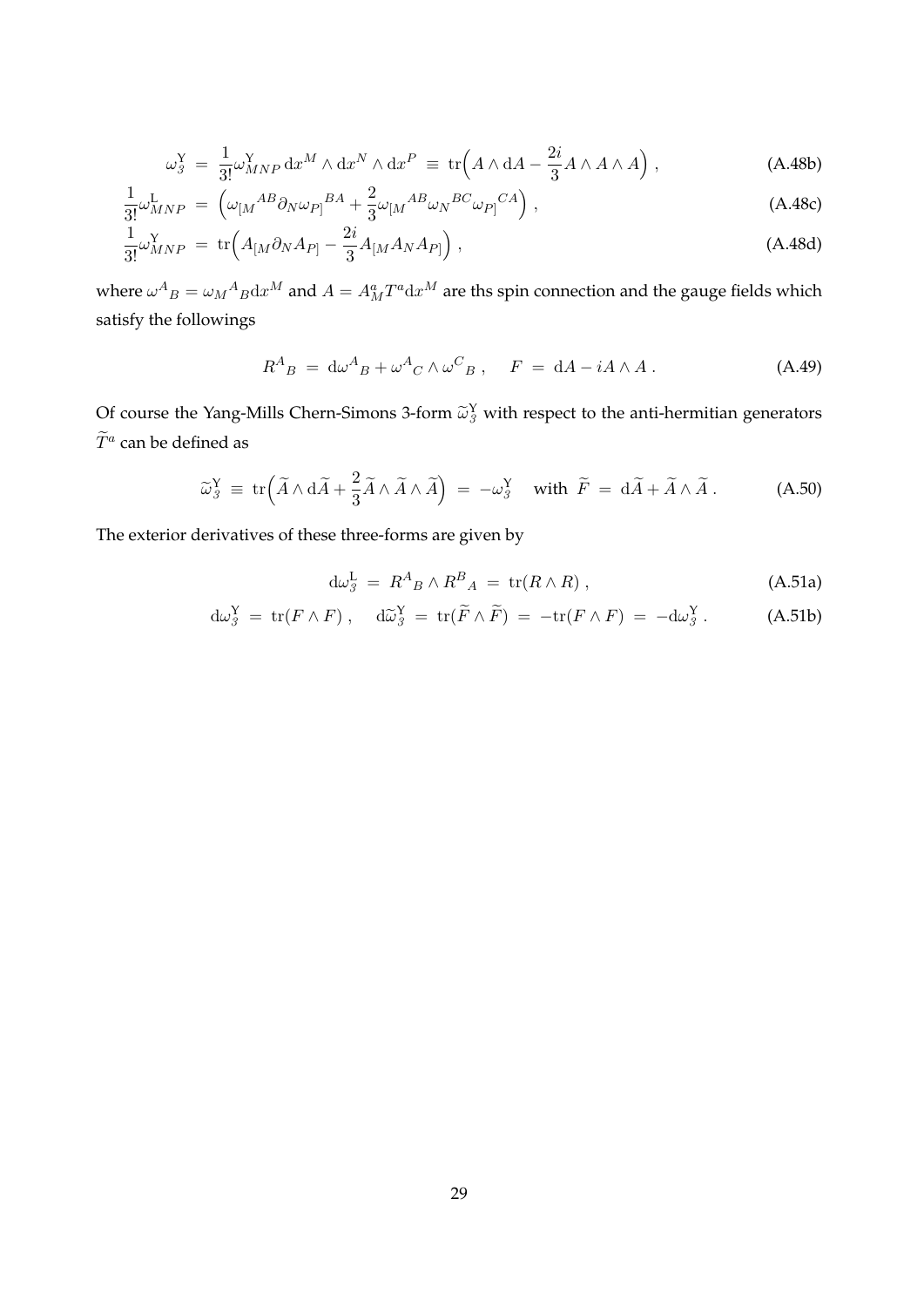$$
\omega_3^Y = \frac{1}{3!} \omega_{MNP}^Y dx^M \wedge dx^N \wedge dx^P \equiv \text{tr}\Big(A \wedge dA - \frac{2i}{3} A \wedge A \wedge A\Big) , \qquad (A.48b)
$$

$$
\frac{1}{3!} \omega_{MNP}^{L} = \left( \omega_{[M}^{AB} \partial_N \omega_{P]}^{BA} + \frac{2}{3} \omega_{[M}^{AB} \omega_N^{BC} \omega_{P]}^{CA} \right), \tag{A.48c}
$$

$$
\frac{1}{3!}\omega_{MNP}^{\Upsilon} = \text{tr}\Big(A_{[M}\partial_N A_{P]} - \frac{2i}{3}A_{[M}A_N A_{P]}\Big) ,\tag{A.48d}
$$

where  $\omega^{A}{}_{B} = \omega_{M}{}^{A}{}_{B}dx^{M}$  and  $A = A^{a}_{M}T^{a}dx^{M}$  are ths spin connection and the gauge fields which satisfy the followings

$$
R^{A}{}_{B} = d\omega^{A}{}_{B} + \omega^{A}{}_{C} \wedge \omega^{C}{}_{B} , \quad F = dA - iA \wedge A . \tag{A.49}
$$

Of course the Yang-Mills Chern-Simons 3-form  $\widetilde{\omega}_{\beta}^{Y}$  with respect to the anti-hermitian generators  $\widetilde{\sim}$  $\widetilde{T}^a$  can be defined as

$$
\widetilde{\omega}_{\widetilde{\beta}}^Y \equiv \text{tr}\Big(\widetilde{A} \wedge d\widetilde{A} + \frac{2}{3}\widetilde{A} \wedge \widetilde{A} \wedge \widetilde{A}\Big) = -\omega_{\widetilde{\beta}}^Y \quad \text{with } \widetilde{F} = d\widetilde{A} + \widetilde{A} \wedge \widetilde{A} \,.
$$
 (A.50)

The exterior derivatives of these three-forms are given by

$$
d\omega_3^L = R^A{}_B \wedge R^B{}_A = \text{tr}(R \wedge R) \,, \tag{A.51a}
$$

$$
d\omega_3^Y = \text{tr}(F \wedge F) \ , \quad d\widetilde{\omega}_3^Y = \text{tr}(\widetilde{F} \wedge \widetilde{F}) = -\text{tr}(F \wedge F) = -d\omega_3^Y \ . \tag{A.51b}
$$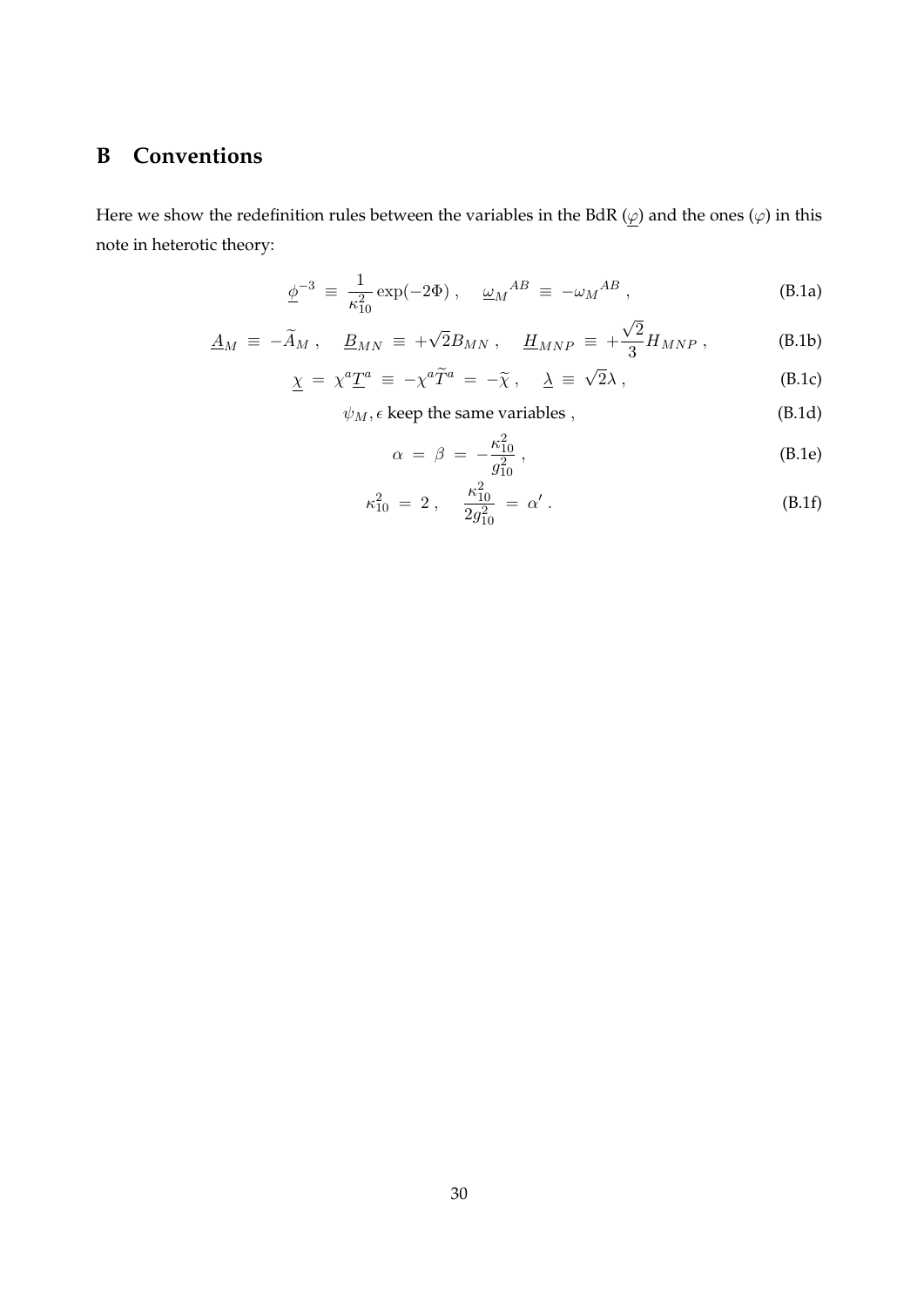# **B Conventions**

Here we show the redefinition rules between the variables in the BdR  $(\varphi)$  and the ones  $(\varphi)$  in this note in heterotic theory:

$$
\underline{\phi}^{-3} \equiv \frac{1}{\kappa_{10}^2} \exp(-2\Phi) , \quad \underline{\omega}_M{}^{AB} \equiv -\omega_M{}^{AB} , \tag{B.1a}
$$

$$
\underline{A}_M \equiv -\widetilde{A}_M \ , \quad \underline{B}_{MN} \equiv +\sqrt{2}B_{MN} \ , \quad \underline{H}_{MNP} \equiv +\frac{\sqrt{2}}{3}H_{MNP} \ , \tag{B.1b}
$$

$$
\underline{\chi} = \chi^a \underline{T}^a \equiv -\chi^a \widetilde{T}^a = -\widetilde{\chi}, \quad \underline{\lambda} \equiv \sqrt{2}\lambda \,, \tag{B.1c}
$$

 $\psi_M$ ,  $\epsilon$  keep the same variables *,* (B.1d)

$$
\alpha = \beta = -\frac{\kappa_{10}^2}{g_{10}^2}, \tag{B.1e}
$$

$$
\kappa_{10}^2 = 2 \,, \quad \frac{\kappa_{10}^2}{2g_{10}^2} = \alpha' \,. \tag{B.1f}
$$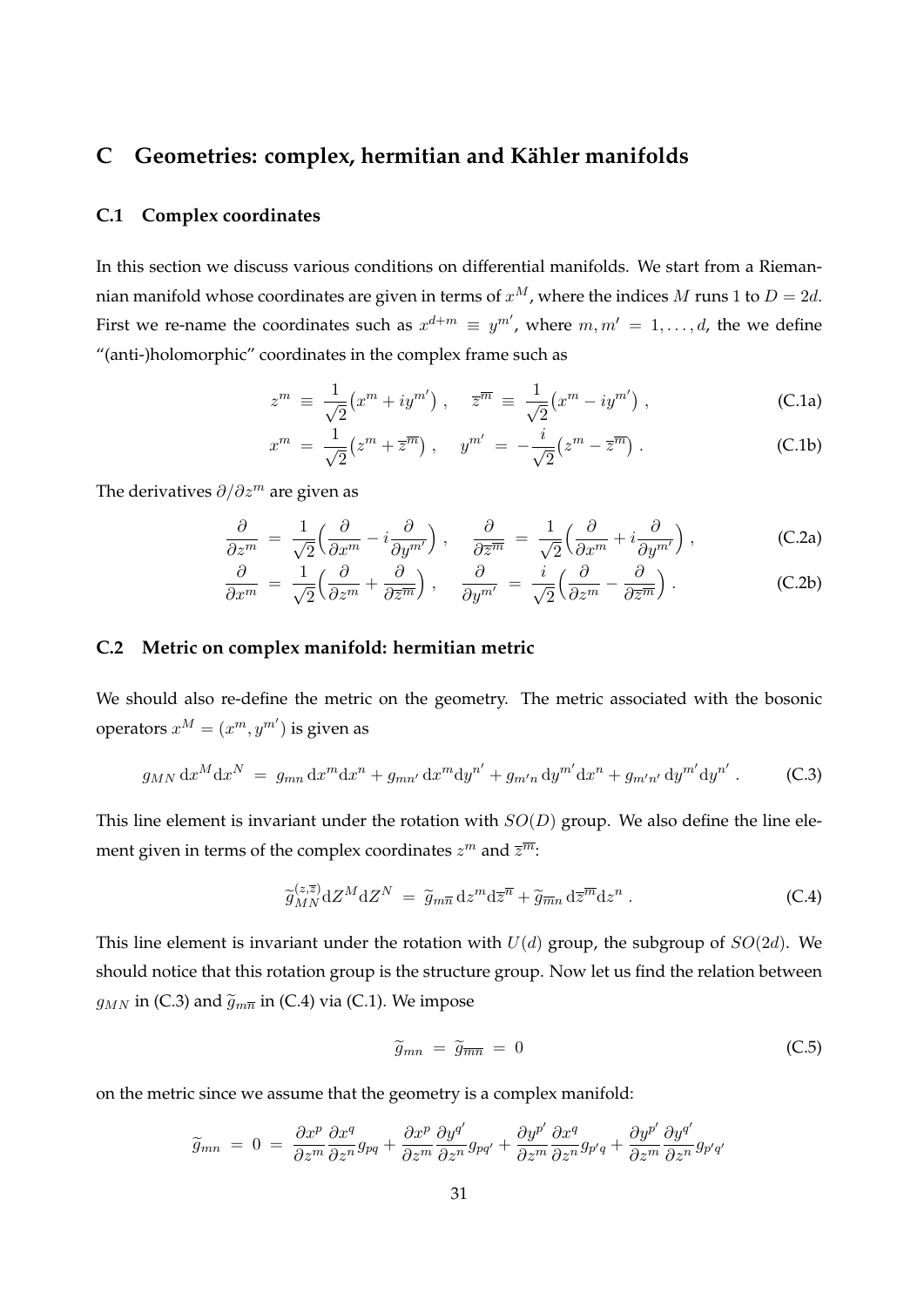# **C** Geometries: complex, hermitian and Kähler manifolds

## **C.1 Complex coordinates**

In this section we discuss various conditions on differential manifolds. We start from a Riemannian manifold whose coordinates are given in terms of  $x^M$ , where the indices *M* runs 1 to  $D = 2d$ . First we re-name the coordinates such as  $x^{d+m} \equiv y^{m'}$ , where  $m, m' = 1, \ldots, d$ , the we define "(anti-)holomorphic" coordinates in the complex frame such as

$$
z^m \equiv \frac{1}{\sqrt{2}} \left( x^m + iy^{m'} \right) , \quad \overline{z}^{\overline{m}} \equiv \frac{1}{\sqrt{2}} \left( x^m - iy^{m'} \right) , \tag{C.1a}
$$

$$
x^{m} = \frac{1}{\sqrt{2}} (z^{m} + \overline{z}^{m}), \quad y^{m'} = -\frac{i}{\sqrt{2}} (z^{m} - \overline{z}^{m}). \tag{C.1b}
$$

The derivatives *∂/∂z<sup>m</sup>* are given as

$$
\frac{\partial}{\partial z^m} = \frac{1}{\sqrt{2}} \Big( \frac{\partial}{\partial x^m} - i \frac{\partial}{\partial y^{m'}} \Big) , \quad \frac{\partial}{\partial \overline{z}^m} = \frac{1}{\sqrt{2}} \Big( \frac{\partial}{\partial x^m} + i \frac{\partial}{\partial y^{m'}} \Big) , \tag{C.2a}
$$

$$
\frac{\partial}{\partial x^m} = \frac{1}{\sqrt{2}} \Big( \frac{\partial}{\partial z^m} + \frac{\partial}{\partial \overline{z}^m} \Big) , \quad \frac{\partial}{\partial y^{m'}} = \frac{i}{\sqrt{2}} \Big( \frac{\partial}{\partial z^m} - \frac{\partial}{\partial \overline{z}^m} \Big) .
$$
 (C.2b)

#### **C.2 Metric on complex manifold: hermitian metric**

We should also re-define the metric on the geometry. The metric associated with the bosonic operators  $x^M = (x^m, y^{m'})$  is given as

$$
g_{MN} dx^M dx^N = g_{mn} dx^m dx^n + g_{mn'} dx^m dy^{n'} + g_{m'n} dy^{m'} dx^n + g_{m'n'} dy^{m'} dy^{n'}.
$$
 (C.3)

This line element is invariant under the rotation with *SO*(*D*) group. We also define the line element given in terms of the complex coordinates  $z^m$  and  $\overline{z}^{\overline{m}}$ :

$$
\widetilde{g}_{MN}^{(z,\overline{z})} \mathrm{d}Z^M \mathrm{d}Z^N = \widetilde{g}_{m\overline{n}} \mathrm{d}z^m \mathrm{d}\overline{z}^{\overline{n}} + \widetilde{g}_{\overline{m}n} \mathrm{d}\overline{z}^{\overline{m}} \mathrm{d}z^n \,. \tag{C.4}
$$

This line element is invariant under the rotation with *U*(*d*) group, the subgroup of *SO*(2*d*). We should notice that this rotation group is the structure group. Now let us find the relation between  $g_{MN}$  in (C.3) and  $\tilde{g}_{m\overline{n}}$  in (C.4) via (C.1). We impose

$$
\widetilde{g}_{mn} = \widetilde{g}_{\overline{mn}} = 0 \tag{C.5}
$$

on the metric since we assume that the geometry is a complex manifold:

$$
\widetilde{g}_{mn} = 0 = \frac{\partial x^p}{\partial z^m} \frac{\partial x^q}{\partial z^n} g_{pq} + \frac{\partial x^p}{\partial z^m} \frac{\partial y^{q'}}{\partial z^n} g_{pq'} + \frac{\partial y^{p'}}{\partial z^m} \frac{\partial x^q}{\partial z^n} g_{p'q} + \frac{\partial y^{p'}}{\partial z^m} \frac{\partial y^{q'}}{\partial z^n} g_{p'q'}
$$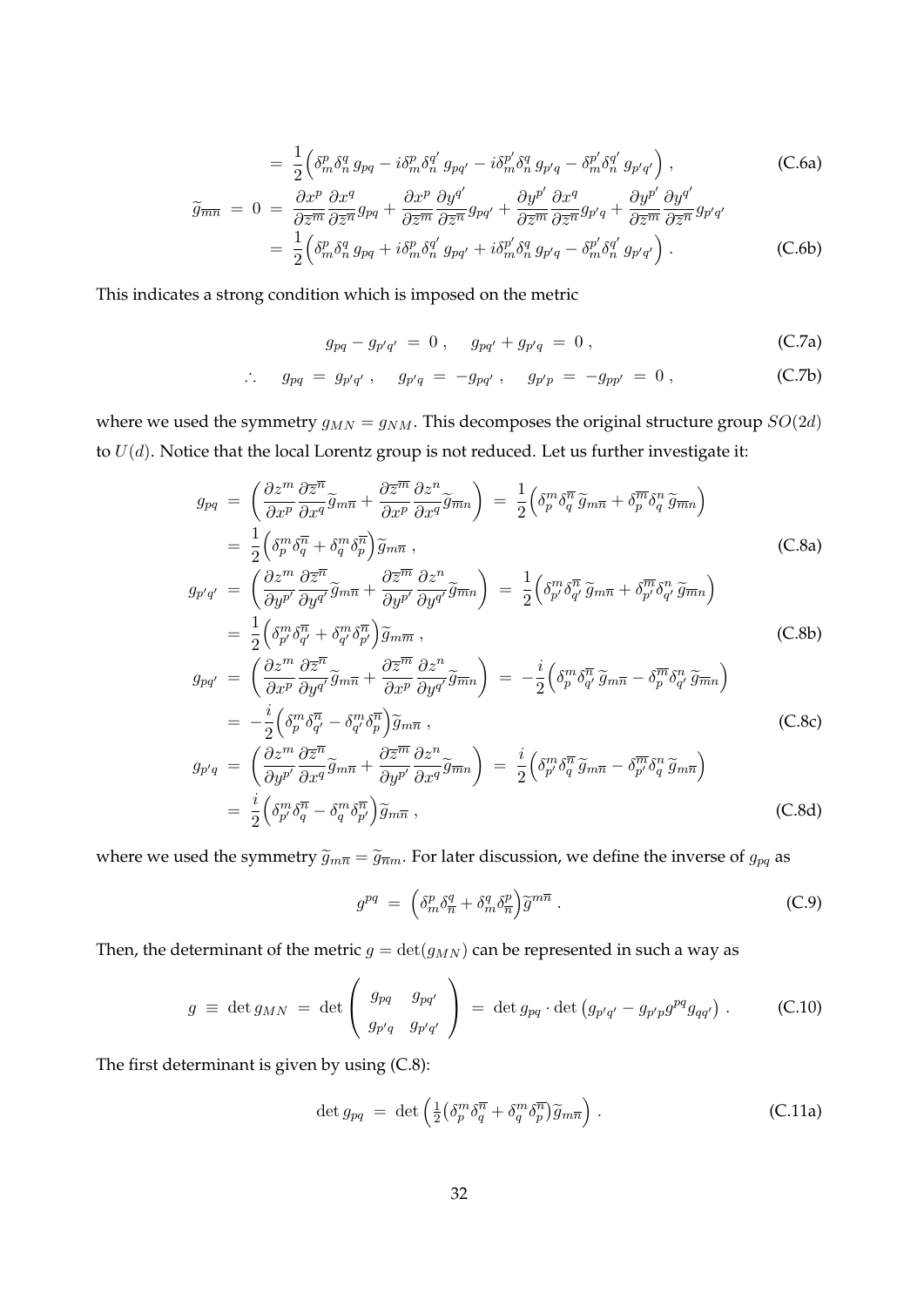$$
= \frac{1}{2} \Big( \delta_m^p \delta_n^q g_{pq} - i \delta_m^p \delta_n^{q'} g_{pq'} - i \delta_m^{p'} \delta_n^q g_{p'q} - \delta_m^{p'} \delta_n^{q'} g_{p'q'} \Big) , \qquad (C.6a)
$$

$$
\widetilde{g}_{\overline{m}\overline{n}} = 0 = \frac{\partial x^p}{\partial \overline{z}^{\overline{m}}} \frac{\partial x^q}{\partial \overline{z}^{\overline{n}}} g_{pq} + \frac{\partial x^p}{\partial \overline{z}^{\overline{m}}} \frac{\partial y^{q'}}{\partial \overline{z}^{\overline{n}}} g_{pq'} + \frac{\partial y^{p'}}{\partial \overline{z}^{\overline{m}}} \frac{\partial x^q}{\partial \overline{z}^{\overline{n}}} g_{p'q} + \frac{\partial y^{p'}}{\partial \overline{z}^{\overline{n}}} \frac{\partial y^{q'}}{\partial \overline{z}^{\overline{n}}} g_{p'q'} \n= \frac{1}{2} \Big( \delta_m^p \delta_n^q g_{pq} + i \delta_m^p \delta_n^{q'} g_{pq'} + i \delta_m^{p'} \delta_n^q g_{p'q} - \delta_m^{p'} \delta_n^{q'} g_{p'q'} \Big) .
$$
\n(C.6b)

This indicates a strong condition which is imposed on the metric

$$
g_{pq} - g_{p'q'} = 0, \quad g_{pq'} + g_{p'q} = 0,
$$
 (C.7a)

$$
\therefore \quad g_{pq} = g_{p'q'}, \quad g_{p'q} = -g_{pq'}, \quad g_{p'p} = -g_{pp'} = 0, \tag{C.7b}
$$

where we used the symmetry  $g_{MN} = g_{NM}$ . This decomposes the original structure group  $SO(2d)$ to *U*(*d*). Notice that the local Lorentz group is not reduced. Let us further investigate it:

$$
g_{pq} = \left(\frac{\partial z^{m}}{\partial x^{p}} \frac{\partial \overline{z}^{\overline{n}}}{\partial x^{q}} \tilde{g}_{m\overline{n}} + \frac{\partial \overline{z}^{\overline{m}}}{\partial x^{p}} \frac{\partial z^{n}}{\partial x^{q}} \tilde{g}_{\overline{m}n}\right) = \frac{1}{2} \left(\delta_{p}^{m} \delta_{q}^{\overline{n}} \tilde{g}_{m\overline{n}} + \delta_{p}^{\overline{m}} \delta_{q}^{n} \tilde{g}_{\overline{m}n}\right)
$$
\n
$$
= \frac{1}{2} \left(\delta_{p}^{m} \delta_{q}^{\overline{n}} + \delta_{q}^{m} \delta_{p}^{\overline{n}}\right) \tilde{g}_{m\overline{n}}, \qquad (C.8a)
$$
\n
$$
g_{p'q'} = \left(\frac{\partial z^{m}}{\partial y^{p'}} \frac{\partial \overline{z}^{\overline{n}}}{\partial y^{q'}} \tilde{g}_{m\overline{n}} + \frac{\partial \overline{z}^{\overline{m}}}{\partial y^{p'}} \frac{\partial z^{n}}{\partial y^{q'}} \tilde{g}_{\overline{m}n}\right) = \frac{1}{2} \left(\delta_{p'}^{m} \delta_{q'}^{\overline{n}} \tilde{g}_{m\overline{n}} + \delta_{p'}^{\overline{m}} \delta_{q'}^{n} \tilde{g}_{\overline{m}n}\right)
$$
\n
$$
= \frac{1}{2} \left(\delta_{p'}^{m} \delta_{q'}^{\overline{n}} + \delta_{q'}^{m} \delta_{p'}^{\overline{n}}\right) \tilde{g}_{m\overline{n}}, \qquad (C.8b)
$$
\n
$$
g_{pq'} = \left(\frac{\partial z^{m}}{\partial x^{p}} \frac{\partial \overline{z}^{\overline{n}}}{\partial y^{q'}} \tilde{g}_{m\overline{n}} + \frac{\partial \overline{z}^{\overline{m}}}{\partial x^{p}} \frac{\partial z^{n}}{\partial y^{q'}} \tilde{g}_{\overline{m}n}\right) = -\frac{i}{2} \left(\delta_{p}^{m} \delta_{q'}^{\overline{n}} \tilde{g}_{m\overline{n}} - \delta_{p}^{\overline{m}} \delta_{q'}^{n} \tilde{g}_{\overline{m}n}\right)
$$
\n<math display="block</math>

where we used the symmetry  $\tilde{g}_{m\overline{n}} = \tilde{g}_{\overline{n}m}$ . For later discussion, we define the inverse of  $g_{pq}$  as

$$
g^{pq} = \left(\delta_m^p \delta_{\overline{n}}^q + \delta_m^q \delta_{\overline{n}}^p\right) \widetilde{g}^{m\overline{n}} \ . \tag{C.9}
$$

Then, the determinant of the metric  $g = det(g_{MN})$  can be represented in such a way as

$$
g \equiv \det g_{MN} = \det \begin{pmatrix} g_{pq} & g_{pq'} \\ g_{p'q} & g_{p'q'} \end{pmatrix} = \det g_{pq} \cdot \det (g_{p'q'} - g_{p'p}g^{pq}g_{qq'}) . \quad (C.10)
$$

The first determinant is given by using (C.8):

$$
\det g_{pq} = \det \left( \frac{1}{2} \left( \delta_p^m \delta_q^{\overline{n}} + \delta_q^m \delta_p^{\overline{n}} \right) \widetilde{g}_{m\overline{n}} \right). \tag{C.11a}
$$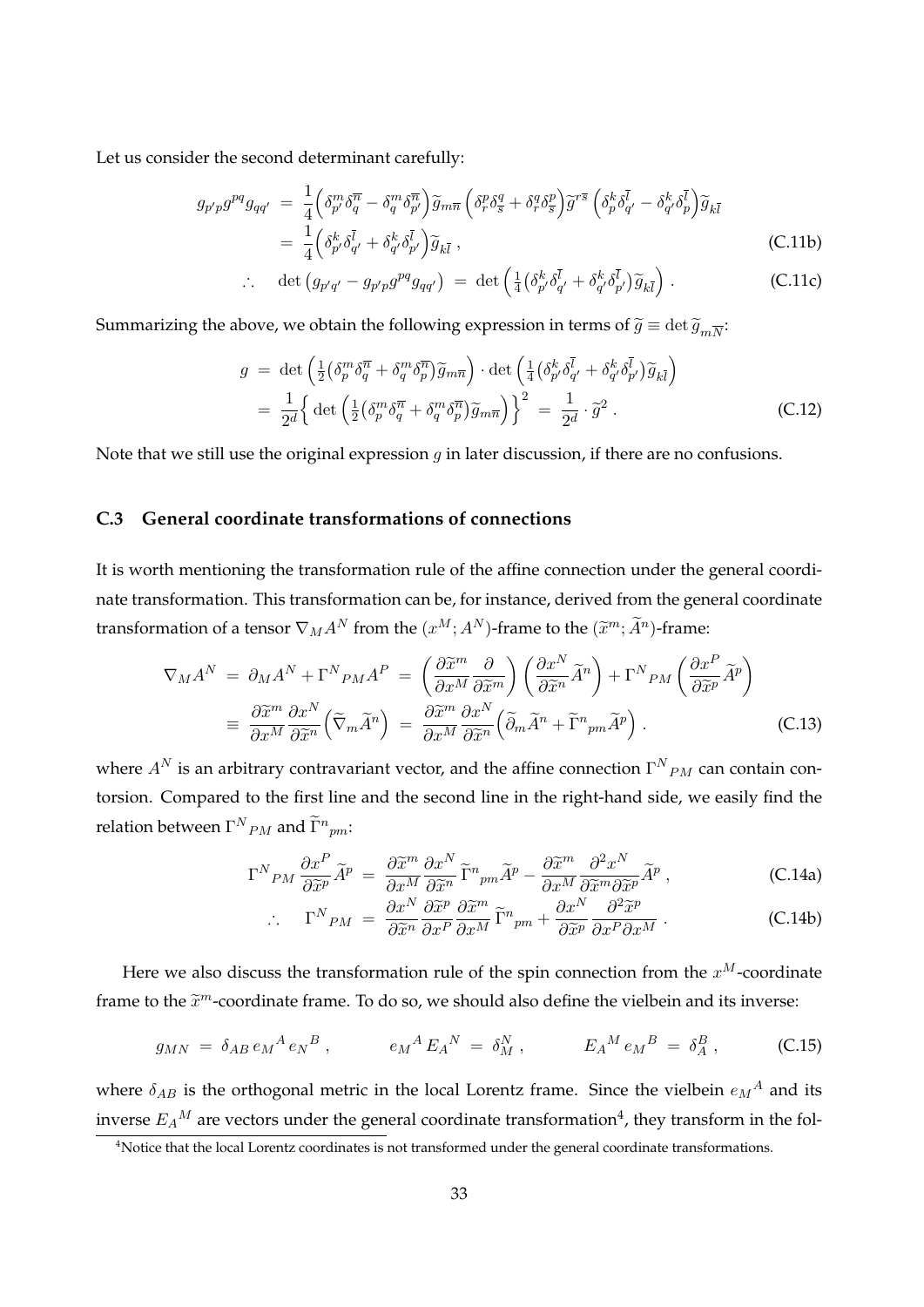Let us consider the second determinant carefully:

$$
g_{p'p}g^{pq}g_{qq'} = \frac{1}{4} \left( \delta_{p'}^m \delta_q^{\overline{n}} - \delta_q^m \delta_{p'}^{\overline{n}} \right) \widetilde{g}_{m\overline{n}} \left( \delta_r^p \delta_{\overline{s}}^q + \delta_r^q \delta_{\overline{s}}^p \right) \widetilde{g}^{r\overline{s}} \left( \delta_p^k \delta_{q'}^{\overline{l}} - \delta_{q'}^k \delta_p^{\overline{l}} \right) \widetilde{g}_{k\overline{l}} = \frac{1}{4} \left( \delta_{p'}^k \delta_{q'}^{\overline{l}} + \delta_{q'}^k \delta_{p'}^{\overline{l}} \right) \widetilde{g}_{k\overline{l}} ,
$$
(C.11b)

$$
\therefore \quad \det \left( g_{p'q'} - g_{p'p} g^{pq} g_{qq'} \right) \; = \; \det \left( \frac{1}{4} \left( \delta_{p'}^k \delta_{q'}^{\bar{l}} + \delta_{q'}^k \delta_{p'}^{\bar{l}} \right) \widetilde{g}_{k\bar{l}} \right) \, . \tag{C.11c}
$$

Summarizing the above, we obtain the following expression in terms of  $\widetilde{g}\equiv \det \widetilde{g}_{m\overline{N}}$ :

$$
g = \det \left( \frac{1}{2} \left( \delta_p^m \delta_q^{\overline{n}} + \delta_q^m \delta_p^{\overline{n}} \right) \widetilde{g}_{m\overline{n}} \right) \cdot \det \left( \frac{1}{4} \left( \delta_{p'}^k \delta_{q'}^{\overline{l}} + \delta_{q'}^k \delta_{p'}^{\overline{l}} \right) \widetilde{g}_{k\overline{l}} \right)
$$
  

$$
= \frac{1}{2^d} \left\{ \det \left( \frac{1}{2} \left( \delta_p^m \delta_q^{\overline{n}} + \delta_q^m \delta_p^{\overline{n}} \right) \widetilde{g}_{m\overline{n}} \right) \right\}^2 = \frac{1}{2^d} \cdot \widetilde{g}^2 .
$$
 (C.12)

Note that we still use the original expression *g* in later discussion, if there are no confusions.

## **C.3 General coordinate transformations of connections**

It is worth mentioning the transformation rule of the affine connection under the general coordinate transformation. This transformation can be, for instance, derived from the general coordinate transformation of a tensor  $\nabla_M A^N$  from the  $(x^M; A^N)$ -frame to the  $(\widetilde{x}^m; \widetilde{A}^n)$ -frame:

$$
\nabla_M A^N = \partial_M A^N + \Gamma^N{}_{PM} A^P = \left(\frac{\partial \tilde{x}^m}{\partial x^M} \frac{\partial}{\partial \tilde{x}^m}\right) \left(\frac{\partial x^N}{\partial \tilde{x}^n} \tilde{A}^n\right) + \Gamma^N{}_{PM} \left(\frac{\partial x^P}{\partial \tilde{x}^p} \tilde{A}^p\right)
$$

$$
\equiv \frac{\partial \tilde{x}^m}{\partial x^M} \frac{\partial x^N}{\partial \tilde{x}^n} \left(\tilde{\nabla}_m \tilde{A}^n\right) = \frac{\partial \tilde{x}^m}{\partial x^M} \frac{\partial x^N}{\partial \tilde{x}^n} \left(\tilde{\partial}_m \tilde{A}^n + \tilde{\Gamma}^n{}_{pm} \tilde{A}^p\right).
$$
(C.13)

where  $A^N$  is an arbitrary contravariant vector, and the affine connection  $\Gamma^N{}_{PM}$  can contain contorsion. Compared to the first line and the second line in the right-hand side, we easily find the  $\text{relation between }\Gamma^{N}{}_{PM}\text{ and }\widetilde{\Gamma}^{n}{}_{pm}$ :

$$
\Gamma^{N}{}_{PM} \frac{\partial x^{P}}{\partial \tilde{x}^{p}} \tilde{A}^{p} = \frac{\partial \tilde{x}^{m}}{\partial x^{M}} \frac{\partial x^{N}}{\partial \tilde{x}^{n}} \tilde{\Gamma}^{n}{}_{pm} \tilde{A}^{p} - \frac{\partial \tilde{x}^{m}}{\partial x^{M}} \frac{\partial^{2} x^{N}}{\partial \tilde{x}^{m} \partial \tilde{x}^{p}} \tilde{A}^{p} ,
$$
\n(C.14a)

$$
\therefore \qquad \Gamma^N P_M = \frac{\partial x^N}{\partial \tilde{x}^n} \frac{\partial \tilde{x}^p}{\partial x^P} \frac{\partial \tilde{x}^m}{\partial x^M} \tilde{\Gamma}^n{}_{pm} + \frac{\partial x^N}{\partial \tilde{x}^p} \frac{\partial^2 \tilde{x}^p}{\partial x^P \partial x^M} \ . \tag{C.14b}
$$

Here we also discuss the transformation rule of the spin connection from the  $x^M$ -coordinate frame to the  $\tilde{x}^m$ -coordinate frame. To do so, we should also define the vielbein and its inverse:

$$
g_{MN} = \delta_{AB} e_M{}^A e_N{}^B , \qquad e_M{}^A E_A{}^N = \delta_M^N , \qquad E_A{}^M e_M{}^B = \delta_A^B , \qquad (C.15)
$$

where  $\delta_{AB}$  is the orthogonal metric in the local Lorentz frame. Since the vielbein  $e_M{}^A$  and its inverse  $E_A{}^M$  are vectors under the general coordinate transformation<sup>4</sup>, they transform in the fol-

<sup>&</sup>lt;sup>4</sup>Notice that the local Lorentz coordinates is not transformed under the general coordinate transformations.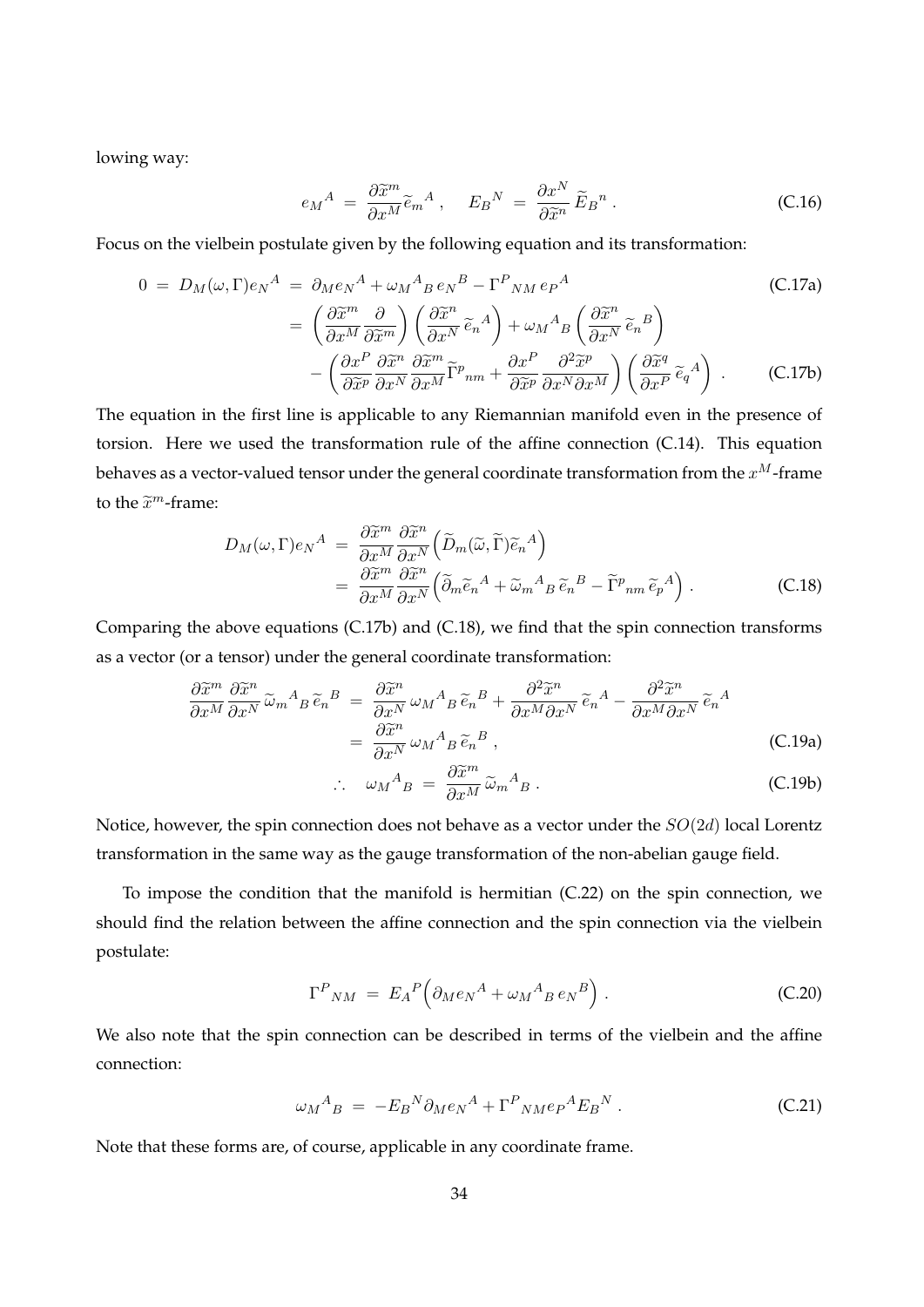lowing way:

$$
e_M{}^A = \frac{\partial \widetilde{x}^m}{\partial x^M} \widetilde{e}_m{}^A \,, \quad E_B{}^N = \frac{\partial x^N}{\partial \widetilde{x}^n} \widetilde{E}_B{}^n \,. \tag{C.16}
$$

Focus on the vielbein postulate given by the following equation and its transformation:

$$
0 = D_M(\omega, \Gamma) e_N^A = \partial_M e_N^A + \omega_M^A{}_B e_N^B - \Gamma^P{}_{NM} e_P^A
$$
(C.17a)  

$$
= \left(\frac{\partial \widetilde{x}^m}{\partial x^M} \frac{\partial}{\partial \widetilde{x}^m}\right) \left(\frac{\partial \widetilde{x}^n}{\partial x^N} \widetilde{e}_n^A\right) + \omega_M^A{}_B \left(\frac{\partial \widetilde{x}^n}{\partial x^N} \widetilde{e}_n^B\right)
$$

$$
- \left(\frac{\partial x^P}{\partial \widetilde{x}^p} \frac{\partial \widetilde{x}^m}{\partial x^N} \widetilde{e}_m^m \widetilde{e}_m^m\right) + \frac{\partial x^P}{\partial \widetilde{x}^p} \frac{\partial^2 \widetilde{x}^p}{\partial x^N \partial x^M} \left(\frac{\partial \widetilde{x}^q}{\partial x^P} \widetilde{e}_q^A\right) .
$$
(C.17b)

The equation in the first line is applicable to any Riemannian manifold even in the presence of torsion. Here we used the transformation rule of the affine connection (C.14). This equation behaves as a vector-valued tensor under the general coordinate transformation from the *xM*-frame to the  $\tilde{x}^m$ -frame:

$$
D_M(\omega, \Gamma) e_N^A = \frac{\partial \tilde{x}^m}{\partial x^M} \frac{\partial \tilde{x}^n}{\partial x^N} \left( \tilde{D}_m(\tilde{\omega}, \tilde{\Gamma}) \tilde{e}_n^A \right)
$$
  
= 
$$
\frac{\partial \tilde{x}^m}{\partial x^M} \frac{\partial \tilde{x}^n}{\partial x^N} \left( \tilde{\partial}_m \tilde{e}_n^A + \tilde{\omega}_m^A{}_B \tilde{e}_n^B - \tilde{\Gamma}^p{}_{nm} \tilde{e}_p^A \right).
$$
 (C.18)

Comparing the above equations (C.17b) and (C.18), we find that the spin connection transforms as a vector (or a tensor) under the general coordinate transformation:

$$
\frac{\partial \widetilde{x}^m}{\partial x^M} \frac{\partial \widetilde{x}^n}{\partial x^N} \widetilde{\omega}_m{}^A{}_B \widetilde{e}_n{}^B = \frac{\partial \widetilde{x}^n}{\partial x^N} \omega_M{}^A{}_B \widetilde{e}_n{}^B + \frac{\partial^2 \widetilde{x}^n}{\partial x^M \partial x^N} \widetilde{e}_n{}^A - \frac{\partial^2 \widetilde{x}^n}{\partial x^M \partial x^N} \widetilde{e}_n{}^A
$$

$$
= \frac{\partial \widetilde{x}^n}{\partial x^N} \omega_M{}^A{}_B \widetilde{e}_n{}^B , \tag{C.19a}
$$

$$
\therefore \quad \omega_M{}^A{}_B \; = \; \frac{\partial \widetilde{x}^m}{\partial x^M} \widetilde{\omega}_m{}^A{}_B \; . \tag{C.19b}
$$

Notice, however, the spin connection does not behave as a vector under the *SO*(2*d*) local Lorentz transformation in the same way as the gauge transformation of the non-abelian gauge field.

To impose the condition that the manifold is hermitian (C.22) on the spin connection, we should find the relation between the affine connection and the spin connection via the vielbein postulate:

$$
\Gamma^P{}_{NM} = E_A{}^P \Big(\partial_M e_N{}^A + \omega_M{}^A{}_B e_N{}^B\Big) . \tag{C.20}
$$

We also note that the spin connection can be described in terms of the vielbein and the affine connection:

$$
\omega_M{}^A{}_B = -E_B{}^N \partial_M e_N{}^A + \Gamma^P{}_{N M} e_P{}^A E_B{}^N \,. \tag{C.21}
$$

Note that these forms are, of course, applicable in any coordinate frame.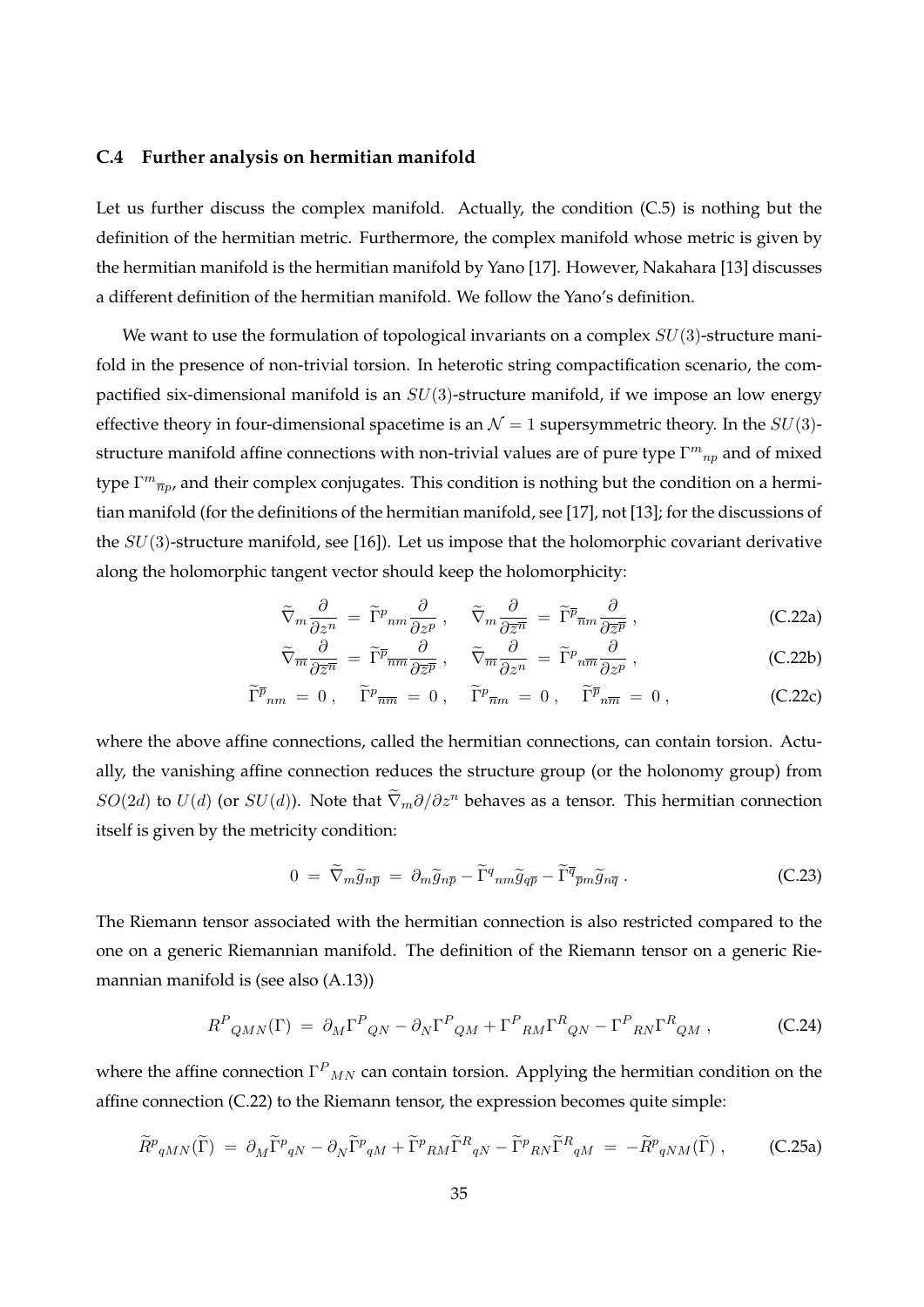#### **C.4 Further analysis on hermitian manifold**

Let us further discuss the complex manifold. Actually, the condition (C.5) is nothing but the definition of the hermitian metric. Furthermore, the complex manifold whose metric is given by the hermitian manifold is the hermitian manifold by Yano [17]. However, Nakahara [13] discusses a different definition of the hermitian manifold. We follow the Yano's definition.

We want to use the formulation of topological invariants on a complex *SU*(3)-structure manifold in the presence of non-trivial torsion. In heterotic string compactification scenario, the compactified six-dimensional manifold is an *SU*(3)-structure manifold, if we impose an low energy effective theory in four-dimensional spacetime is an  $\mathcal{N}=1$  supersymmetric theory. In the  $SU(3)$ structure manifold affine connections with non-trivial values are of pure type  $\Gamma^{m}{}_{np}$  and of mixed type Γ<sup>*m*</sup><sub> $\overline{n}p$ , and their complex conjugates. This condition is nothing but the condition on a hermi-</sub> tian manifold (for the definitions of the hermitian manifold, see [17], not [13]; for the discussions of the *SU*(3)-structure manifold, see [16]). Let us impose that the holomorphic covariant derivative along the holomorphic tangent vector should keep the holomorphicity:

$$
\widetilde{\nabla}_m \frac{\partial}{\partial z^n} = \widetilde{\Gamma}^p{}_{nm} \frac{\partial}{\partial z^p} , \quad \widetilde{\nabla}_m \frac{\partial}{\partial \overline{z}^n} = \widetilde{\Gamma}^{\overline{p}}{}_{\overline{n}m} \frac{\partial}{\partial \overline{z}^{\overline{p}}} , \qquad (C.22a)
$$

$$
\widetilde{\nabla}_{\overline{m}} \frac{\partial}{\partial \overline{z}^{\overline{n}}} = \widetilde{\Gamma}^{\overline{p}}_{\overline{nm}} \frac{\partial}{\partial \overline{z}^{\overline{p}}} , \quad \widetilde{\nabla}_{\overline{m}} \frac{\partial}{\partial z^n} = \widetilde{\Gamma}^p{}_{n\overline{m}} \frac{\partial}{\partial z^p} , \qquad (C.22b)
$$

$$
\widetilde{\Gamma}^{\overline{p}}{}_{nm} = 0 \,, \quad \widetilde{\Gamma}^p{}_{\overline{n}\overline{m}} = 0 \,, \quad \widetilde{\Gamma}^p{}_{\overline{n}m} = 0 \,, \quad \widetilde{\Gamma}^{\overline{p}}{}_{n\overline{m}} = 0 \,, \tag{C.22c}
$$

where the above affine connections, called the hermitian connections, can contain torsion. Actually, the vanishing affine connection reduces the structure group (or the holonomy group) from *SO*(2*d*) to *U*(*d*) (or *SU*(*d*)). Note that  $\tilde{\nabla}_m \partial/\partial z^n$  behaves as a tensor. This hermitian connection itself is given by the metricity condition:

$$
0 = \widetilde{\nabla}_m \widetilde{g}_{n\overline{p}} = \partial_m \widetilde{g}_{n\overline{p}} - \widetilde{\Gamma}^q{}_{nm} \widetilde{g}_{q\overline{p}} - \widetilde{\Gamma}^{\overline{q}}{}_{\overline{p}m} \widetilde{g}_{n\overline{q}} \,. \tag{C.23}
$$

The Riemann tensor associated with the hermitian connection is also restricted compared to the one on a generic Riemannian manifold. The definition of the Riemann tensor on a generic Riemannian manifold is (see also (A.13))

$$
R^{P}{}_{QMN}(\Gamma) = \partial_{M}\Gamma^{P}{}_{QN} - \partial_{N}\Gamma^{P}{}_{QM} + \Gamma^{P}{}_{RM}\Gamma^{R}{}_{QN} - \Gamma^{P}{}_{RN}\Gamma^{R}{}_{QM} , \qquad (C.24)
$$

where the affine connection  $\Gamma^P{}_{MN}$  can contain torsion. Applying the hermitian condition on the affine connection (C.22) to the Riemann tensor, the expression becomes quite simple:

$$
\widetilde{R}^p{}_{qMN}(\widetilde{\Gamma}) = \partial_M \widetilde{\Gamma}^p{}_{qN} - \partial_N \widetilde{\Gamma}^p{}_{qM} + \widetilde{\Gamma}^p{}_{RM} \widetilde{\Gamma}^R{}_{qN} - \widetilde{\Gamma}^p{}_{RN} \widetilde{\Gamma}^R{}_{qM} = -\widetilde{R}^p{}_{qNM}(\widetilde{\Gamma}) , \qquad \text{(C.25a)}
$$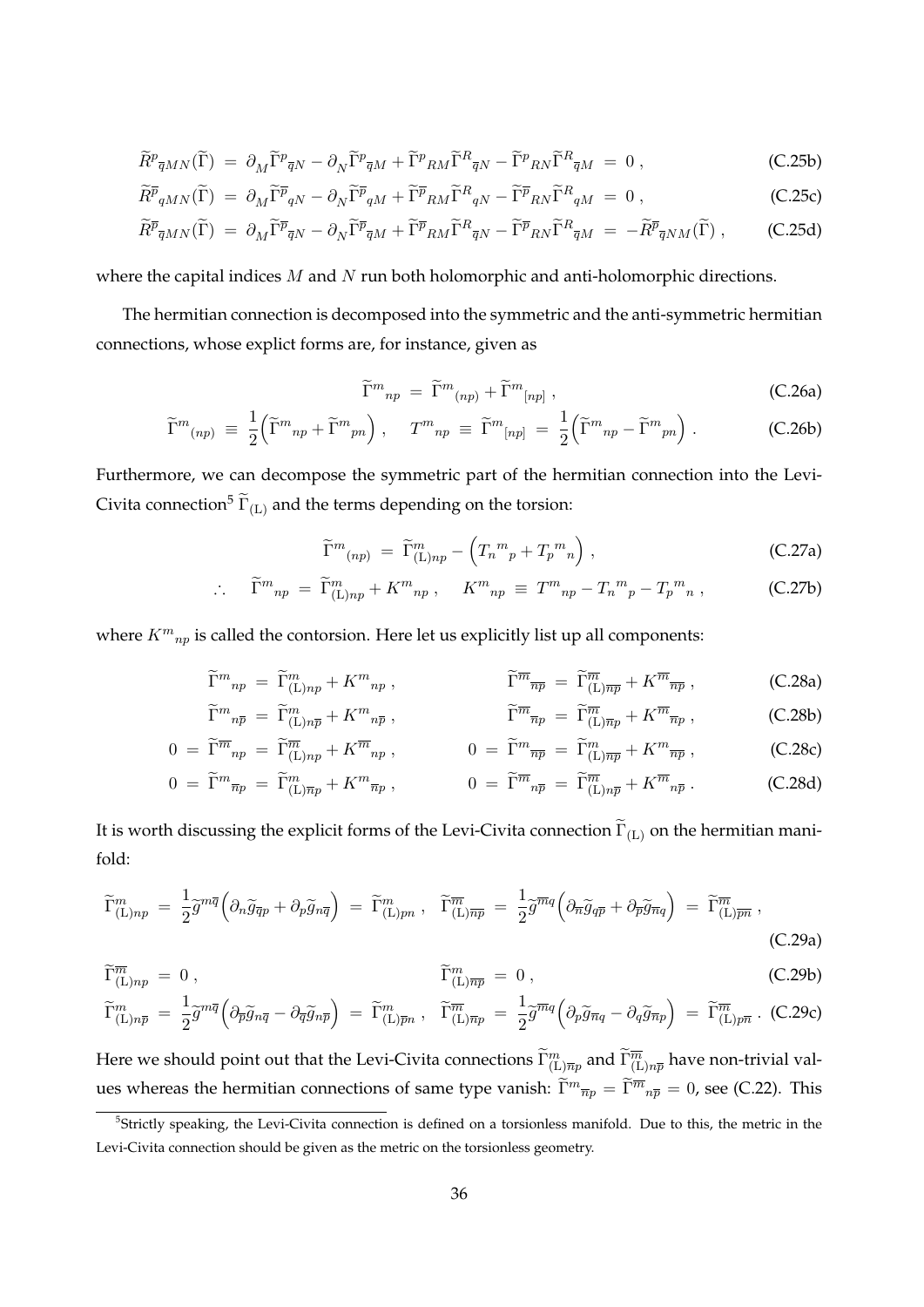$$
\widetilde{R}^p{}_{\overline{q}MN}(\widetilde{\Gamma}) = \partial_M \widetilde{\Gamma}^p{}_{\overline{q}N} - \partial_N \widetilde{\Gamma}^p{}_{\overline{q}M} + \widetilde{\Gamma}^p{}_{RM} \widetilde{\Gamma}^R{}_{\overline{q}N} - \widetilde{\Gamma}^p{}_{RN} \widetilde{\Gamma}^R{}_{\overline{q}M} = 0 \,, \tag{C.25b}
$$

$$
\widetilde{R}^{\overline{p}}{}_{qMN}(\widetilde{\Gamma}) = \partial_M \widetilde{\Gamma}^{\overline{p}}{}_{qN} - \partial_N \widetilde{\Gamma}^{\overline{p}}{}_{qM} + \widetilde{\Gamma}^{\overline{p}}{}_{RM} \widetilde{\Gamma}^R{}_{qN} - \widetilde{\Gamma}^{\overline{p}}{}_{RN} \widetilde{\Gamma}^R{}_{qM} = 0, \qquad (C.25c)
$$

$$
\widetilde{R}^{\overline{p}}_{\overline{q}MN}(\widetilde{\Gamma}) = \partial_M \widetilde{\Gamma}^{\overline{p}}_{\overline{q}N} - \partial_N \widetilde{\Gamma}^{\overline{p}}_{\overline{q}M} + \widetilde{\Gamma}^{\overline{p}}_{RM} \widetilde{\Gamma}^R_{\overline{q}N} - \widetilde{\Gamma}^{\overline{p}}_{RN} \widetilde{\Gamma}^R_{\overline{q}M} = -\widetilde{R}^{\overline{p}}_{\overline{q}NM}(\widetilde{\Gamma}) , \qquad (C.25d)
$$

where the capital indices *M* and *N* run both holomorphic and anti-holomorphic directions.

The hermitian connection is decomposed into the symmetric and the anti-symmetric hermitian connections, whose explict forms are, for instance, given as

$$
\widetilde{\Gamma}^m{}_{np} = \widetilde{\Gamma}^m{}_{(np)} + \widetilde{\Gamma}^m{}_{[np]}, \qquad (C.26a)
$$

$$
\widetilde{\Gamma}^m{}_{(np)} \equiv \frac{1}{2} \left( \widetilde{\Gamma}^m{}_{np} + \widetilde{\Gamma}^m{}_{pn} \right) , \quad T^m{}_{np} \equiv \widetilde{\Gamma}^m{}_{[np]} = \frac{1}{2} \left( \widetilde{\Gamma}^m{}_{np} - \widetilde{\Gamma}^m{}_{pn} \right) . \tag{C.26b}
$$

Furthermore, we can decompose the symmetric part of the hermitian connection into the Levi-Civita connection<sup>5</sup>  $\tilde{\Gamma}_{(L)}$  and the terms depending on the torsion:

$$
\widetilde{\Gamma}^m_{\ (np)} = \widetilde{\Gamma}^m_{\text{(L)}np} - \left( T_n^{\ m}{}_p + T_p^{\ m}{}_n \right) \,, \tag{C.27a}
$$

$$
\therefore \quad \widetilde{\Gamma}^m{}_{np} = \widetilde{\Gamma}^m_{(\text{L})np} + K^m{}_{np} \,, \quad K^m{}_{np} \equiv T^m{}_{np} - T_n{}^m{}_p - T_p{}^m{}_n \,, \tag{C.27b}
$$

where  $K^{m}{}_{np}$  is called the contorsion. Here let us explicitly list up all components:

$$
\widetilde{\Gamma}^m{}_{np} = \widetilde{\Gamma}^m_{(\text{L})np} + K^m{}_{np} , \qquad \widetilde{\Gamma}^{\overline{m}}{}_{\overline{np}} = \widetilde{\Gamma}^{\overline{m}}_{(\text{L})\overline{np}} + K^{\overline{m}}{}_{\overline{np}} , \qquad (C.28a)
$$

$$
\widetilde{\Gamma}^m{}_{n\overline{p}} = \widetilde{\Gamma}^m_{(\text{L})n\overline{p}} + K^m{}_{n\overline{p}} \,, \qquad \widetilde{\Gamma}^{\overline{m}}{}_{\overline{n}p} = \widetilde{\Gamma}^{\overline{m}}_{(\text{L})\overline{n}p} + K^{\overline{m}}{}_{\overline{n}p} \,, \qquad \qquad \text{(C.28b)}
$$

$$
0 = \widetilde{\Gamma}^{\overline{m}}{}_{np} = \widetilde{\Gamma}^{\overline{m}}{}_{(L)np} + K^{\overline{m}}{}_{np} , \qquad 0 = \widetilde{\Gamma}^m{}_{\overline{np}} = \widetilde{\Gamma}^m{}_{(L)\overline{np}} + K^m{}_{\overline{np}} , \qquad (C.28c)
$$

$$
0 = \widetilde{\Gamma}^m_{\overline{np}} = \widetilde{\Gamma}^m_{(\text{L})\overline{np}} + K^m_{\overline{np}}, \qquad 0 = \widetilde{\Gamma}^{\overline{m}}_{\overline{np}} = \widetilde{\Gamma}^{\overline{m}}_{(\text{L})n\overline{p}} + K^{\overline{m}}_{\overline{np}}.
$$
 (C.28d)

It is worth discussing the explicit forms of the Levi-Civita connection  $\Gamma_{\rm (L)}$  on the hermitian manifold:

$$
\widetilde{\Gamma}^{m}_{(\text{L})np} = \frac{1}{2} \widetilde{g}^{m\overline{q}} \left( \partial_n \widetilde{g}_{\overline{q}p} + \partial_p \widetilde{g}_{n\overline{q}} \right) = \widetilde{\Gamma}^{m}_{(\text{L})pn} , \quad \widetilde{\Gamma}^{\overline{m}}_{(\text{L})\overline{np}} = \frac{1}{2} \widetilde{g}^{\overline{m}q} \left( \partial_{\overline{n}} \widetilde{g}_{q\overline{p}} + \partial_{\overline{p}} \widetilde{g}_{\overline{n}q} \right) = \widetilde{\Gamma}^{\overline{m}}_{(\text{L})\overline{p}\overline{n}} ,
$$
\n(C.29a)

$$
\widetilde{\Gamma}^m_{(\mathbf{L})np} = 0, \qquad \widetilde{\Gamma}^m_{(\mathbf{L})\overline{np}} = 0, \qquad (\text{C.29b})
$$

$$
\widetilde{\Gamma}^m_{(\mathbf{L})n\overline{p}} = \frac{1}{2}\widetilde{g}^{m\overline{q}}\left(\partial_{\overline{p}}\widetilde{g}_{n\overline{q}} - \partial_{\overline{q}}\widetilde{g}_{n\overline{p}}\right) = \widetilde{\Gamma}^m_{(\mathbf{L})\overline{p}n} , \quad \widetilde{\Gamma}^{\overline{m}}_{(\mathbf{L})\overline{n}p} = \frac{1}{2}\widetilde{g}^{\overline{m}q}\left(\partial_p\widetilde{g}_{\overline{n}q} - \partial_q\widetilde{g}_{\overline{n}p}\right) = \widetilde{\Gamma}^{\overline{m}}_{(\mathbf{L})p\overline{n}} .
$$
 (C.29c)

Here we should point out that the Levi-Civita connections  $\widetilde\Gamma^m_{({\rm L})\overline{n}p}$  and  $\widetilde\Gamma^{\overline{m}}_{({\rm L})n\overline{p}}$  have non-trivial values whereas the hermitian connections of same type vanish:  $\widetilde{\Gamma}^m{}_{\overline{n}p} = \widetilde{\Gamma}^{\overline{m}}{}_{n\overline{p}} = 0$ , see (C.22). This

<sup>&</sup>lt;sup>5</sup>Strictly speaking, the Levi-Civita connection is defined on a torsionless manifold. Due to this, the metric in the Levi-Civita connection should be given as the metric on the torsionless geometry.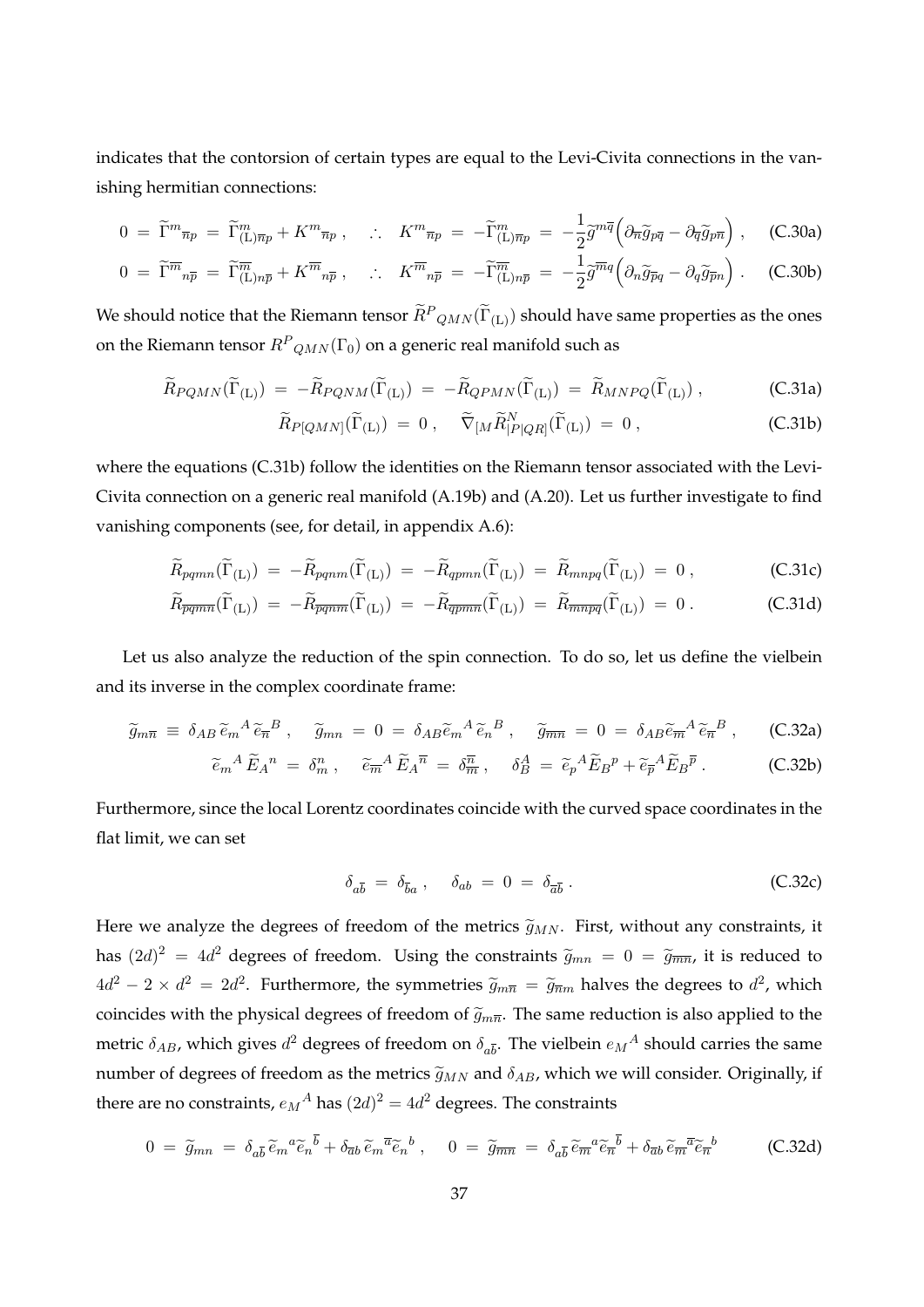indicates that the contorsion of certain types are equal to the Levi-Civita connections in the vanishing hermitian connections:

$$
0 = \widetilde{\Gamma}^m_{\ \overline{n}p} = \widetilde{\Gamma}^m_{(\mathsf{L})\overline{n}p} + K^m_{\ \overline{n}p} \ , \quad \therefore \quad K^m_{\ \overline{n}p} = -\widetilde{\Gamma}^m_{(\mathsf{L})\overline{n}p} = -\frac{1}{2}\widetilde{g}^{m\overline{q}}\Big(\partial_{\overline{n}}\widetilde{g}_{p\overline{q}} - \partial_{\overline{q}}\widetilde{g}_{p\overline{n}}\Big) \ , \quad \text{(C.30a)}
$$

$$
0 = \widetilde{\Gamma}^{\overline{m}}{}_{n\overline{p}} = \widetilde{\Gamma}^{\overline{m}}_{(\mathbb{L})n\overline{p}} + K^{\overline{m}}{}_{n\overline{p}} , \quad \therefore \quad K^{\overline{m}}{}_{n\overline{p}} = -\widetilde{\Gamma}^{\overline{m}}_{(\mathbb{L})n\overline{p}} = -\frac{1}{2}\widetilde{g}^{\overline{m}q} \left( \partial_n \widetilde{g}_{\overline{p}q} - \partial_q \widetilde{g}_{\overline{p}n} \right) . \tag{C.30b}
$$

We should notice that the Riemann tensor  $\widetilde{R}^P_{QMN}(\widetilde{\Gamma}_{(\mathrm{L})})$  should have same properties as the ones on the Riemann tensor  $R^P{}_{QMN}(\Gamma_0)$  on a generic real manifold such as

$$
\widetilde{R}_{PQMN}(\widetilde{\Gamma}_{(L)}) = -\widetilde{R}_{PQMM}(\widetilde{\Gamma}_{(L)}) = -\widetilde{R}_{QPMN}(\widetilde{\Gamma}_{(L)}) = \widetilde{R}_{MNPQ}(\widetilde{\Gamma}_{(L)}) ,\n\tag{C.31a}
$$

$$
\widetilde{R}_{P[QMN]}(\widetilde{\Gamma}_{(L)}) = 0 , \quad \widetilde{\nabla}_{[M}\widetilde{R}_{|P|QR]}^N(\widetilde{\Gamma}_{(L)}) = 0 , \qquad (C.31b)
$$

where the equations (C.31b) follow the identities on the Riemann tensor associated with the Levi-Civita connection on a generic real manifold (A.19b) and (A.20). Let us further investigate to find vanishing components (see, for detail, in appendix A.6):

$$
\widetilde{R}_{pqmn}(\widetilde{\Gamma}_{(L)}) = -\widetilde{R}_{pqnm}(\widetilde{\Gamma}_{(L)}) = -\widetilde{R}_{qpmn}(\widetilde{\Gamma}_{(L)}) = \widetilde{R}_{mnpq}(\widetilde{\Gamma}_{(L)}) = 0 ,\qquad (C.31c)
$$

$$
\widetilde{R}_{\overline{pq}\overline{m}\overline{n}}(\widetilde{\Gamma}_{(L)}) = -\widetilde{R}_{\overline{pq}\overline{m}\overline{n}}(\widetilde{\Gamma}_{(L)}) = -\widetilde{R}_{\overline{q}\overline{p}\overline{m}\overline{n}}(\widetilde{\Gamma}_{(L)}) = \widetilde{R}_{\overline{m}\overline{n}\overline{p}\overline{q}}(\widetilde{\Gamma}_{(L)}) = 0.
$$
\n(C.31d)

Let us also analyze the reduction of the spin connection. To do so, let us define the vielbein and its inverse in the complex coordinate frame:

$$
\widetilde{g}_{m\overline{n}} \equiv \delta_{AB} \widetilde{e}_{m}{}^{A} \widetilde{e}_{\overline{n}}{}^{B} , \quad \widetilde{g}_{mn} = 0 = \delta_{AB} \widetilde{e}_{m}{}^{A} \widetilde{e}_{n}{}^{B} , \quad \widetilde{g}_{\overline{m}\overline{n}} = 0 = \delta_{AB} \widetilde{e}_{\overline{m}}{}^{A} \widetilde{e}_{\overline{n}}{}^{B} , \quad \text{(C.32a)}
$$

$$
\widetilde{e}_m{}^A \widetilde{E}_A{}^n = \delta_m^n \,, \quad \widetilde{e}_{\overline{m}}{}^A \widetilde{E}_A{}^{\overline{n}} = \delta_{\overline{m}}{}^{\overline{n}} \,, \quad \delta_B^A = \widetilde{e}_p{}^A \widetilde{E}_B{}^p + \widetilde{e}_{\overline{p}}{}^A \widetilde{E}_B{}^{\overline{p}} \,. \tag{C.32b}
$$

Furthermore, since the local Lorentz coordinates coincide with the curved space coordinates in the flat limit, we can set

$$
\delta_{a\overline{b}} = \delta_{\overline{b}a} , \quad \delta_{ab} = 0 = \delta_{\overline{a}\overline{b}} . \tag{C.32c}
$$

Here we analyze the degrees of freedom of the metrics  $\tilde{g}_{MN}$ . First, without any constraints, it has  $(2d)^2 = 4d^2$  degrees of freedom. Using the constraints  $\tilde{g}_{mn} = 0 = \tilde{g}_{\overline{mn}}$ , it is reduced to  $4d^2 - 2 \times d^2 = 2d^2$ . Furthermore, the symmetries  $\tilde{g}_{m\overline{n}} = \tilde{g}_{\overline{n}m}$  halves the degrees to  $d^2$ , which coincides with the physical degrees of freedom of  $\tilde{g}_{m\overline{n}}$ . The same reduction is also applied to the metric  $\delta_{AB}$ , which gives  $d^2$  degrees of freedom on  $\delta_{a\bar{b}}$ . The vielbein  $e_M{}^A$  should carries the same number of degrees of freedom as the metrics  $\tilde{g}_{MN}$  and  $\delta_{AB}$ , which we will consider. Originally, if there are no constraints,  $e_M{}^A$  has  $(2d)^2 = 4d^2$  degrees. The constraints

$$
0 = \widetilde{g}_{mn} = \delta_{a\overline{b}} \widetilde{e}_m{}^a \widetilde{e}_n{}^{\overline{b}} + \delta_{\overline{a}b} \widetilde{e}_m{}^{\overline{a}} \widetilde{e}_n{}^b , \quad 0 = \widetilde{g}_{\overline{m}n} = \delta_{a\overline{b}} \widetilde{e}_m{}^a \widetilde{e}_n{}^{\overline{b}} + \delta_{\overline{a}b} \widetilde{e}_m{}^{\overline{a}} \widetilde{e}_n{}^b
$$
 (C.32d)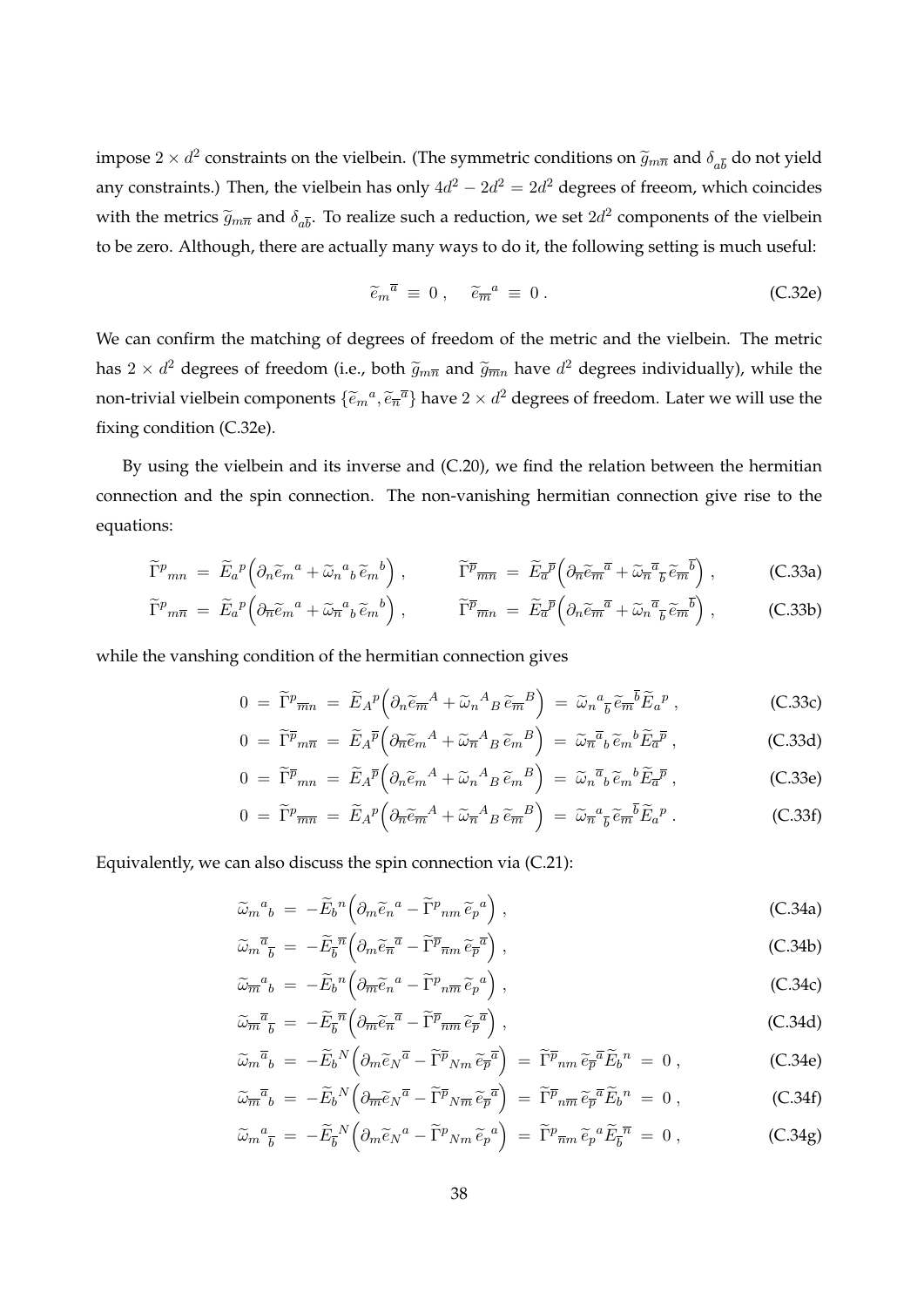impose  $2 \times d^2$  constraints on the vielbein. (The symmetric conditions on  $\tilde{g}_{m\overline{n}}$  and  $\delta_{a\overline{b}}$  do not yield any constraints.) Then, the vielbein has only  $4d^2 - 2d^2 = 2d^2$  degrees of freeom, which coincides with the metrics  $\widetilde{g}_{m\overline{n}}$  and  $\delta_{a\overline{b}}$ . To realize such a reduction, we set  $2d^2$  components of the vielbein to be zero. Although, there are actually many ways to do it, the following setting is much useful:

$$
\tilde{e}_m^{\bar{a}} \equiv 0 \,, \quad \tilde{e}_{\bar{m}}^{\bar{a}} \equiv 0 \,.
$$
\n(C.32e)

We can confirm the matching of degrees of freedom of the metric and the vielbein. The metric has  $2 \times d^2$  degrees of freedom (i.e., both  $\widetilde{g}_{m\overline{n}}$  and  $\widetilde{g}_{\overline{m}n}$  have  $d^2$  degrees individually), while the non-trivial vielbein components  $\{\widetilde{e}_m{}^a,\widetilde{e}_{\overline{n}}{}^{\overline{a}}\}$  have  $2 \times d^2$  degrees of freedom. Later we will use the fixing condition (C.32e).

By using the vielbein and its inverse and (C.20), we find the relation between the hermitian connection and the spin connection. The non-vanishing hermitian connection give rise to the equations:

$$
\widetilde{\Gamma}^p{}_{mn} = \widetilde{E}_a{}^p \Big( \partial_n \widetilde{e}_m{}^a + \widetilde{\omega}_n{}^a{}_b \widetilde{e}_m{}^b \Big) , \qquad \widetilde{\Gamma}^{\overline{p}}{}_{\overline{mn}} = \widetilde{E}_{\overline{a}}{}^{\overline{p}} \Big( \partial_n \widetilde{e}_m{}^{\overline{a}} + \widetilde{\omega}_n{}^{\overline{a}}{}_{\overline{b}} \widetilde{e}_m{}^{\overline{b}} \Big) , \qquad (C.33a)
$$

$$
\widetilde{\Gamma}^p{}_{m\overline{n}} = \widetilde{E}_a{}^p \Big( \partial_{\overline{n}} \widetilde{e}_m{}^a + \widetilde{\omega}_n{}^a{}_b \widetilde{e}_m{}^b \Big) , \qquad \widetilde{\Gamma}^{\overline{p}}{}_{\overline{m}n} = \widetilde{E}_a{}^{\overline{p}} \Big( \partial_n \widetilde{e}_m{}^{\overline{a}} + \widetilde{\omega}_n{}^{\overline{a}}{}_{\overline{b}} \widetilde{e}_m{}^{\overline{b}} \Big) , \qquad (C.33b)
$$

while the vanshing condition of the hermitian connection gives

$$
0 = \widetilde{\Gamma}^p \overline{m} n = \widetilde{E}_A{}^p \Big( \partial_n \widetilde{e}_{\overline{m}}{}^A + \widetilde{\omega}_n{}^A{}_B \widetilde{e}_{\overline{m}}{}^B \Big) = \widetilde{\omega}_n{}^a{}_{\overline{b}} \widetilde{e}_{\overline{m}}{}^{\overline{b}} \widetilde{E}_a{}^p , \qquad (C.33c)
$$

$$
0 = \widetilde{\Gamma}^{\overline{p}}{}_{m\overline{n}} = \widetilde{E}_A{}^{\overline{p}} \Big( \partial_{\overline{n}} \widetilde{e}_m{}^A + \widetilde{\omega}_n{}^A{}_B \widetilde{e}_m{}^B \Big) = \widetilde{\omega}_n{}^{\overline{a}}{}_b \widetilde{e}_m{}^b \widetilde{E}_a{}^{\overline{p}} , \qquad (C.33d)
$$

$$
0 = \widetilde{\Gamma}^{\overline{p}}{}_{mn} = \widetilde{E}_A^{\overline{p}} \Big( \partial_n \widetilde{e}_m{}^A + \widetilde{\omega}_n{}^A{}_B \widetilde{e}_m{}^B \Big) = \widetilde{\omega}_n{}^{\overline{a}}{}_b \widetilde{e}_m{}^b \widetilde{E}_a{}^{\overline{p}} \,, \tag{C.33e}
$$

$$
0 = \widetilde{\Gamma}^p \overline{m} = \widetilde{E}_A{}^p \Big( \partial_{\overline{n}} \widetilde{e}_{\overline{m}}{}^A + \widetilde{\omega}_{\overline{n}}{}^A{}_B \widetilde{e}_{\overline{m}}{}^B \Big) = \widetilde{\omega}_{\overline{n}}{}^a{}_{\overline{b}} \widetilde{e}_{\overline{m}}{}^{\overline{b}} \widetilde{E}_a{}^p . \tag{C.33f}
$$

Equivalently, we can also discuss the spin connection via (C.21):

$$
\widetilde{\omega}_m{}^a{}_b = -\widetilde{E}_b{}^n \left( \partial_m \widetilde{e}_n{}^a - \widetilde{\Gamma}^p{}_{nm} \widetilde{e}_p{}^a \right), \tag{C.34a}
$$

$$
\widetilde{\omega}_m^{\overline{a}}{}_{\overline{b}} = -\widetilde{E}_{\overline{b}}^{\overline{n}} \left( \partial_m \widetilde{e}_{\overline{n}}^{\overline{a}} - \widetilde{\Gamma}^{\overline{p}}{}_{\overline{n}m} \widetilde{e}_{\overline{p}}^{\overline{a}} \right) , \qquad (C.34b)
$$

$$
\widetilde{\omega}_{\overline{m}}{}^a{}_b = -\widetilde{E}_b{}^n \left( \partial_{\overline{m}} \widetilde{e}_n{}^a - \widetilde{\Gamma}^p{}_{n\overline{m}} \widetilde{e}_p{}^a \right), \tag{C.34c}
$$

$$
\widetilde{\omega}_{\overline{m}}^{\overline{a}}{}_{\overline{b}} = -\widetilde{E}_{\overline{b}}^{\overline{n}} \left( \partial_{\overline{m}} \widetilde{e}_{\overline{n}}^{\overline{a}} - \widetilde{\Gamma}^{\overline{p}}{}_{\overline{nm}} \widetilde{e}_{\overline{p}}^{\overline{a}} \right), \tag{C.34d}
$$

$$
\widetilde{\omega}_m{}^{\overline{a}}{}_b = -\widetilde{E}_b{}^N \Big( \partial_m \widetilde{e}_N{}^{\overline{a}} - \widetilde{\Gamma}^{\overline{p}}{}_{Nm} \widetilde{e}_{\overline{p}}{}^{\overline{a}} \Big) = \widetilde{\Gamma}^{\overline{p}}{}_{nm} \widetilde{e}_{\overline{p}}{}^{\overline{a}} \widetilde{E}_b{}^n = 0 , \qquad (C.34e)
$$

$$
\widetilde{\omega}_{\overline{m}}^{\overline{a}}{}_{b} = -\widetilde{E}_{b}{}^{N} \left( \partial_{\overline{m}} \widetilde{e}_{N}{}^{\overline{a}} - \widetilde{\Gamma}^{\overline{p}}{}_{N\overline{m}} \widetilde{e}_{\overline{p}}{}^{\overline{a}} \right) = \widetilde{\Gamma}^{\overline{p}}{}_{n\overline{m}} \widetilde{e}_{\overline{p}}{}^{\overline{a}} \widetilde{E}_{b}{}^{n} = 0 , \qquad (C.34f)
$$

$$
\widetilde{\omega}_m{}^a{}_{\overline{b}} = -\widetilde{E}_{\overline{b}}{}^N \Big( \partial_m \widetilde{e}_N{}^a - \widetilde{\Gamma}{}^p{}_{Nm} \widetilde{e}_p{}^a \Big) = \widetilde{\Gamma}{}^p{}_{\overline{n}m} \widetilde{e}_p{}^a \widetilde{E}_{\overline{b}}{}^{\overline{n}} = 0 , \qquad (C.34g)
$$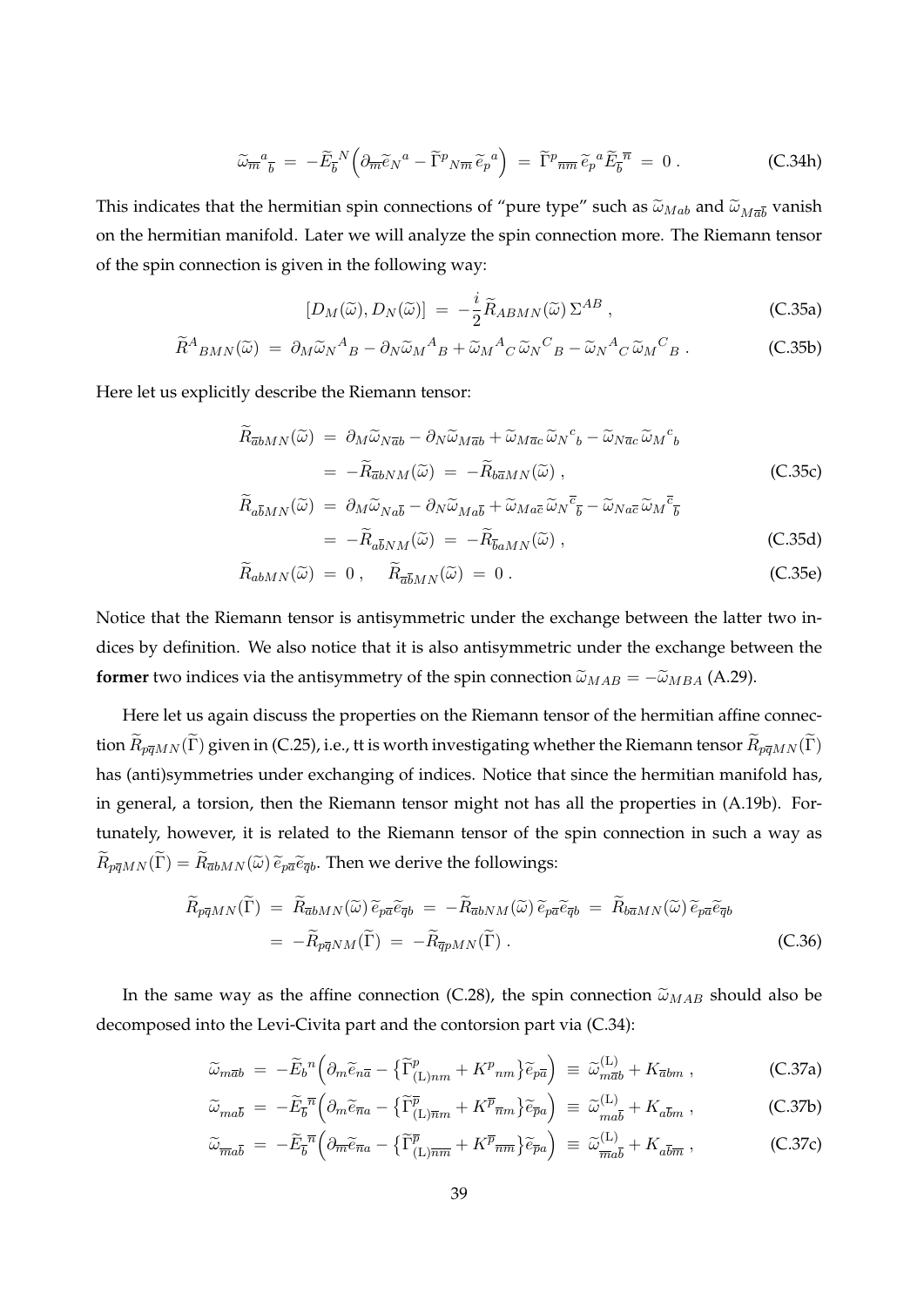$$
\widetilde{\omega}_{\overline{m}}{}^a{}_{\overline{b}} = -\widetilde{E}_{\overline{b}}{}^N \Big( \partial_{\overline{m}} \widetilde{e}_N{}^a - \widetilde{\Gamma}{}^p{}_{N\overline{m}} \widetilde{e}_p{}^a \Big) = \widetilde{\Gamma}{}^p{}_{\overline{nm}} \widetilde{e}_p{}^a \widetilde{E}_{\overline{b}}{}^{\overline{n}} = 0.
$$
 (C.34h)

This indicates that the hermitian spin connections of "pure type" such as  $\tilde{\omega}_{Mab}$  and  $\tilde{\omega}_{M\bar{a}\bar{b}}$  vanish on the hermitian manifold. Later we will analyze the spin connection more. The Riemann tensor of the spin connection is given in the following way:

$$
[D_M(\widetilde{\omega}), D_N(\widetilde{\omega})] = -\frac{i}{2} \widetilde{R}_{ABMN}(\widetilde{\omega}) \Sigma^{AB} , \qquad (C.35a)
$$

$$
\widetilde{R}^A{}_{BMN}(\widetilde{\omega}) = \partial_M \widetilde{\omega}_N{}^A{}_{B} - \partial_N \widetilde{\omega}_M{}^A{}_{B} + \widetilde{\omega}_M{}^A{}_{C} \widetilde{\omega}_N{}^C{}_{B} - \widetilde{\omega}_N{}^A{}_{C} \widetilde{\omega}_M{}^C{}_{B} . \tag{C.35b}
$$

Here let us explicitly describe the Riemann tensor:

$$
\widetilde{R}_{\overline{a}bMN}(\widetilde{\omega}) = \partial_M \widetilde{\omega}_{N\overline{a}b} - \partial_N \widetilde{\omega}_{M\overline{a}b} + \widetilde{\omega}_{M\overline{a}c} \widetilde{\omega}_N{}^c{}_b - \widetilde{\omega}_{N\overline{a}c} \widetilde{\omega}_M{}^c{}_b
$$
\n
$$
= -\widetilde{R}_{\overline{a}bNM}(\widetilde{\omega}) = -\widetilde{R}_{\overline{b}\overline{a}MN}(\widetilde{\omega}), \tag{C.35c}
$$

$$
\widetilde{R}_{a\overline{b}MN}(\widetilde{\omega}) = \partial_M \widetilde{\omega}_{Na\overline{b}} - \partial_N \widetilde{\omega}_{Ma\overline{b}} + \widetilde{\omega}_{Ma\overline{c}} \widetilde{\omega}_N \overline{c}_{\overline{b}} - \widetilde{\omega}_{Na\overline{c}} \widetilde{\omega}_M \overline{c}_{\overline{b}} \n= -\widetilde{R}_{a\overline{b}NM}(\widetilde{\omega}) = -\widetilde{R}_{\overline{b}aMN}(\widetilde{\omega}),
$$
\n(C.35d)

$$
\widetilde{R}_{abMN}(\widetilde{\omega}) = 0 , \quad \widetilde{R}_{\overline{a}\overline{b}MN}(\widetilde{\omega}) = 0 . \tag{C.35e}
$$

Notice that the Riemann tensor is antisymmetric under the exchange between the latter two indices by definition. We also notice that it is also antisymmetric under the exchange between the **former** two indices via the antisymmetry of the spin connection  $\tilde{\omega}_{MAB} = -\tilde{\omega}_{MBA}$  (A.29).

Here let us again discuss the properties on the Riemann tensor of the hermitian affine connection  $\widetilde{R}_{p\overline{q}MN}(\widetilde{\Gamma})$  given in (C.25), i.e., tt is worth investigating whether the Riemann tensor  $\widetilde{R}_{p\overline{q}MN}(\widetilde{\Gamma})$ has (anti)symmetries under exchanging of indices. Notice that since the hermitian manifold has, in general, a torsion, then the Riemann tensor might not has all the properties in (A.19b). Fortunately, however, it is related to the Riemann tensor of the spin connection in such a way as  $\widetilde{R}_{p\bar{q}MN}(\widetilde{\Gamma}) = \widetilde{R}_{\bar{q}bMN}(\widetilde{\omega}) \widetilde{e}_{p\bar{q}} \widetilde{e}_{\bar{q}b}$ . Then we derive the followings:

$$
\widetilde{R}_{p\overline{q}MN}(\widetilde{\Gamma}) = \widetilde{R}_{\overline{a}bMN}(\widetilde{\omega}) \widetilde{e}_{p\overline{a}} \widetilde{e}_{\overline{q}b} = -\widetilde{R}_{\overline{a}bNM}(\widetilde{\omega}) \widetilde{e}_{p\overline{a}} \widetilde{e}_{\overline{q}b} = \widetilde{R}_{b\overline{a}MN}(\widetilde{\omega}) \widetilde{e}_{p\overline{a}} \widetilde{e}_{\overline{q}b}
$$
\n
$$
= -\widetilde{R}_{p\overline{q}NM}(\widetilde{\Gamma}) = -\widetilde{R}_{\overline{q}pMN}(\widetilde{\Gamma}) \ . \tag{C.36}
$$

In the same way as the affine connection (C.28), the spin connection  $\tilde{\omega}_{MAB}$  should also be decomposed into the Levi-Civita part and the contorsion part via (C.34):

$$
\widetilde{\omega}_{m\overline{a}b} = -\widetilde{E}_b{}^n \left( \partial_m \widetilde{e}_{n\overline{a}} - \left\{ \widetilde{\Gamma}^p_{(\text{L})nm} + K^p{}_{nm} \right\} \widetilde{e}_{p\overline{a}} \right) \equiv \widetilde{\omega}_{m\overline{a}b}^{(\text{L})} + K_{\overline{a}bm} \,, \tag{C.37a}
$$

$$
\widetilde{\omega}_{m a \overline{b}} = -\widetilde{E}_{\overline{b}}^{\overline{n}} \left( \partial_m \widetilde{e}_{\overline{n} a} - \left\{ \widetilde{\Gamma}^{\overline{p}}_{(\mathbf{L}) \overline{n} m} + K^{\overline{p}}_{\overline{n} m} \right\} \widetilde{e}_{\overline{p} a} \right) \equiv \widetilde{\omega}_{m a \overline{b}}^{(\mathbf{L})} + K_{a \overline{b} m} , \qquad (C.37b)
$$

$$
\widetilde{\omega}_{\overline{m}a\overline{b}} = -\widetilde{E}_{\overline{b}}^{\overline{n}} \left( \partial_{\overline{m}} \widetilde{e}_{\overline{n}a} - \left\{ \widetilde{\Gamma}^{\overline{p}}_{(\mathbf{L})\overline{n}\overline{m}} + K^{\overline{p}}_{\overline{n}\overline{m}} \right\} \widetilde{e}_{\overline{p}a} \right) \equiv \widetilde{\omega}^{(\mathbf{L})}_{\overline{m}a\overline{b}} + K_{a\overline{b}\overline{m}} \,, \tag{C.37c}
$$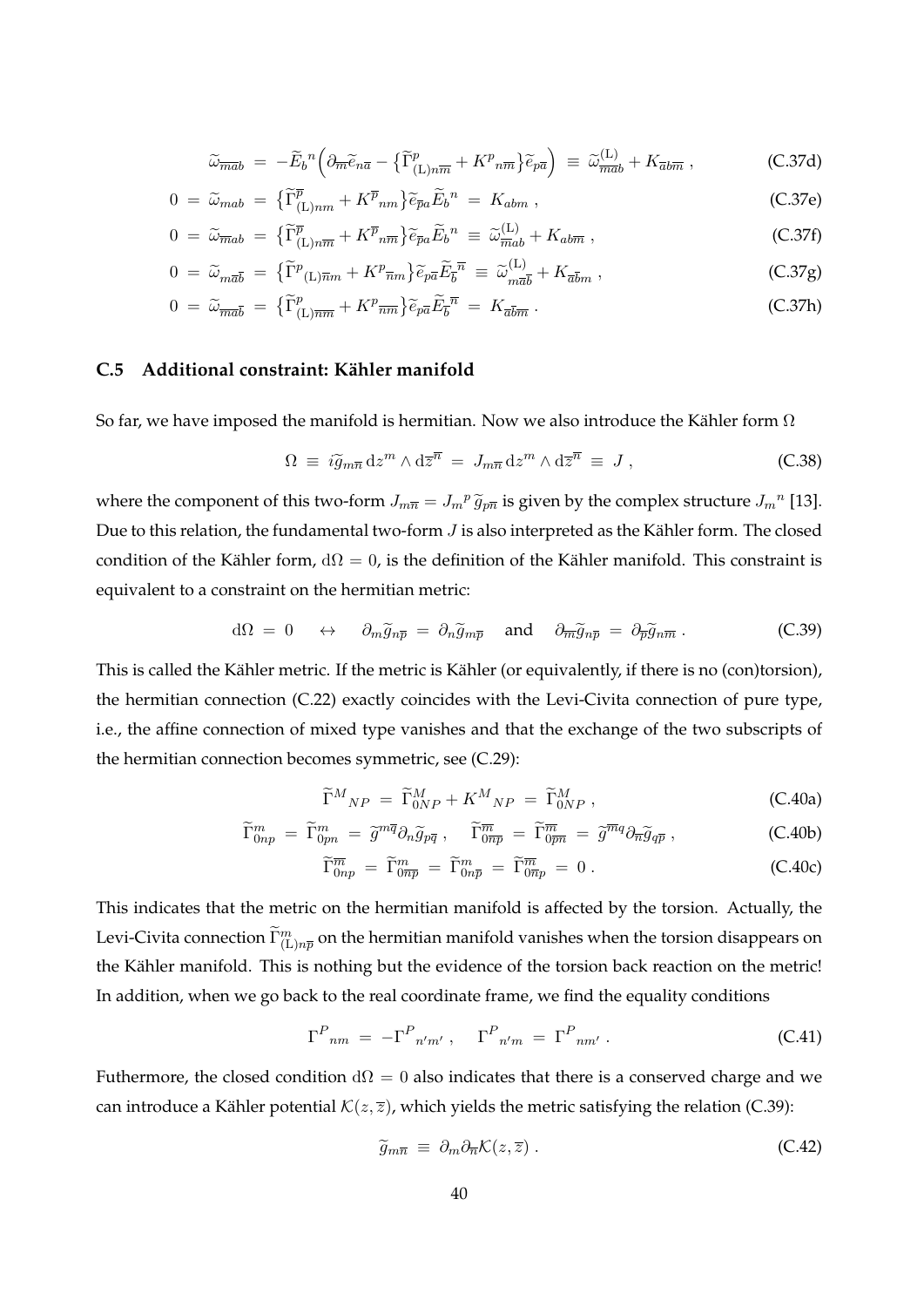$$
\widetilde{\omega}_{\overline{m}\overline{a}b} = -\widetilde{E}_b{}^n \left( \partial_{\overline{m}} \widetilde{e}_{n\overline{a}} - \left\{ \widetilde{\Gamma}^p_{(\text{L})n\overline{m}} + K^p{}_{n\overline{m}} \right\} \widetilde{e}_{p\overline{a}} \right) \equiv \widetilde{\omega}_{\overline{m}\overline{a}b}^{(\text{L})} + K_{\overline{a}b\overline{m}} , \qquad (C.37d)
$$

$$
0 = \widetilde{\omega}_{mab} = \left\{ \widetilde{\Gamma}^{\overline{p}}_{(\text{L})nm} + K^{\overline{p}}_{nm} \right\} \widetilde{e}_{\overline{p}a} \widetilde{E}_b^{\ n} = K_{abm} \,, \tag{C.37e}
$$

$$
0 = \widetilde{\omega}_{\overline{m}ab} = \left\{ \widetilde{\Gamma}^{\overline{p}}_{\left(\mathbf{L}\right)n\overline{m}} + K^{\overline{p}}{}_{n\overline{m}} \right\} \widetilde{e}_{\overline{p}a} \widetilde{E}_b^{\ n} \equiv \widetilde{\omega}^{\left(\mathbf{L}\right)}_{\overline{m}ab} + K_{ab\overline{m}} \,, \tag{C.37f}
$$

$$
0 = \widetilde{\omega}_{m\overline{a}\overline{b}} = \{ \widetilde{\Gamma}^p(\mathbf{L})\overline{n}m + K^p\overline{n}m \} \widetilde{e}_{p\overline{a}} \widetilde{E}_{\overline{b}}^{\overline{n}} \equiv \widetilde{\omega}_{m\overline{a}\overline{b}}^{(\mathbf{L})} + K_{\overline{a}\overline{b}m} , \qquad (C.37g)
$$

$$
0 = \widetilde{\omega}_{\overline{m}\overline{a}\overline{b}} = \{ \widetilde{\Gamma}^p_{\text{(L)}\overline{n}\overline{m}} + K^p \overline{n}\overline{m} \} \widetilde{e}_{\overline{p}\overline{a}} \widetilde{E}_{\overline{b}}^{\overline{n}} = K_{\overline{a}\overline{b}\overline{m}} \, . \tag{C.37h}
$$

#### **C.5 Additional constraint: K¨ahler manifold**

So far, we have imposed the manifold is hermitian. Now we also introduce the Kähler form  $\Omega$ 

$$
\Omega \equiv i \tilde{g}_{m\overline{n}} \, dz^m \wedge d\overline{z}^{\overline{n}} = J_{m\overline{n}} \, dz^m \wedge d\overline{z}^{\overline{n}} \equiv J \,, \tag{C.38}
$$

where the component of this two-form  $J_{m\overline{n}} = J_m{}^p \widetilde{g}_{p\overline{n}}$  is given by the complex structure  $J_m{}^n$  [13]. Due to this relation, the fundamental two-form *J* is also interpreted as the Kähler form. The closed condition of the Kähler form,  $d\Omega = 0$ , is the definition of the Kähler manifold. This constraint is equivalent to a constraint on the hermitian metric:

$$
d\Omega = 0 \quad \leftrightarrow \quad \partial_m \widetilde{g}_{n\overline{p}} = \partial_n \widetilde{g}_{m\overline{p}} \quad \text{and} \quad \partial_{\overline{m}} \widetilde{g}_{n\overline{p}} = \partial_{\overline{p}} \widetilde{g}_{n\overline{m}} \,. \tag{C.39}
$$

This is called the Kähler metric. If the metric is Kähler (or equivalently, if there is no (con)torsion), the hermitian connection (C.22) exactly coincides with the Levi-Civita connection of pure type, i.e., the affine connection of mixed type vanishes and that the exchange of the two subscripts of the hermitian connection becomes symmetric, see (C.29):

$$
\widetilde{\Gamma}^M{}_{NP} = \widetilde{\Gamma}^M_{0NP} + K^M{}_{NP} = \widetilde{\Gamma}^M_{0NP} , \qquad (C.40a)
$$

$$
\widetilde{\Gamma}_{0np}^m = \widetilde{\Gamma}_{0pn}^m = \widetilde{g}^{m\overline{q}} \partial_n \widetilde{g}_{p\overline{q}} , \quad \widetilde{\Gamma}_{0\overline{np}}^{\overline{m}} = \widetilde{\Gamma}_{0\overline{p}n}^{\overline{m}} = \widetilde{g}^{\overline{m}q} \partial_{\overline{n}} \widetilde{g}_{q\overline{p}} , \qquad (C.40b)
$$

$$
\widetilde{\Gamma}_{0np}^{\overline{m}} = \widetilde{\Gamma}_{0n\overline{p}}^m = \widetilde{\Gamma}_{0n\overline{p}}^m = \widetilde{\Gamma}_{0\overline{n}p}^{\overline{m}} = 0.
$$
\n(C.40c)

This indicates that the metric on the hermitian manifold is affected by the torsion. Actually, the Levi-Civita connection  $\tilde{\Gamma}^m_{(\rm L)n \overline{p}}$  on the hermitian manifold vanishes when the torsion disappears on the Kähler manifold. This is nothing but the evidence of the torsion back reaction on the metric! In addition, when we go back to the real coordinate frame, we find the equality conditions

$$
\Gamma^P_{nm} = -\Gamma^P_{n'm'}, \quad \Gamma^P_{n'm} = \Gamma^P_{nm'}.
$$
 (C.41)

Futhermore, the closed condition  $d\Omega = 0$  also indicates that there is a conserved charge and we can introduce a Kähler potential  $K(z, \overline{z})$ , which yields the metric satisfying the relation (C.39):

$$
\widetilde{g}_{m\overline{n}} \equiv \partial_m \partial_{\overline{n}} \mathcal{K}(z, \overline{z}) \,. \tag{C.42}
$$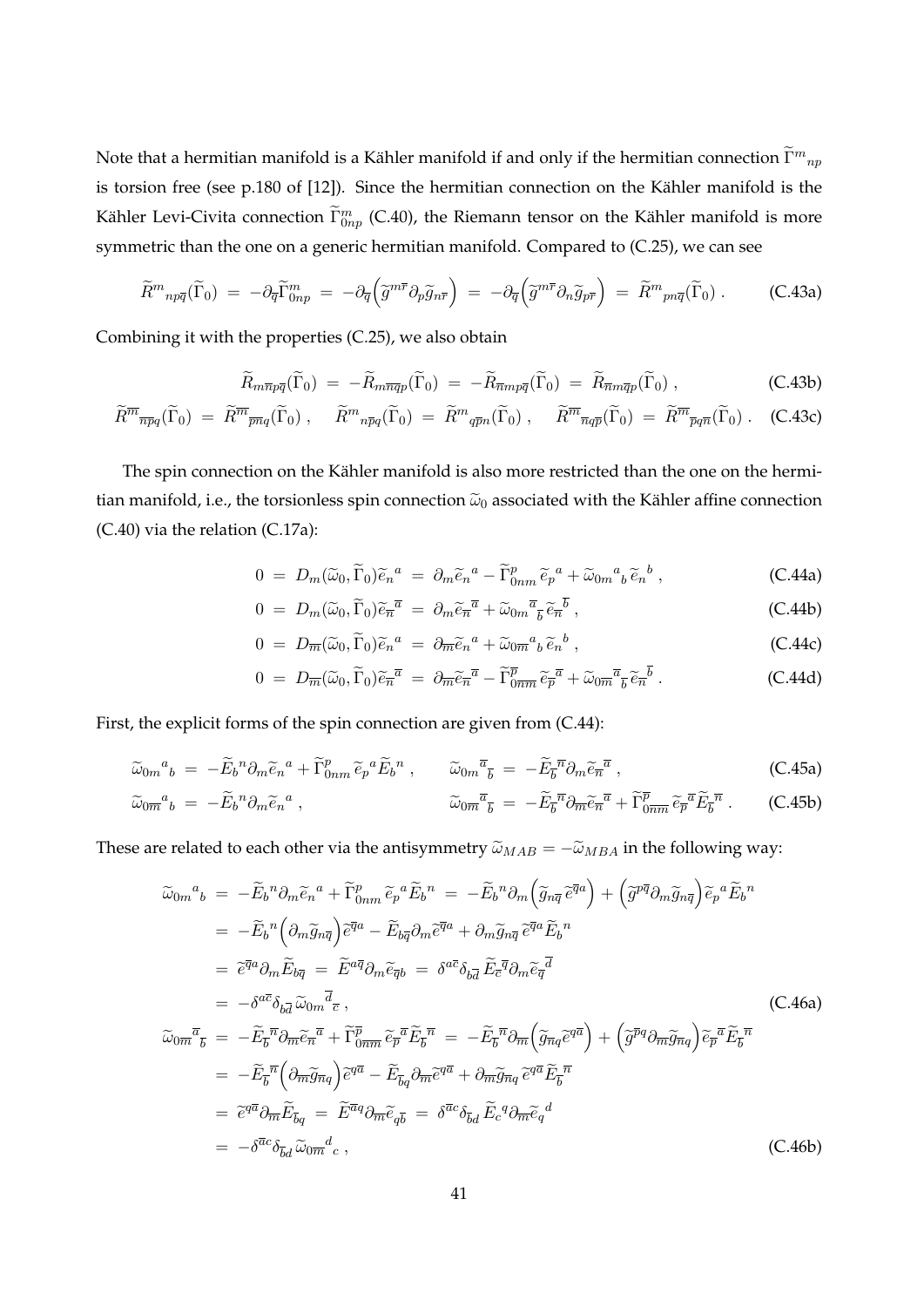Note that a hermitian manifold is a Kähler manifold if and only if the hermitian connection  $\widetilde{\Gamma}^m{}_{np}$ is torsion free (see p.180 of [12]). Since the hermitian connection on the Kähler manifold is the Kähler Levi-Civita connection  $\tilde{\Gamma}^m_{0np}$  (C.40), the Riemann tensor on the Kähler manifold is more symmetric than the one on a generic hermitian manifold. Compared to (C.25), we can see

$$
\widetilde{R}^m{}_{np\overline{q}}(\widetilde{\Gamma}_0) = -\partial_{\overline{q}} \widetilde{\Gamma}^m_{0np} = -\partial_{\overline{q}} \left( \widetilde{g}^{m\overline{r}} \partial_p \widetilde{g}_{n\overline{r}} \right) = -\partial_{\overline{q}} \left( \widetilde{g}^{m\overline{r}} \partial_n \widetilde{g}_{p\overline{r}} \right) = \widetilde{R}^m{}_{pn\overline{q}}(\widetilde{\Gamma}_0) \ . \tag{C.43a}
$$

Combining it with the properties (C.25), we also obtain

$$
\widetilde{R}_{m\overline{n}p\overline{q}}(\widetilde{\Gamma}_0) = -\widetilde{R}_{m\overline{n}\overline{q}p}(\widetilde{\Gamma}_0) = -\widetilde{R}_{\overline{n}mp\overline{q}}(\widetilde{\Gamma}_0) = \widetilde{R}_{\overline{n}m\overline{q}p}(\widetilde{\Gamma}_0) , \qquad (C.43b)
$$

$$
\widetilde{R}^{\overline{m}}{}_{\overline{np}q}(\widetilde{\Gamma}_0) = \widetilde{R}^{\overline{m}}{}_{\overline{pn}q}(\widetilde{\Gamma}_0) , \quad \widetilde{R}^m{}_{n\overline{p}q}(\widetilde{\Gamma}_0) = \widetilde{R}^m{}_{q\overline{p}n}(\widetilde{\Gamma}_0) , \quad \widetilde{R}^{\overline{m}}{}_{\overline{n}q\overline{p}}(\widetilde{\Gamma}_0) = \widetilde{R}^{\overline{m}}{}_{\overline{p}q\overline{n}}(\widetilde{\Gamma}_0) . \quad \text{(C.43c)}
$$

The spin connection on the Kähler manifold is also more restricted than the one on the hermitian manifold, i.e., the torsionless spin connection  $\tilde{\omega}_0$  associated with the Kähler affine connection (C.40) via the relation (C.17a):

$$
0 = D_m(\widetilde{\omega}_0, \widetilde{\Gamma}_0) \widetilde{e}_n{}^a = \partial_m \widetilde{e}_n{}^a - \widetilde{\Gamma}_{0nm}^p \widetilde{e}_p{}^a + \widetilde{\omega}_{0m}{}^a{}_b \widetilde{e}_n{}^b , \qquad (C.44a)
$$

$$
0 = D_m(\widetilde{\omega}_0, \widetilde{\Gamma}_0) \widetilde{e}_{\overline{n}}^{\overline{a}} = \partial_m \widetilde{e}_{\overline{n}}^{\overline{a}} + \widetilde{\omega}_{0m}^{\overline{a}} \widetilde{e}_{\overline{n}}^{\overline{b}}, \qquad (C.44b)
$$

$$
0 = D_{\overline{m}}(\widetilde{\omega}_0, \widetilde{\Gamma}_0) \widetilde{e}_n{}^a = \partial_{\overline{m}} \widetilde{e}_n{}^a + \widetilde{\omega}_0 \overline{m}{}^a{}_b \widetilde{e}_n{}^b , \qquad (C.44c)
$$

$$
0 = D_{\overline{m}}(\widetilde{\omega}_0, \widetilde{\Gamma}_0) \widetilde{e}_{\overline{n}}^{\overline{a}} = \partial_{\overline{m}} \widetilde{e}_{\overline{n}}^{\overline{a}} - \widetilde{\Gamma}_{0\overline{n}\overline{m}}^{\overline{p}} \widetilde{e}_{\overline{p}}^{\overline{a}} + \widetilde{\omega}_{0\overline{m}}^{\overline{a}} \widetilde{e}_{\overline{n}}^{\overline{b}}.
$$
 (C.44d)

First, the explicit forms of the spin connection are given from (C.44):

$$
\widetilde{\omega}_{0m}{}^{a}{}_{b} = -\widetilde{E}_{b}{}^{n} \partial_{m} \widetilde{e}_{n}{}^{a} + \widetilde{\Gamma}_{0nm}^{p} \widetilde{e}_{p}{}^{a} \widetilde{E}_{b}{}^{n} , \qquad \widetilde{\omega}_{0m}{}^{\overline{a}}{}_{\overline{b}} = -\widetilde{E}_{\overline{b}}{}^{\overline{n}} \partial_{m} \widetilde{e}_{\overline{n}}{}^{\overline{a}} , \qquad (C.45a)
$$

$$
\widetilde{\omega}_{0\overline{m}}{}^a{}_b = -\widetilde{E}_b{}^n \partial_m \widetilde{e}_n{}^a \,, \qquad \widetilde{\omega}_{0\overline{m}}{}^{\overline{a}}{}_{\overline{b}} = -\widetilde{E}_{\overline{b}}{}^{\overline{n}} \partial_{\overline{m}} \widetilde{e}_n{}^{\overline{a}} + \widetilde{\Gamma}_{0\overline{nm}}^{\overline{p}} \widetilde{e}_{\overline{p}}{}^{\overline{a}} \widetilde{E}_{\overline{b}}{}^{\overline{n}} \,. \qquad \text{(C.45b)}
$$

These are related to each other via the antisymmetry  $\tilde{\omega}_{MAB} = -\tilde{\omega}_{MBA}$  in the following way:

$$
\tilde{\omega}_{0m}{}^{a}{}_{b} = -\tilde{E}_{b}{}^{n} \partial_{m} \tilde{e}_{n}{}^{a} + \tilde{\Gamma}_{0nm}^{p} \tilde{e}_{p}{}^{a} \tilde{E}_{b}{}^{n} = -\tilde{E}_{b}{}^{n} \partial_{m} \left( \tilde{g}_{n\overline{q}} \tilde{e}^{\overline{q}a} \right) + \left( \tilde{g}^{p\overline{q}} \partial_{m} \tilde{g}_{n\overline{q}} \right) \tilde{e}_{p}{}^{a} \tilde{E}_{b}{}^{n}
$$
\n
$$
= -\tilde{E}_{b}{}^{n} \left( \partial_{m} \tilde{g}_{n\overline{q}} \right) \tilde{e}^{\overline{q}a} - \tilde{E}_{b\overline{q}} \partial_{m} \tilde{e}^{\overline{q}a} + \partial_{m} \tilde{g}_{n\overline{q}} \tilde{e}^{\overline{q}a} \tilde{E}_{b}{}^{n}
$$
\n
$$
= \tilde{e}^{\overline{q}a} \partial_{m} \tilde{E}_{b\overline{q}} = \tilde{E}^{a\overline{q}} \partial_{m} \tilde{e}_{\overline{q}b} = \delta^{a\overline{c}} \delta_{b\overline{d}} \tilde{E}_{c}{}^{\overline{q}} \partial_{m} \tilde{e}_{\overline{q}}{}^{\overline{d}}
$$
\n
$$
= -\delta^{a\overline{c}} \delta_{b\overline{d}} \tilde{\omega}_{0m}{}^{\overline{d}} \tilde{e}, \qquad (C.46a)
$$
\n
$$
\tilde{\omega}_{0m}{}^{\overline{a}}{}_{\overline{b}} = -\tilde{E}_{b}{}^{\overline{n}} \partial_{m} \tilde{e}_{m}{}^{\overline{a}} + \tilde{\Gamma}_{0\overline{nm}}^{\overline{p}} \tilde{e}_{\overline{p}}{}^{\overline{a}} \tilde{E}_{b}{}^{\overline{n}} = -\tilde{E}_{b}{}^{\overline{n}} \partial_{m} \left( \tilde{g}_{n\overline{q}} \tilde{e}^{q\overline{a}} \right) + \left( \tilde{g}^{\overline{p}q} \partial_{m} \tilde{g}_{n\
$$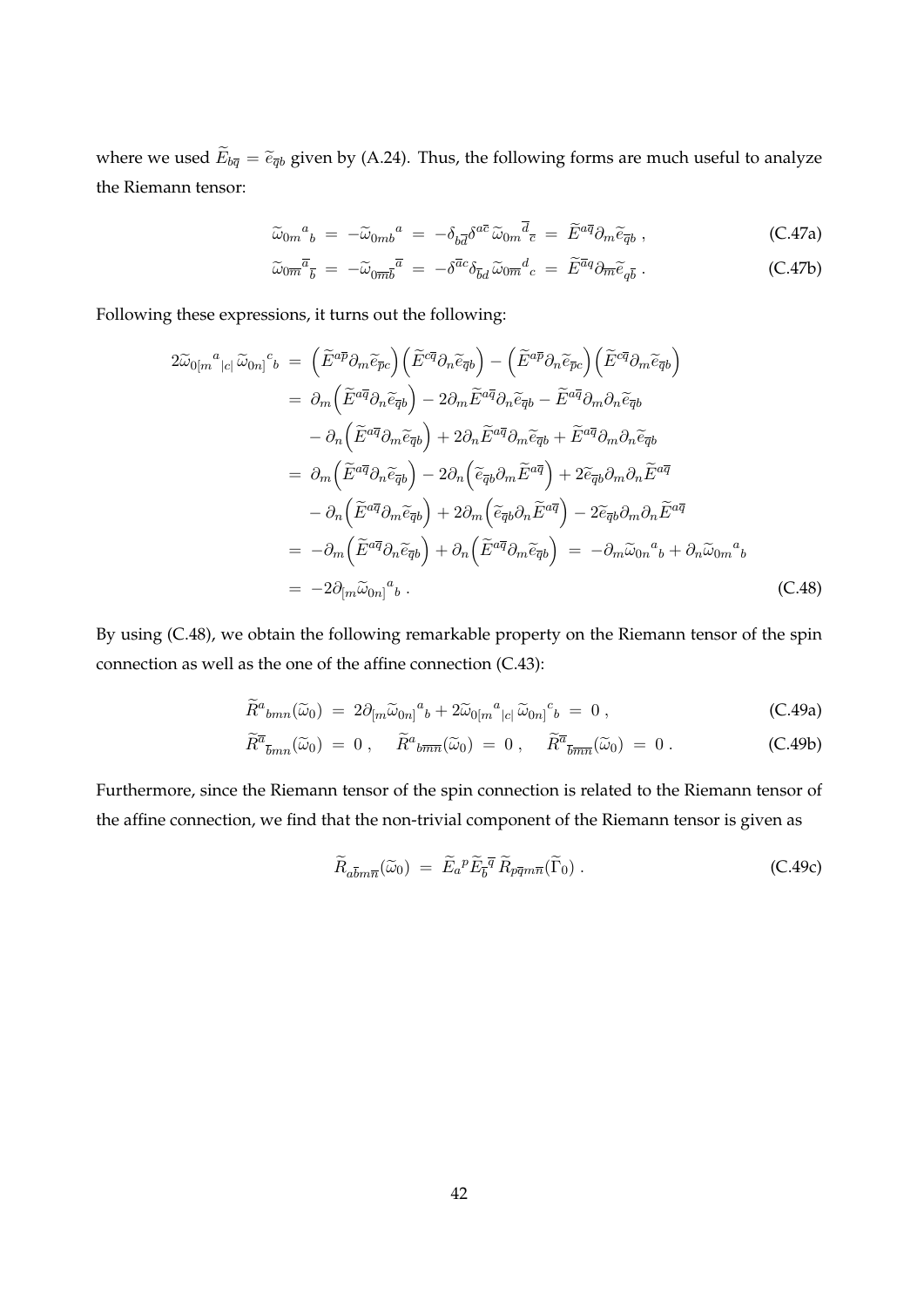where we used  $\widetilde{E}_{b\overline{q}} = \widetilde{e}_{\overline{q}b}$  given by (A.24). Thus, the following forms are much useful to analyze the Riemann tensor:

$$
\widetilde{\omega}_{0m}{}^{a}{}_{b} = -\widetilde{\omega}_{0mb}{}^{a} = -\delta_{b\overline{d}}\delta^{a\overline{c}}\widetilde{\omega}_{0m}\overline{d}_{\overline{c}} = \widetilde{E}^{a\overline{q}}\partial_{m}\widetilde{e}_{\overline{q}b} , \qquad (C.47a)
$$

$$
\widetilde{\omega}_{0\overline{m}}^{\overline{a}}{}_{\overline{b}} = -\widetilde{\omega}_{0\overline{m}\overline{b}}^{\overline{a}} = -\delta^{\overline{a}c}\delta_{\overline{b}d}\widetilde{\omega}_{0\overline{m}}^d{}_{c} = \widetilde{E}^{\overline{a}q}\partial_{\overline{m}}\widetilde{e}_{q\overline{b}}.
$$
\n(C.47b)

Following these expressions, it turns out the following:

$$
2\tilde{\omega}_{0[m}{}^{a}{}_{|c|}\tilde{\omega}_{0n]}{}^{c}{}_{b} = \left(\tilde{E}^{a\bar{p}}\partial_{m}\tilde{e}_{\bar{p}c}\right)\left(\tilde{E}^{c\bar{q}}\partial_{n}\tilde{e}_{\bar{q}b}\right) - \left(\tilde{E}^{a\bar{p}}\partial_{n}\tilde{e}_{\bar{p}c}\right)\left(\tilde{E}^{c\bar{q}}\partial_{m}\tilde{e}_{\bar{q}b}\right)
$$
  
\n
$$
= \partial_{m}\left(\tilde{E}^{a\bar{q}}\partial_{n}\tilde{e}_{\bar{q}b}\right) - 2\partial_{m}\tilde{E}^{a\bar{q}}\partial_{n}\tilde{e}_{\bar{q}b} - \tilde{E}^{a\bar{q}}\partial_{m}\partial_{n}\tilde{e}_{\bar{q}b}
$$
  
\n
$$
- \partial_{n}\left(\tilde{E}^{a\bar{q}}\partial_{m}\tilde{e}_{\bar{q}b}\right) + 2\partial_{n}\tilde{E}^{a\bar{q}}\partial_{m}\tilde{e}_{\bar{q}b} + \tilde{E}^{a\bar{q}}\partial_{m}\partial_{n}\tilde{e}_{\bar{q}b}
$$
  
\n
$$
= \partial_{m}\left(\tilde{E}^{a\bar{q}}\partial_{n}\tilde{e}_{\bar{q}b}\right) - 2\partial_{n}\left(\tilde{e}_{\bar{q}b}\partial_{m}\tilde{E}^{a\bar{q}}\right) + 2\tilde{e}_{\bar{q}b}\partial_{m}\partial_{n}\tilde{E}^{a\bar{q}}
$$
  
\n
$$
- \partial_{n}\left(\tilde{E}^{a\bar{q}}\partial_{m}\tilde{e}_{\bar{q}b}\right) + 2\partial_{m}\left(\tilde{e}_{\bar{q}b}\partial_{n}\tilde{E}^{a\bar{q}}\right) - 2\tilde{e}_{\bar{q}b}\partial_{m}\partial_{n}\tilde{E}^{a\bar{q}}
$$
  
\n
$$
= -\partial_{m}\left(\tilde{E}^{a\bar{q}}\partial_{n}\tilde{e}_{\bar{q}b}\right) + \partial_{n}\left(\tilde{E}^{a\bar{q}}\partial_{m}\tilde{e}_{\bar{q}b}\right
$$

By using (C.48), we obtain the following remarkable property on the Riemann tensor of the spin connection as well as the one of the affine connection (C.43):

$$
\widetilde{R}^{a}{}_{bmn}(\widetilde{\omega}_0) = 2\partial_{[m}\widetilde{\omega}_{0n]}{}^{a}{}_{b} + 2\widetilde{\omega}_{0[m}{}^{a}{}_{|c|}\widetilde{\omega}_{0n]}{}^{c}{}_{b} = 0 , \qquad (C.49a)
$$

$$
\widetilde{R}^{\overline{a}}_{\overline{b}mn}(\widetilde{\omega}_0) = 0 , \quad \widetilde{R}^a_{\overline{b}\overline{m}\overline{n}}(\widetilde{\omega}_0) = 0 , \quad \widetilde{R}^{\overline{a}}_{\overline{b}\overline{m}\overline{n}}(\widetilde{\omega}_0) = 0 . \qquad (C.49b)
$$

Furthermore, since the Riemann tensor of the spin connection is related to the Riemann tensor of the affine connection, we find that the non-trivial component of the Riemann tensor is given as

$$
\widetilde{R}_{a\overline{b}m\overline{n}}(\widetilde{\omega}_0) = \widetilde{E}_a{}^p \widetilde{E}_{\overline{b}}{}^{\overline{q}} \widetilde{R}_{p\overline{q}m\overline{n}}(\widetilde{\Gamma}_0) \,. \tag{C.49c}
$$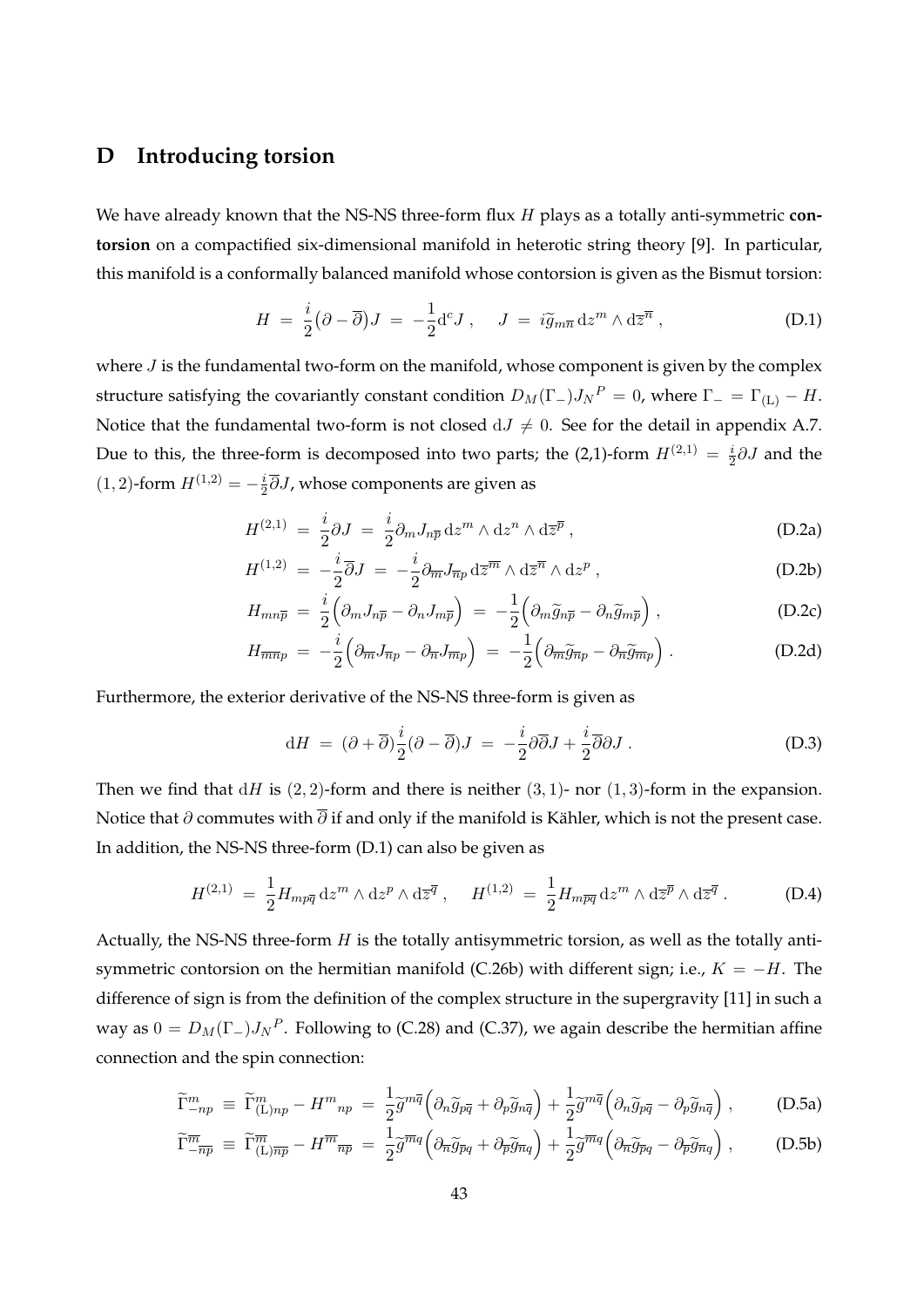## **D Introducing torsion**

We have already known that the NS-NS three-form flux *H* plays as a totally anti-symmetric **contorsion** on a compactified six-dimensional manifold in heterotic string theory [9]. In particular, this manifold is a conformally balanced manifold whose contorsion is given as the Bismut torsion:

$$
H = \frac{i}{2} (\partial - \overline{\partial}) J = -\frac{1}{2} d^{c} J , \quad J = i \widetilde{g}_{m\overline{n}} dz^{m} \wedge d\overline{z}^{\overline{n}} , \qquad (D.1)
$$

where *J* is the fundamental two-form on the manifold, whose component is given by the complex structure satisfying the covariantly constant condition  $D_M(\Gamma_-)J_N^P = 0$ , where  $\Gamma_- = \Gamma_{(L)} - H$ . Notice that the fundamental two-form is not closed  $dJ \neq 0$ . See for the detail in appendix A.7. Due to this, the three-form is decomposed into two parts; the (2,1)-form  $H^{(2,1)} = \frac{i}{2}$ 2 *∂J* and the  $(1, 2)$ -form  $H^{(1,2)} = -\frac{i}{2}$  $\frac{i}{2}\partial J$ , whose components are given as

$$
H^{(2,1)} = \frac{i}{2}\partial J = \frac{i}{2}\partial_m J_{n\overline{p}} dz^m \wedge dz^n \wedge d\overline{z}^{\overline{p}} , \qquad (D.2a)
$$

$$
H^{(1,2)} = -\frac{i}{2}\overline{\partial}J = -\frac{i}{2}\partial_{\overline{m}}J_{\overline{n}p}\,\mathrm{d}\overline{z}^{\overline{m}}\wedge\mathrm{d}\overline{z}^{\overline{n}}\wedge\mathrm{d}z^{p} ,\qquad (D.2b)
$$

$$
H_{mn\overline{p}} = \frac{i}{2} \left( \partial_m J_{n\overline{p}} - \partial_n J_{m\overline{p}} \right) = -\frac{1}{2} \left( \partial_m \widetilde{g}_{n\overline{p}} - \partial_n \widetilde{g}_{m\overline{p}} \right), \tag{D.2c}
$$

$$
H_{\overline{m}\overline{n}p} = -\frac{i}{2} \left( \partial_{\overline{m}} J_{\overline{n}p} - \partial_{\overline{n}} J_{\overline{m}p} \right) = -\frac{1}{2} \left( \partial_{\overline{m}} \widetilde{g}_{\overline{n}p} - \partial_{\overline{n}} \widetilde{g}_{\overline{m}p} \right).
$$
 (D.2d)

Furthermore, the exterior derivative of the NS-NS three-form is given as

$$
dH = (\partial + \overline{\partial}) \frac{i}{2} (\partial - \overline{\partial}) J = -\frac{i}{2} \partial \overline{\partial} J + \frac{i}{2} \overline{\partial} \partial J.
$$
 (D.3)

Then we find that  $dH$  is  $(2, 2)$ -form and there is neither  $(3, 1)$ - nor  $(1, 3)$ -form in the expansion. Notice that *∂* commutes with  $\overline{\partial}$  if and only if the manifold is Kähler, which is not the present case. In addition, the NS-NS three-form (D.1) can also be given as

$$
H^{(2,1)} = \frac{1}{2} H_{mp\overline{q}} dz^m \wedge dz^p \wedge d\overline{z}^{\overline{q}} , \quad H^{(1,2)} = \frac{1}{2} H_{mp\overline{q}} dz^m \wedge d\overline{z}^{\overline{p}} \wedge d\overline{z}^{\overline{q}} . \tag{D.4}
$$

Actually, the NS-NS three-form *H* is the totally antisymmetric torsion, as well as the totally antisymmetric contorsion on the hermitian manifold (C.26b) with different sign; i.e., *K* = *−H*. The difference of sign is from the definition of the complex structure in the supergravity [11] in such a way as  $0 = D_M(\Gamma_-) J_N^P$ . Following to (C.28) and (C.37), we again describe the hermitian affine connection and the spin connection:

$$
\widetilde{\Gamma}^{m}_{-np} \equiv \widetilde{\Gamma}^{m}_{(\text{L})np} - H^{m}_{np} = \frac{1}{2} \widetilde{g}^{m\overline{q}} \left( \partial_n \widetilde{g}_{p\overline{q}} + \partial_p \widetilde{g}_{n\overline{q}} \right) + \frac{1}{2} \widetilde{g}^{m\overline{q}} \left( \partial_n \widetilde{g}_{p\overline{q}} - \partial_p \widetilde{g}_{n\overline{q}} \right) ,\tag{D.5a}
$$

$$
\widetilde{\Gamma}_{-\overline{n}\overline{p}}^{\overline{m}} \equiv \widetilde{\Gamma}_{\text{(L)}\overline{n}\overline{p}}^{\overline{m}} - H^{\overline{m}}_{\overline{n}\overline{p}} = \frac{1}{2} \widetilde{g}^{\overline{m}q} \left( \partial_{\overline{n}} \widetilde{g}_{\overline{p}q} + \partial_{\overline{p}} \widetilde{g}_{\overline{n}q} \right) + \frac{1}{2} \widetilde{g}^{\overline{m}q} \left( \partial_{\overline{n}} \widetilde{g}_{\overline{p}q} - \partial_{\overline{p}} \widetilde{g}_{\overline{n}q} \right), \tag{D.5b}
$$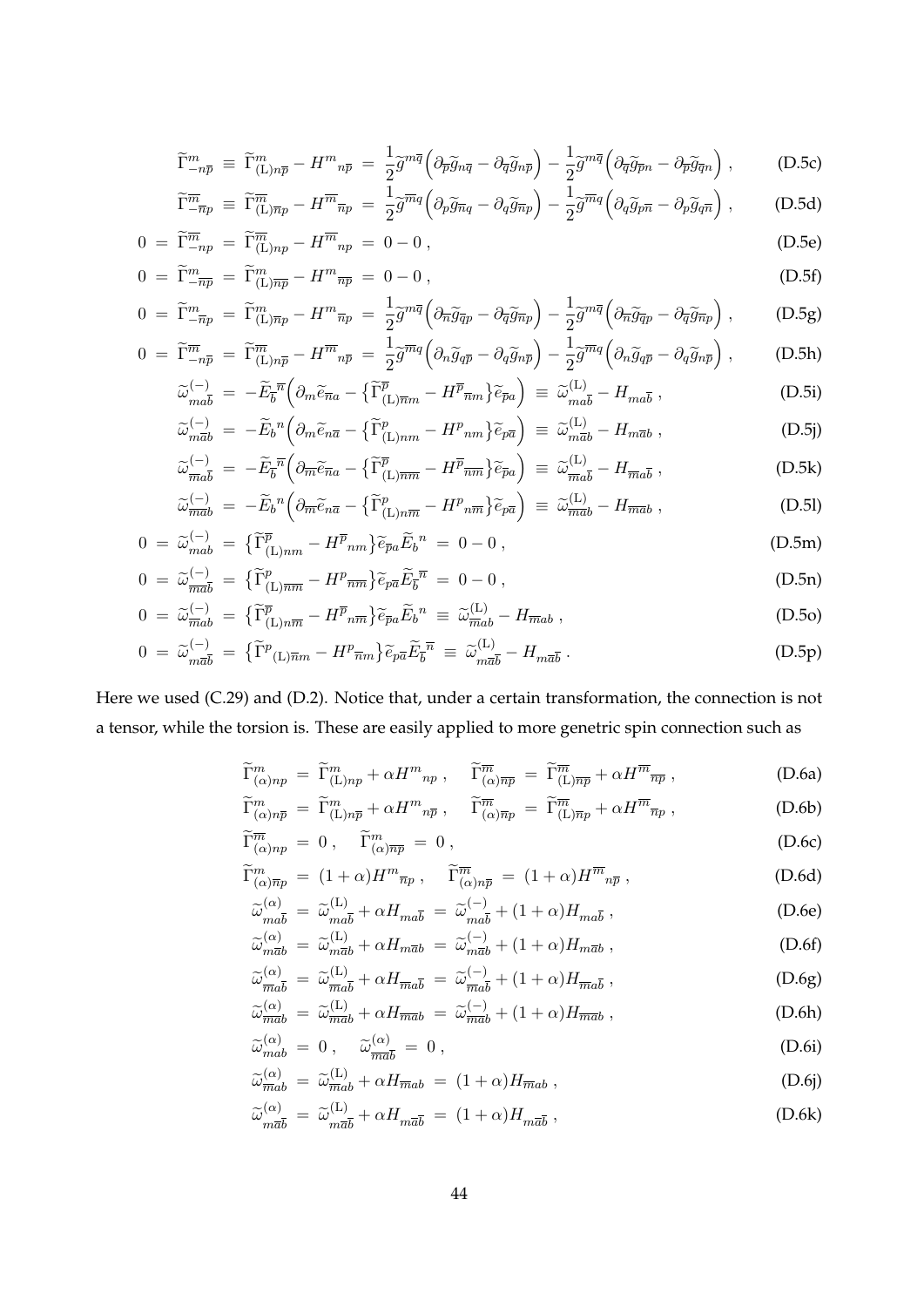$$
\widetilde{\Gamma}^{m}_{-n\overline{p}} \equiv \widetilde{\Gamma}^{m}_{(\text{L})n\overline{p}} - H^{m}_{n\overline{p}} = \frac{1}{2} \widetilde{g}^{m\overline{q}} \left( \partial_{\overline{p}} \widetilde{g}_{n\overline{q}} - \partial_{\overline{q}} \widetilde{g}_{n\overline{p}} \right) - \frac{1}{2} \widetilde{g}^{m\overline{q}} \left( \partial_{\overline{q}} \widetilde{g}_{\overline{p}n} - \partial_{\overline{p}} \widetilde{g}_{\overline{q}n} \right) , \tag{D.5c}
$$

$$
\widetilde{\Gamma}_{-\overline{n}p}^{\overline{m}} \equiv \widetilde{\Gamma}_{(\text{L})\overline{n}p}^{\overline{m}} - H^{\overline{m}}_{\overline{n}p} = \frac{1}{2} \widetilde{g}^{\overline{m}q} \left( \partial_p \widetilde{g}_{\overline{n}q} - \partial_q \widetilde{g}_{\overline{n}p} \right) - \frac{1}{2} \widetilde{g}^{\overline{m}q} \left( \partial_q \widetilde{g}_{p\overline{n}} - \partial_p \widetilde{g}_{q\overline{n}} \right) , \tag{D.5d}
$$

$$
0 = \widetilde{\Gamma}_{-np}^{\overline{m}} = \widetilde{\Gamma}_{(L)np}^{\overline{m}} - H^{\overline{m}}_{np} = 0 - 0,
$$
\n(D.5e)\n
$$
\widetilde{\Gamma}_{-np}^{\overline{m}} = \widetilde{\Gamma}_{(L)np}^{\overline{m}} - H^{\overline{m}}_{np} = 0 - 0,
$$
\n(D.5e)

$$
0 = \widetilde{\Gamma}_{-\overline{np}}^{m} = \widetilde{\Gamma}_{(L)\overline{np}}^{m} - H^{m} \overline{np} = 0 - 0,
$$
\n(D.5f)\n
$$
0 = \widetilde{\Gamma}_{m}^{m} \qquad \widetilde{\Gamma}_{m}^{m} \qquad H^{m} \qquad 1_{\sim m\overline{q}}(0, \sim 0, \sim 1) \qquad 1_{\sim m\overline{q}}(0, \sim 0, \sim 1)
$$
\n(D.5g)

$$
0 = \widetilde{\Gamma}_{-\overline{n}p}^{m} = \widetilde{\Gamma}_{(\text{L})\overline{n}p}^{m} - H^{m}_{\overline{n}p} = \frac{1}{2}\widetilde{g}^{m\overline{q}}\left(\partial_{\overline{n}}\widetilde{g}_{\overline{q}p} - \partial_{\overline{q}}\widetilde{g}_{\overline{n}p}\right) - \frac{1}{2}\widetilde{g}^{m\overline{q}}\left(\partial_{\overline{n}}\widetilde{g}_{\overline{q}p} - \partial_{\overline{q}}\widetilde{g}_{\overline{n}p}\right), \tag{D.5g}
$$

$$
0 = \widetilde{\Gamma}^{\overline{m}}_{-n\overline{p}} = \widetilde{\Gamma}^{\overline{m}}_{(\text{L})n\overline{p}} - H^{\overline{m}}_{n\overline{p}} = \frac{1}{2} \widetilde{g}^{\overline{m}q} \left( \partial_n \widetilde{g}_{q\overline{p}} - \partial_q \widetilde{g}_{n\overline{p}} \right) - \frac{1}{2} \widetilde{g}^{\overline{m}q} \left( \partial_n \widetilde{g}_{q\overline{p}} - \partial_q \widetilde{g}_{n\overline{p}} \right) , \tag{D.5h}
$$

$$
\widetilde{\omega}_{m a \overline{b}}^{(-)} = -\widetilde{E}_{\overline{b}}^{\overline{n}} \left( \partial_m \widetilde{e}_{\overline{n} a} - \{ \widetilde{\Gamma}_{(\text{L}) \overline{n} m}^{\overline{p}} - H^{\overline{p}}_{\overline{n} m} \} \widetilde{e}_{\overline{p} a} \right) \equiv \widetilde{\omega}_{m a \overline{b}}^{(\text{L})} - H_{m a \overline{b}} , \tag{D.5i}
$$
\n
$$
\widetilde{\omega}_{\overline{b}}^{(-)} = -\widetilde{E}_{\overline{a}}{}^n \left( \partial_m \widetilde{e}_{\overline{n} \overline{n}} - \{ \widetilde{\Gamma}_{\overline{b}}^{\overline{p}} \right) - H^{\overline{p}}_{\overline{b}} \left( \partial_m \widetilde{e}_{\overline{n} \overline{n}} - \{ \widetilde{\Gamma}_{\overline{b}}^{\overline{p}} \right) = \widetilde{\omega}_{\overline{b}}^{(\text{L})} - H_{m \overline{a} \overline{b}} , \tag{D.5i}
$$

$$
\widetilde{\omega}_{m\overline{a}b}^{(-)} = -\widetilde{E}_b{}^n \left( \partial_m \widetilde{e}_{n\overline{a}} - \left\{ \widetilde{\Gamma}_{(L)nm}^p - H^p{}_{nm} \right\} \widetilde{e}_{p\overline{a}} \right) \equiv \widetilde{\omega}_{m\overline{a}b}^{(L)} - H_{m\overline{a}b} , \tag{D.5}
$$
\n
$$
\widetilde{\omega}_{\overline{m}a\overline{b}}^{(-)} = -\widetilde{E}_{\overline{b}}{}^{\overline{n}} \left( \partial_{\overline{m}} \widetilde{e}_{\overline{n}a} - \left\{ \widetilde{\Gamma}_{(L)\overline{nm}}^{\overline{p}} - H^{\overline{p}}{}_{\overline{nm}} \right\} \widetilde{e}_{\overline{p}a} \right) \equiv \widetilde{\omega}_{\overline{m}a\overline{b}}^{(L)} - H_{\overline{m}a\overline{b}} , \tag{D.5k}
$$

$$
\widetilde{\omega}_{\overline{m}\overline{a}\overline{b}}^{(-)} = -E_{\overline{b}}^{n} \left( \partial_{\overline{m}} \widetilde{e}_{\overline{n}a} - \left\{ \Gamma_{(L)\overline{n}\overline{m}}^{p} - H^{p}{}_{\overline{n}\overline{m}} \right\} \widetilde{e}_{\overline{p}a} \right) \equiv \widetilde{\omega}_{\overline{m}\overline{a}\overline{b}}^{(L)} - H_{\overline{m}\overline{a}\overline{b}} , \qquad (D.5k)
$$
\n
$$
\widetilde{\omega}_{\overline{m}\overline{a}b}^{(-)} = -\widetilde{E}_{b}^{n} \left( \partial_{\overline{m}} \widetilde{e}_{n\overline{a}} - \left\{ \widetilde{\Gamma}_{(L)n\overline{m}}^{p} - H^{p}{}_{n\overline{m}} \right\} \widetilde{e}_{p\overline{a}} \right) \equiv \widetilde{\omega}_{\overline{m}\overline{a}b}^{(L)} - H_{\overline{m}\overline{a}b} , \qquad (D.5l)
$$

$$
0 = \widetilde{\omega}_{mab}^{(-)} = \left\{ \widetilde{\Gamma}_{(L)nm}^{\overline{p}} - H^{\overline{p}}{}_{nm} \right\} \widetilde{e}_{\overline{p}a} \widetilde{E}_b^{\ n} = 0 - 0 \,, \tag{D.5m}
$$

$$
0 = \widetilde{\omega}_{\overline{m}\overline{a}\overline{b}}^{(-)} = \{ \widetilde{\Gamma}_{(L)\overline{nm}}^p - H^p_{\overline{nm}} \} \widetilde{e}_{p\overline{a}} \widetilde{E}_{\overline{b}}^{\overline{n}} = 0 - 0 , \qquad (D.5n)
$$

$$
0 = \widetilde{\omega}_{\overline{m}ab}^{(-)} = \{ \widetilde{\Gamma}_{(L)n\overline{m}}^{\overline{p}} - H^{\overline{p}}{}_{n\overline{m}} \} \widetilde{e}_{\overline{p}a} \widetilde{E}_b^{\ n} \equiv \widetilde{\omega}_{\overline{m}ab}^{(L)} - H_{\overline{m}ab} \ , \tag{D.50}
$$

$$
0 = \widetilde{\omega}_{m\overline{a}\overline{b}}^{(-)} = \{ \widetilde{\Gamma}^p(\mathbf{L})\overline{n}m - H^p\overline{n}m \} \widetilde{e}_{p\overline{a}} \widetilde{E}_{\overline{b}}^{\overline{n}} \equiv \widetilde{\omega}_{m\overline{a}\overline{b}}^{(\mathbf{L})} - H_{m\overline{a}\overline{b}} \,.
$$
 (D.5p)

Here we used (C.29) and (D.2). Notice that, under a certain transformation, the connection is not a tensor, while the torsion is. These are easily applied to more genetric spin connection such as

$$
\widetilde{\Gamma}^m_{(\alpha)np} = \widetilde{\Gamma}^m_{(\text{L})np} + \alpha H^m_{np} , \quad \widetilde{\Gamma}^{\overline{m}}_{(\alpha)\overline{np}} = \widetilde{\Gamma}^{\overline{m}}_{(\text{L})\overline{np}} + \alpha H^{\overline{m}}_{\overline{np}} , \qquad (D.6a)
$$

$$
\widetilde{\Gamma}^m_{(\alpha)n\overline{p}} = \widetilde{\Gamma}^m_{(\mathbf{L})n\overline{p}} + \alpha H^m_{n\overline{p}}, \quad \widetilde{\Gamma}^{\overline{m}}_{(\alpha)\overline{n}p} = \widetilde{\Gamma}^{\overline{m}}_{(\mathbf{L})\overline{n}p} + \alpha H^{\overline{m}}_{\overline{n}p}, \tag{D.6b}
$$

$$
\widetilde{\Gamma}^{\overline{m}}_{(\alpha)np} = 0, \quad \widetilde{\Gamma}^m_{(\alpha)\overline{np}} = 0, \qquad (D.6c)
$$
\n
$$
\widetilde{\Gamma}^m_{(\alpha)\overline{np}} = (1+\alpha)H^m_{\overline{np}}, \quad \widetilde{\Gamma}^{\overline{m}}_{(\alpha)n\overline{p}} = (1+\alpha)H^{\overline{m}}_{n\overline{p}}, \qquad (D.6d)
$$

$$
\widetilde{\omega}_{m\bar{a}\bar{b}}^{(\alpha)} = \widetilde{\omega}_{m\bar{a}\bar{b}}^{(\mathrm{L})} + \alpha H_{m\bar{a}\bar{b}} = \widetilde{\omega}_{m\bar{a}\bar{b}}^{(-)} + (1+\alpha)H_{m\bar{a}\bar{b}} , \qquad (D.6e)
$$

$$
\widetilde{\omega}_{m\overline{a}b}^{(\alpha)} = \widetilde{\omega}_{m\overline{a}b}^{(\mathsf{L})} + \alpha H_{m\overline{a}b} = \widetilde{\omega}_{m\overline{a}b}^{(-)} + (1+\alpha)H_{m\overline{a}b} , \qquad (D.6f)
$$

$$
\widetilde{\omega}_{\overline{m}a\overline{b}}^{(\alpha)} = \widetilde{\omega}_{\overline{m}a\overline{b}}^{(\mathbf{L})} + \alpha H_{\overline{m}a\overline{b}} = \widetilde{\omega}_{\overline{m}a\overline{b}}^{(-)} + (1+\alpha)H_{\overline{m}a\overline{b}} , \qquad (D.6g)
$$

$$
\widetilde{\omega}_{\overline{m}ab}^{(\alpha)} = \widetilde{\omega}_{\overline{m}ab}^{(\mathcal{L})} + \alpha H_{\overline{m}ab} = \widetilde{\omega}_{\overline{m}ab}^{(-)} + (1+\alpha)H_{\overline{m}ab} ,\qquad (D.6h)
$$

$$
\widetilde{\omega}_{mab}^{(\alpha)} = 0 \,, \quad \widetilde{\omega}_{\overline{m}\overline{a}\overline{b}}^{(\alpha)} = 0 \,, \tag{D.6i}
$$

$$
\widetilde{\omega}_{\overline{m}ab}^{(\alpha)} = \widetilde{\omega}_{\overline{m}ab}^{(L)} + \alpha H_{\overline{m}ab} = (1+\alpha)H_{\overline{m}ab},\tag{D.6j}
$$
\n
$$
\widetilde{\omega}_{(1+\alpha)}^{(\alpha)} = \widetilde{\omega}_{(1+\alpha)}^{(L)}H_{\alpha} \tag{D.6k}
$$

$$
\widetilde{\omega}_{m\overline{a}\overline{b}}^{(\alpha)} = \widetilde{\omega}_{m\overline{a}\overline{b}}^{(\mathsf{L})} + \alpha H_{m\overline{a}\overline{b}} = (1+\alpha)H_{m\overline{a}\overline{b}},\tag{D.6k}
$$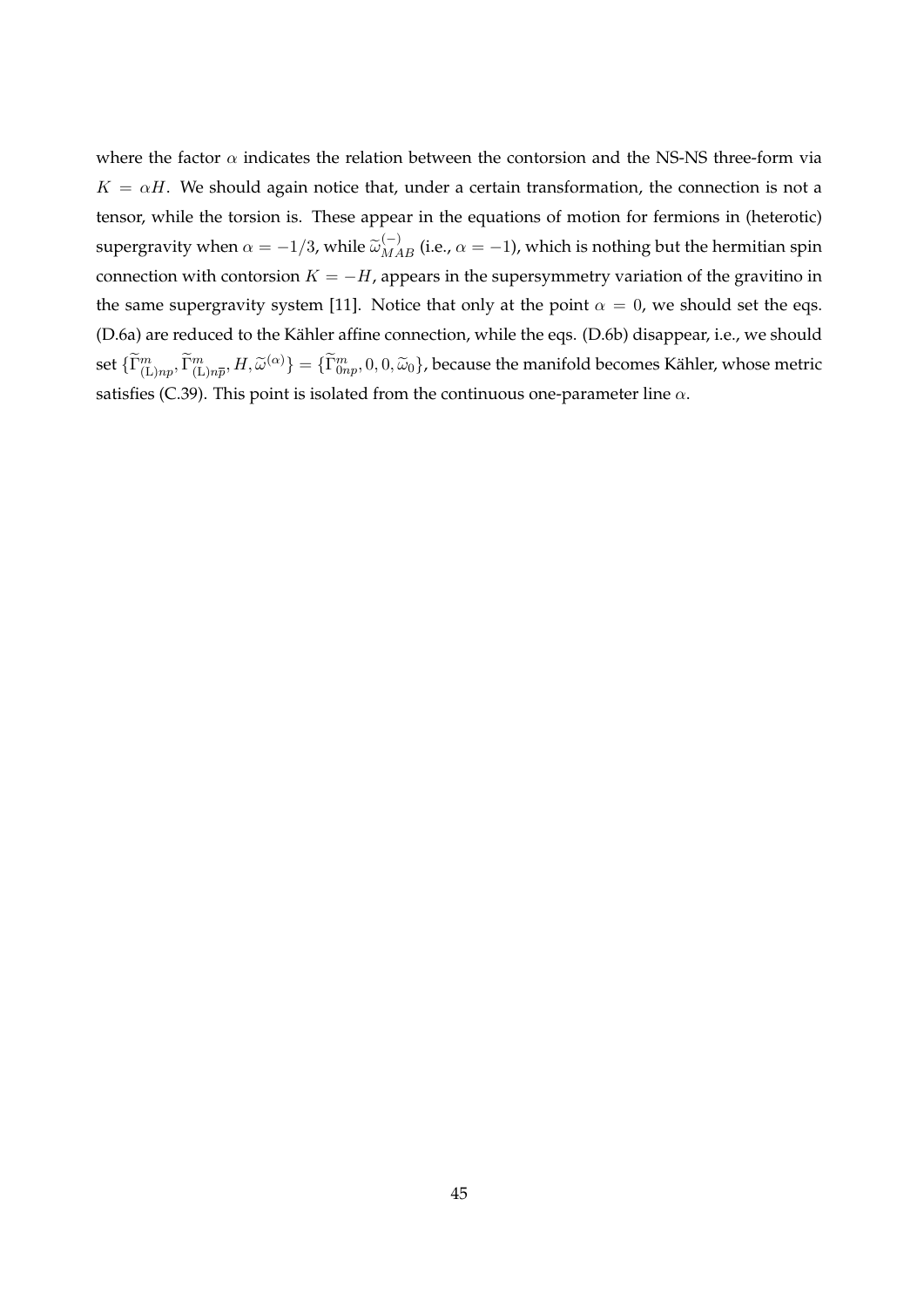where the factor  $\alpha$  indicates the relation between the contorsion and the NS-NS three-form via  $K = \alpha H$ . We should again notice that, under a certain transformation, the connection is not a tensor, while the torsion is. These appear in the equations of motion for fermions in (heterotic) supergravity when  $\alpha = -1/3$ , while  $\tilde{\omega}_{MAB}^{(-)}$  (i.e.,  $\alpha = -1$ ), which is nothing but the hermitian spin connection with contorsion  $K = -H$ , appears in the supersymmetry variation of the gravitino in the same supergravity system [11]. Notice that only at the point  $\alpha = 0$ , we should set the eqs. (D.6a) are reduced to the Kähler affine connection, while the eqs. (D.6b) disappear, i.e., we should set  $\{\widetilde\Gamma^m_{({\rm L})np},\widetilde\Gamma^m_{({\rm L})n\overline{p}},H,\widetilde\omega^{(\alpha)}\}=\{\widetilde\Gamma^m_{0np},0,0,\widetilde\omega_0\}$ , because the manifold becomes Kähler, whose metric satisfies (C.39). This point is isolated from the continuous one-parameter line *α*.